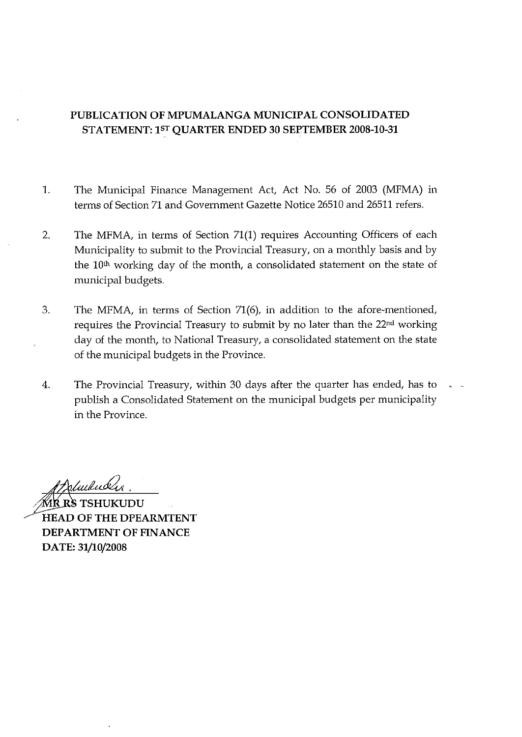#### PUBLICATION OF MPUMALANGA MUNICIPAL CONSOLIDATED STATEMENT: 1ST OUARTER ENDED 30 SEPTEMBER 2008-10-31

- $\mathbf{1}$ . The Municipal Finance Management Act, Act No. 56 of 2003 (MFMA) in terms of Section 71 and Government Gazette Notice 26510 and 26511 refers.
- 2. The MFMA, in terms of Section 71(1) requires Accounting Officers of each Municipality to submit to the Provincial Treasury, on a monthly basis and by the 10<sup>th</sup> working day of the month, a consolidated statement on the state of municipal budgets.
- 3. The MFMA, in terms of Section 71(6), in addition to the afore-mentioned, requires the Provincial Treasury to submit by no later than the 22<sup>nd</sup> working day of the month, to National Treasury, a consolidated statement on the state of the municipal budgets in the Province.
- 4. The Provincial Treasury, within 30 days after the quarter has ended, has to publish a Consolidated Statement on the municipal budgets per municipality in the Province.

**Ŕ RS TSHUKUDU HEAD OF THE DPEARMTENT DEPARTMENT OF FINANCE** DATE: 31/10/2008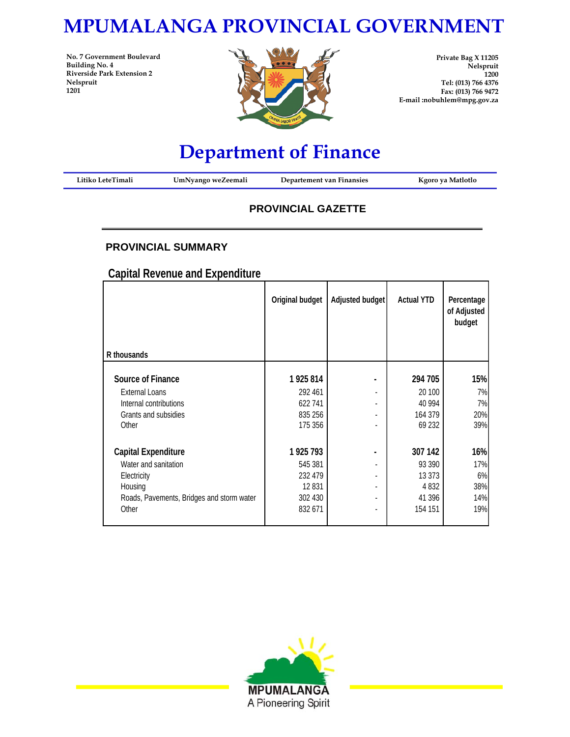# **MPUMALANGA PROVINCIAL GOVERNMENT**

**No. 7 Government Boulevard Building No. 4 Riverside Park Extension 2 Nelspruit 1201**



**Private Bag X 11205 Nelspruit 1200 Tel: (013) 766 4376 Fax: (013) 766 9472 E-mail :nobuhlem@mpg.gov.za**

# **Department of Finance**

| Litiko LeteTimali | UmNyango weZeemali | Departement van Finansies | Kgoro ya Matlotlo |
|-------------------|--------------------|---------------------------|-------------------|
|                   |                    |                           |                   |

#### **PROVINCIAL GAZETTE**

#### **PROVINCIAL SUMMARY**

**Capital Revenue and Expenditure**

| R thousands                               | Original budget | Adjusted budget          | <b>Actual YTD</b> | Percentage<br>of Adjusted<br>budget |
|-------------------------------------------|-----------------|--------------------------|-------------------|-------------------------------------|
|                                           |                 |                          |                   |                                     |
| Source of Finance                         | 1925814         |                          | 294 705           | 15%                                 |
| <b>External Loans</b>                     | 292 461         |                          | 20 100            | 7%                                  |
| Internal contributions                    | 622741          | $\overline{\phantom{a}}$ | 40 9 94           | 7%                                  |
| Grants and subsidies                      | 835 256         |                          | 164 379           | 20%                                 |
| Other                                     | 175 356         | $\overline{\phantom{a}}$ | 69 232            | 39%                                 |
| Capital Expenditure                       | 1925 793        |                          | 307 142           | 16%                                 |
| Water and sanitation                      | 545 381         |                          | 93 390            | 17%                                 |
| Electricity                               | 232 479         |                          | 13 373            | 6%                                  |
| Housing                                   | 12831           | $\overline{\phantom{a}}$ | 4832              | 38%                                 |
| Roads, Pavements, Bridges and storm water | 302 430         | $\overline{\phantom{a}}$ | 41 396            | 14%                                 |
| Other                                     | 832 671         |                          | 154 151           | 19%                                 |
|                                           |                 |                          |                   |                                     |

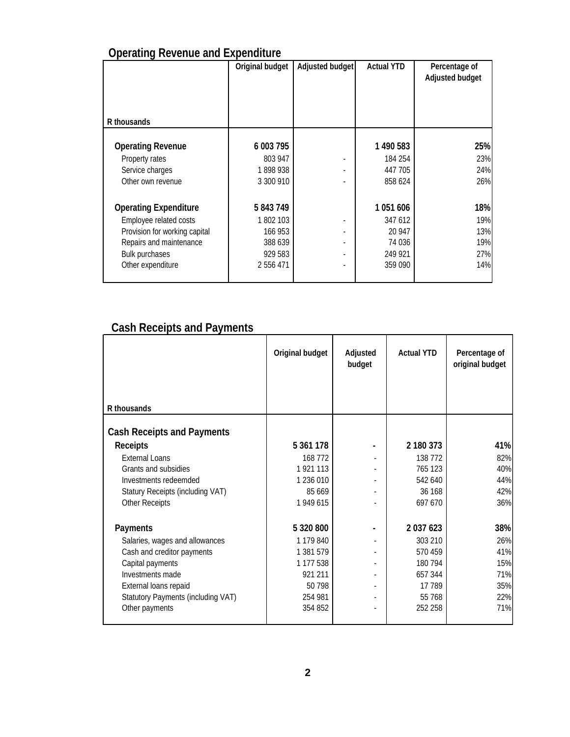## **Operating Revenue and Expenditure**

|                               | Original budget | Adjusted budget          | <b>Actual YTD</b> | Percentage of<br>Adjusted budget |
|-------------------------------|-----------------|--------------------------|-------------------|----------------------------------|
|                               |                 |                          |                   |                                  |
| R thousands                   |                 |                          |                   |                                  |
| <b>Operating Revenue</b>      | 6 003 795       |                          | 1 490 583         | 25%                              |
| Property rates                | 803 947         |                          | 184 254           | 23%                              |
| Service charges               | 1898938         |                          | 447 705           | 24%                              |
| Other own revenue             | 3 300 910       |                          | 858 624           | 26%                              |
| <b>Operating Expenditure</b>  | 5 843 749       |                          | 1051606           | 18%                              |
| Employee related costs        | 1802103         |                          | 347 612           | 19%                              |
| Provision for working capital | 166 953         | $\overline{\phantom{a}}$ | 20 947            | 13%                              |
| Repairs and maintenance       | 388 639         | $\overline{\phantom{a}}$ | 74 036            | 19%                              |
| <b>Bulk purchases</b>         | 929 583         | $\overline{\phantom{a}}$ | 249 921           | 27%                              |
| Other expenditure             | 2 556 471       | -                        | 359 090           | 14%                              |
|                               |                 |                          |                   |                                  |

## **Cash Receipts and Payments**

|                                    | Original budget | Adjusted<br>budget | <b>Actual YTD</b> | Percentage of<br>original budget |
|------------------------------------|-----------------|--------------------|-------------------|----------------------------------|
| R thousands                        |                 |                    |                   |                                  |
| <b>Cash Receipts and Payments</b>  |                 |                    |                   |                                  |
| <b>Receipts</b>                    | 5 361 178       |                    | 2 180 373         | 41%                              |
| <b>External Loans</b>              | 168 772         |                    | 138 772           | 82%                              |
| Grants and subsidies               | 1 921 113       |                    | 765 123           | 40%                              |
| Investments redeemded              | 1 236 010       |                    | 542 640           | 44%                              |
| Statury Receipts (including VAT)   | 85 669          |                    | 36 168            | 42%                              |
| <b>Other Receipts</b>              | 1 949 615       |                    | 697 670           | 36%                              |
| Payments                           | 5 320 800       |                    | 2 037 623         | 38%                              |
| Salaries, wages and allowances     | 1 179 840       |                    | 303 210           | 26%                              |
| Cash and creditor payments         | 1 381 579       |                    | 570459            | 41%                              |
| Capital payments                   | 1 177 538       |                    | 180 794           | 15%                              |
| Investments made                   | 921 211         |                    | 657 344           | 71%                              |
| External loans repaid              | 50 798          | $\sim$             | 17 789            | 35%                              |
| Statutory Payments (including VAT) | 254 981         |                    | 55 768            | 22%                              |
| Other payments                     | 354 852         |                    | 252 258           | 71%                              |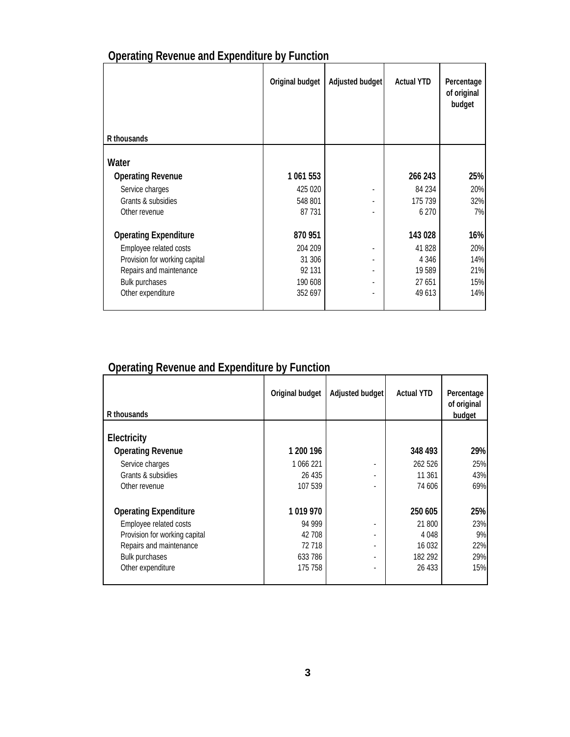| R thousands                   | Original budget | Adjusted budget | <b>Actual YTD</b> | Percentage<br>of original<br>budget |
|-------------------------------|-----------------|-----------------|-------------------|-------------------------------------|
|                               |                 |                 |                   |                                     |
| Water                         |                 |                 |                   |                                     |
| <b>Operating Revenue</b>      | 1 061 553       |                 | 266 243           | 25%                                 |
| Service charges               | 425 020         |                 | 84 234            | 20%                                 |
| Grants & subsidies            | 548 801         |                 | 175 739           | 32%                                 |
| Other revenue                 | 87 731          |                 | 6 2 7 0           | 7%                                  |
| <b>Operating Expenditure</b>  | 870 951         |                 | 143 028           | 16%                                 |
| Employee related costs        | 204 209         |                 | 41 828            | 20%                                 |
| Provision for working capital | 31 306          |                 | 4 3 4 6           | 14%                                 |
| Repairs and maintenance       | 92 131          |                 | 19 589            | 21%                                 |
| Bulk purchases                | 190 608         |                 | 27 651            | 15%                                 |
| Other expenditure             | 352 697         |                 | 49 613            | 14%                                 |

## **Operating Revenue and Expenditure by Function**

## **Operating Revenue and Expenditure by Function**

| R thousands                   | Original budget | Adjusted budget | <b>Actual YTD</b> | Percentage<br>of original<br>budget |
|-------------------------------|-----------------|-----------------|-------------------|-------------------------------------|
| Electricity                   |                 |                 |                   |                                     |
| <b>Operating Revenue</b>      | 1 200 196       |                 | 348 493           | 29%                                 |
| Service charges               | 1 066 221       |                 | 262 526           | 25%                                 |
| Grants & subsidies            | 26 435          |                 | 11 361            | 43%                                 |
| Other revenue                 | 107 539         |                 | 74 606            | 69%                                 |
| <b>Operating Expenditure</b>  | 1019970         |                 | 250 605           | 25%                                 |
| Employee related costs        | 94 999          |                 | 21 800            | 23%                                 |
| Provision for working capital | 42 708          | ٠               | 4 0 4 8           | 9%                                  |
| Repairs and maintenance       | 72718           |                 | 16 0 32           | 22%                                 |
| <b>Bulk purchases</b>         | 633 786         | ٠               | 182 292           | 29%                                 |
| Other expenditure             | 175 758         |                 | 26 433            | 15%                                 |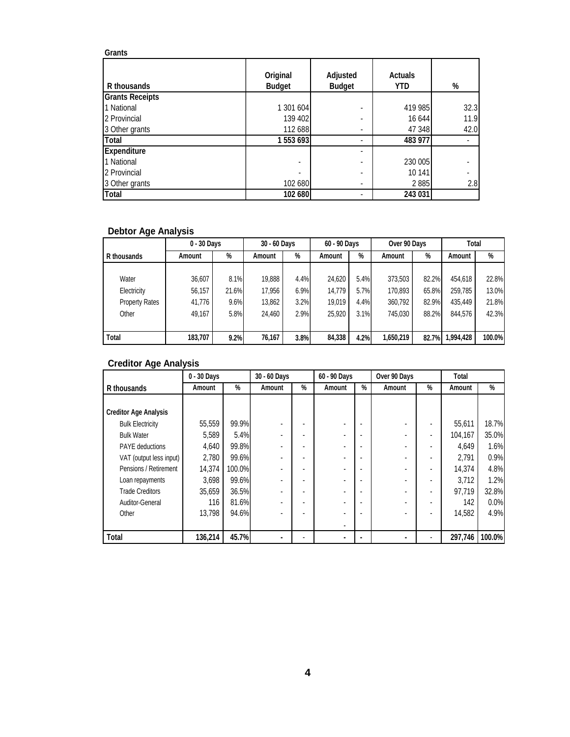| Grants                 |                           |                           |                       |      |
|------------------------|---------------------------|---------------------------|-----------------------|------|
| R thousands            | Original<br><b>Budget</b> | Adjusted<br><b>Budget</b> | Actuals<br><b>YTD</b> | %    |
| <b>Grants Receipts</b> |                           |                           |                       |      |
| 1 National             | 1 301 604                 | ۰                         | 419 985               | 32.3 |
| 2 Provincial           | 139 402                   | ۰                         | 16 644                | 11.9 |
| 3 Other grants         | 112 688                   |                           | 47 348                | 42.0 |
| Total                  | 1553693                   |                           | 483 977               |      |
| <b>Expenditure</b>     |                           |                           |                       |      |
| 1 National             |                           | ٠                         | 230 005               |      |
| 2 Provincial           |                           |                           | 10 141                |      |
| 3 Other grants         | 102 680                   | ٠                         | 2885                  | 2.8  |
| Total                  | 102 680                   |                           | 243 031               |      |

#### **Debtor Age Analysis**

|                       | 0 - 30 Days |       | 30 - 60 Days |      | 60 - 90 Days |      | Over 90 Days |       | Total     |        |
|-----------------------|-------------|-------|--------------|------|--------------|------|--------------|-------|-----------|--------|
| R thousands           | Amount      | %     | Amount       | %    | Amount       | %    | Amount       | %     | Amount    | %      |
|                       |             |       |              |      |              |      |              |       |           |        |
| Water                 | 36,607      | 8.1%  | 19.888       | 4.4% | 24,620       | 5.4% | 373.503      | 82.2% | 454,618   | 22.8%  |
| Electricity           | 56,157      | 21.6% | 17.956       | 6.9% | 14.779       | 5.7% | 170.893      | 65.8% | 259.785   | 13.0%  |
| <b>Property Rates</b> | 41,776      | 9.6%  | 13,862       | 3.2% | 19.019       | 4.4% | 360,792      | 82.9% | 435.449   | 21.8%  |
| Other                 | 49,167      | 5.8%  | 24.460       | 2.9% | 25,920       | 3.1% | 745,030      | 88.2% | 844.576   | 42.3%  |
|                       |             |       |              |      |              |      |              |       |           |        |
| Total                 | 183,707     | 9.2%  | 76,167       | 3.8% | 84,338       | 4.2% | 1,650,219    | 82.7% | 1,994,428 | 100.0% |

#### **Creditor Age Analysis**

|                              | 0 - 30 Days |        | 30 - 60 Days |   | 60 - 90 Days |   | Over 90 Days   |   | Total   |        |
|------------------------------|-------------|--------|--------------|---|--------------|---|----------------|---|---------|--------|
| R thousands                  | Amount      | %      | Amount       | % | Amount       | % | Amount         | % | Amount  | %      |
|                              |             |        |              |   |              |   |                |   |         |        |
| <b>Creditor Age Analysis</b> |             |        |              |   |              |   |                |   |         |        |
| <b>Bulk Electricity</b>      | 55,559      | 99.9%  |              |   |              |   |                |   | 55,611  | 18.7%  |
| <b>Bulk Water</b>            | 5.589       | 5.4%   |              |   |              |   |                |   | 104.167 | 35.0%  |
| <b>PAYE</b> deductions       | 4.640       | 99.8%  |              |   |              |   | ۰              |   | 4.649   | 1.6%   |
| VAT (output less input)      | 2.780       | 99.6%  |              |   |              |   |                |   | 2.791   | 0.9%   |
| Pensions / Retirement        | 14.374      | 100.0% |              |   |              |   |                |   | 14.374  | 4.8%   |
| Loan repayments              | 3,698       | 99.6%  |              |   |              |   |                |   | 3.712   | 1.2%   |
| <b>Trade Creditors</b>       | 35.659      | 36.5%  |              |   |              |   |                |   | 97.719  | 32.8%  |
| Auditor-General              | 116         | 81.6%  |              |   |              |   | ٠              |   | 142     | 0.0%   |
| Other                        | 13.798      | 94.6%  |              |   |              |   |                |   | 14,582  | 4.9%   |
|                              |             |        |              |   |              |   |                |   |         |        |
| Total                        | 136,214     | 45.7%  |              |   |              |   | $\blacksquare$ |   | 297,746 | 100.0% |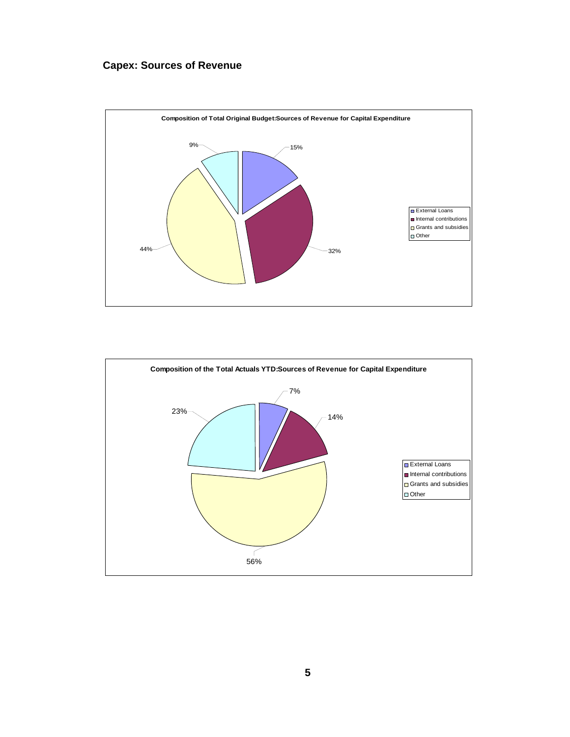#### **Capex: Sources of Revenue**



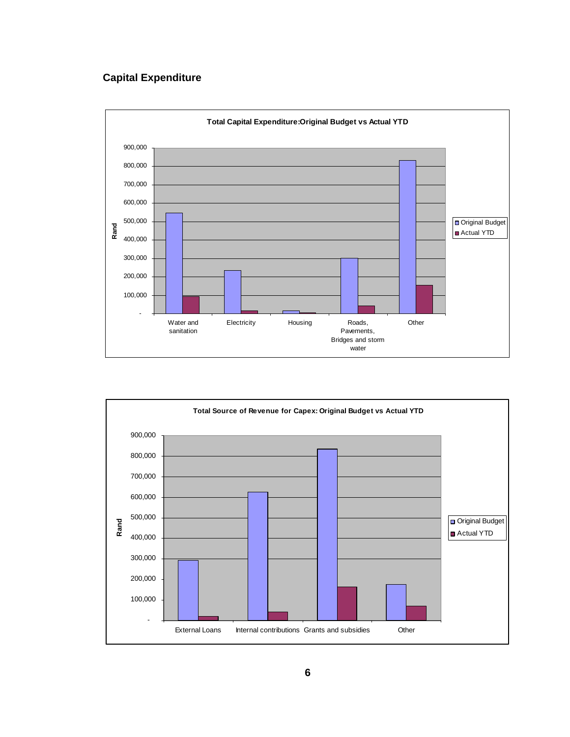#### **Capital Expenditure**



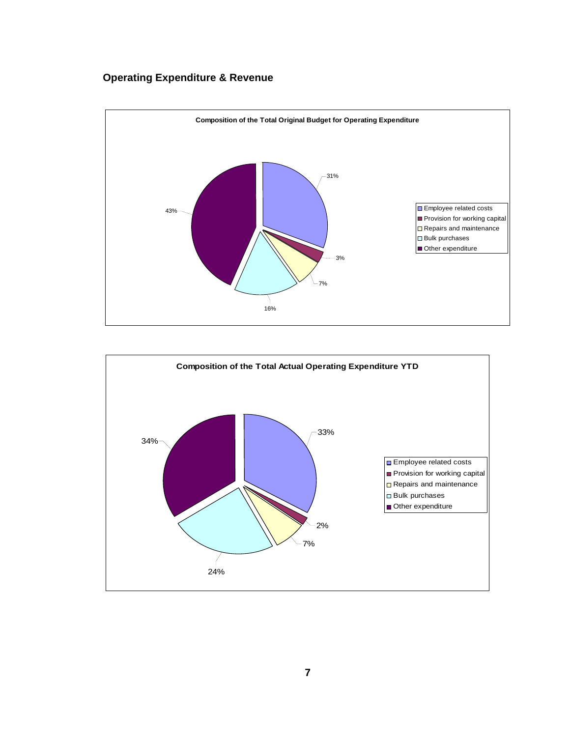#### **Operating Expenditure & Revenue**



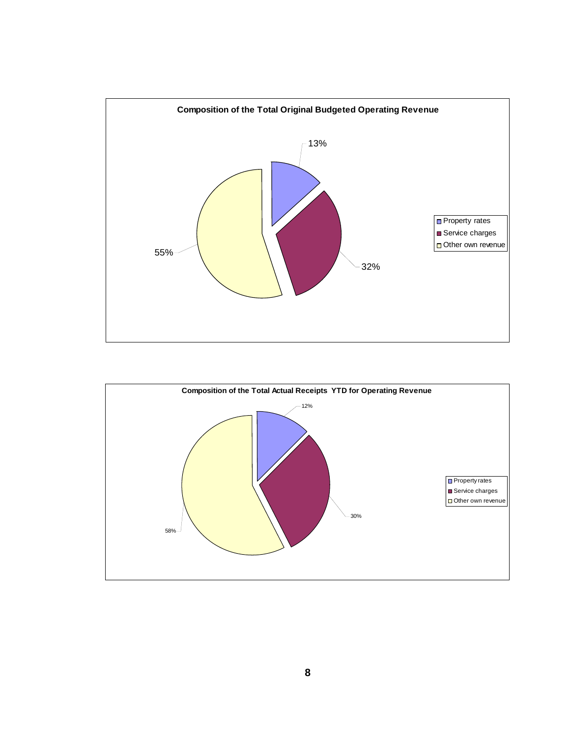

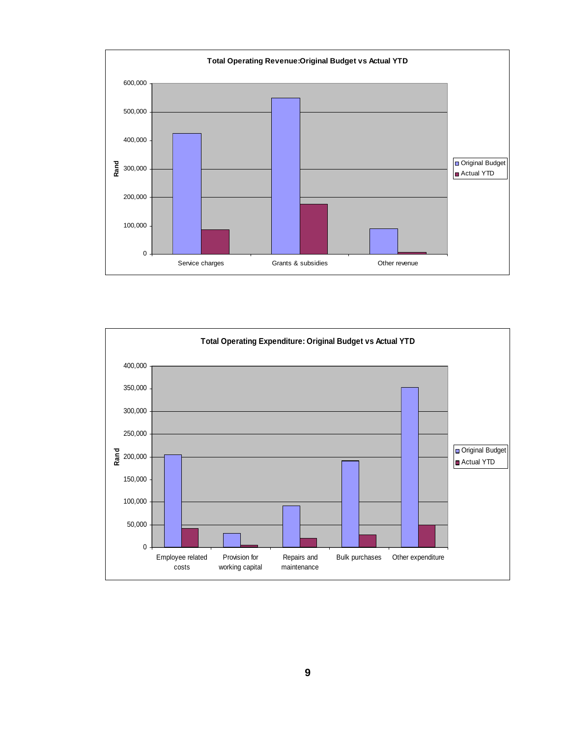

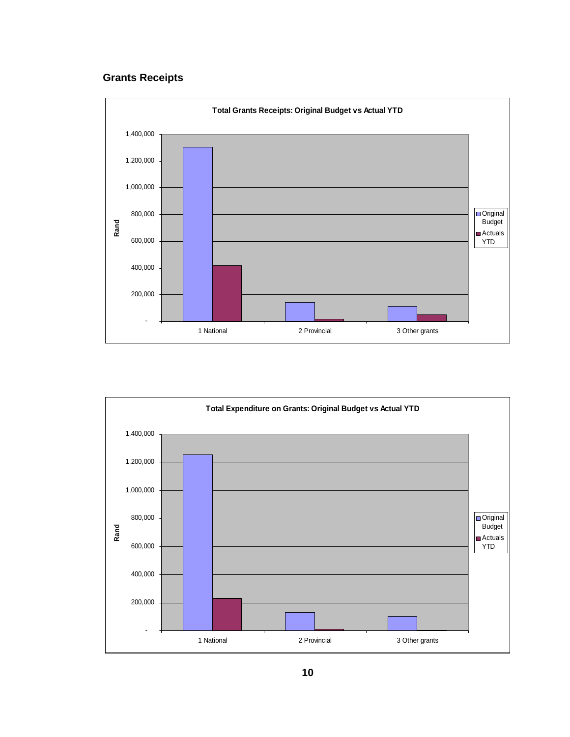#### **Grants Receipts**



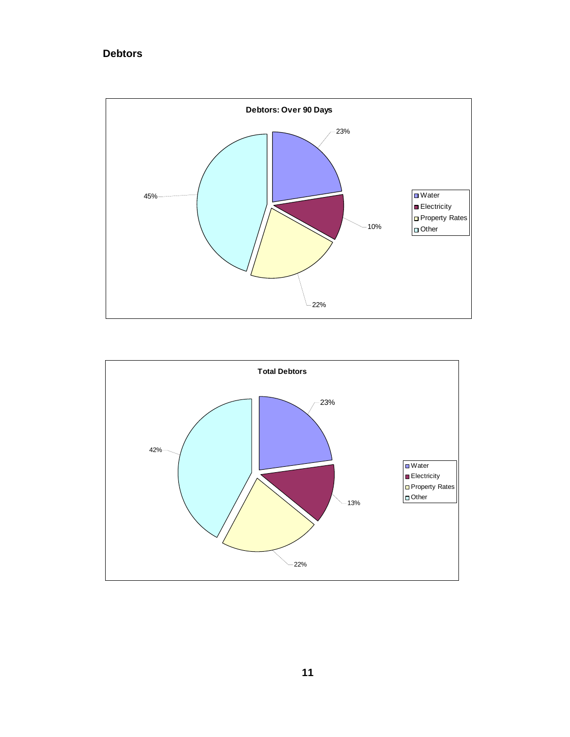#### **Debtors**



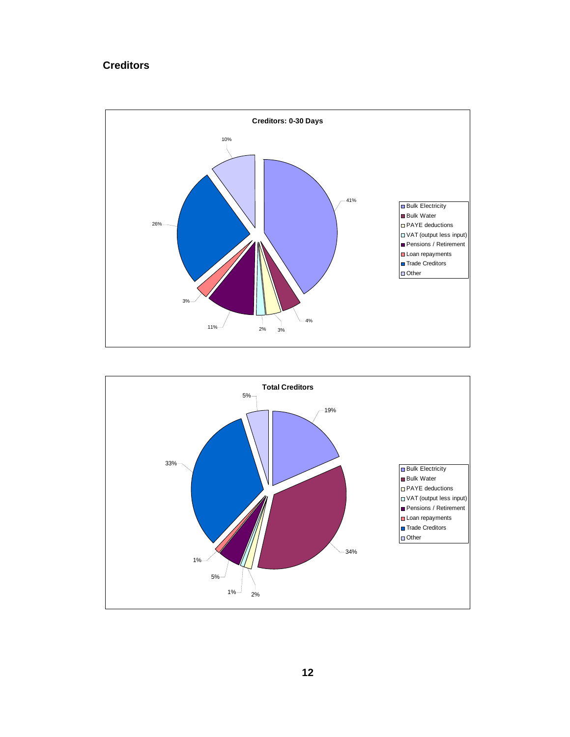#### **Creditors**



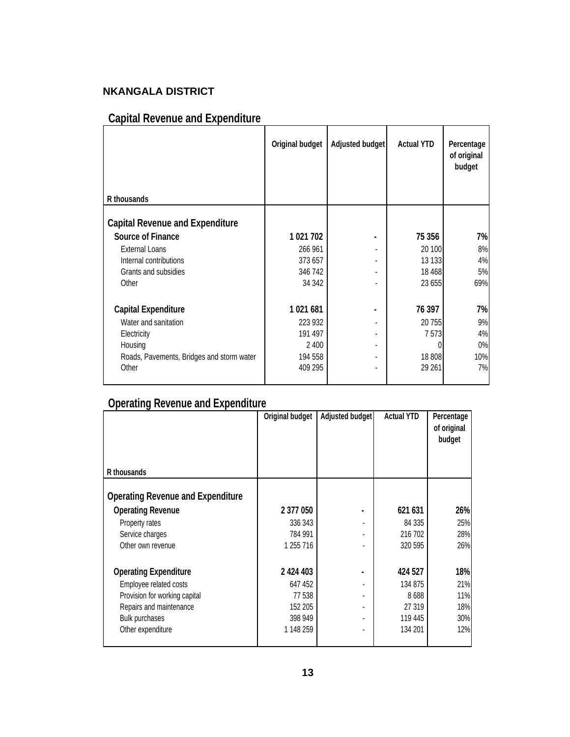### **NKANGALA DISTRICT**

## **Capital Revenue and Expenditure**

| Original budget |                | <b>Actual YTD</b> | Percentage<br>of original<br>budget |
|-----------------|----------------|-------------------|-------------------------------------|
|                 |                |                   |                                     |
|                 |                |                   |                                     |
| 1 021 702       |                | 75 356            | 7%                                  |
| 266 961         |                | 20 100            | 8%                                  |
| 373 657         |                | 13 133            | 4%                                  |
| 346 742         |                | 18 4 68           | 5%                                  |
| 34 342          |                | 23 655            | 69%                                 |
| 1021681         | $\blacksquare$ | 76 397            | 7%                                  |
| 223 932         |                | 20 755            | 9%                                  |
| 191 497         |                | 7 5 7 3           | 4%                                  |
| 2 4 0 0         |                |                   | $0\%$                               |
| 194 558         |                | 18 808            | 10%                                 |
| 409 295         |                | 29 261            | 7%                                  |
|                 |                |                   | Adjusted budget                     |

### **Operating Revenue and Expenditure**

|                                          | Original budget | Adjusted budget | <b>Actual YTD</b> | Percentage<br>of original<br>budget |
|------------------------------------------|-----------------|-----------------|-------------------|-------------------------------------|
| R thousands                              |                 |                 |                   |                                     |
| <b>Operating Revenue and Expenditure</b> |                 |                 |                   |                                     |
| <b>Operating Revenue</b>                 | 2 377 050       |                 | 621 631           | 26%                                 |
| Property rates                           | 336 343         |                 | 84 335            | 25%                                 |
| Service charges                          | 784 991         |                 | 216 702           | 28%                                 |
| Other own revenue                        | 1 255 716       |                 | 320 595           | 26%                                 |
| <b>Operating Expenditure</b>             | 2 424 403       | $\blacksquare$  | 424 527           | 18%                                 |
| Employee related costs                   | 647 452         |                 | 134 875           | 21%                                 |
| Provision for working capital            | 77538           |                 | 8688              | 11%                                 |
| Repairs and maintenance                  | 152 205         |                 | 27 319            | 18%                                 |
| <b>Bulk purchases</b>                    | 398 949         |                 | 119 445           | 30%                                 |
| Other expenditure                        | 1 148 259       |                 | 134 201           | 12%                                 |
|                                          |                 |                 |                   |                                     |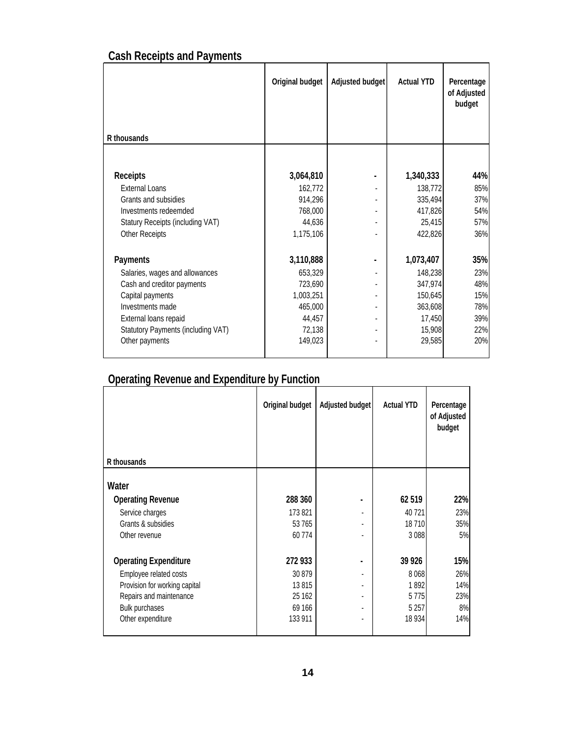## **Cash Receipts and Payments**

|                                    | Original budget | Adjusted budget | <b>Actual YTD</b> | Percentage<br>of Adjusted<br>budget |
|------------------------------------|-----------------|-----------------|-------------------|-------------------------------------|
| R thousands                        |                 |                 |                   |                                     |
|                                    |                 |                 |                   |                                     |
| Receipts                           | 3,064,810       |                 | 1,340,333         | 44%                                 |
| <b>External Loans</b>              | 162,772         |                 | 138,772           | 85%                                 |
| Grants and subsidies               | 914,296         |                 | 335,494           | 37%                                 |
| Investments redeemded              | 768,000         |                 | 417,826           | 54%                                 |
| Statury Receipts (including VAT)   | 44,636          |                 | 25,415            | 57%                                 |
| Other Receipts                     | 1,175,106       |                 | 422,826           | 36%                                 |
| Payments                           | 3,110,888       |                 | 1,073,407         | 35%                                 |
| Salaries, wages and allowances     | 653,329         |                 | 148,238           | 23%                                 |
| Cash and creditor payments         | 723,690         |                 | 347,974           | 48%                                 |
| Capital payments                   | 1,003,251       |                 | 150,645           | 15%                                 |
| Investments made                   | 465,000         |                 | 363,608           | 78%                                 |
| External loans repaid              | 44,457          |                 | 17,450            | 39%                                 |
| Statutory Payments (including VAT) | 72,138          |                 | 15,908            | 22%                                 |
| Other payments                     | 149,023         |                 | 29,585            | 20%                                 |
|                                    |                 |                 |                   |                                     |

## **Operating Revenue and Expenditure by Function**

|                               | Original budget | Adjusted budget | <b>Actual YTD</b> | Percentage<br>of Adjusted<br>budget |
|-------------------------------|-----------------|-----------------|-------------------|-------------------------------------|
| R thousands                   |                 |                 |                   |                                     |
| Water                         |                 |                 |                   |                                     |
| <b>Operating Revenue</b>      | 288 360         |                 | 62519             | 22%                                 |
| Service charges               | 173 821         |                 | 40721             | 23%                                 |
| Grants & subsidies            | 53 765          |                 | 18710             | 35%                                 |
| Other revenue                 | 60774           |                 | 3088              | 5%                                  |
| <b>Operating Expenditure</b>  | 272 933         |                 | 39 9 26           | 15%                                 |
| Employee related costs        | 30 879          |                 | 8068              | 26%                                 |
| Provision for working capital | 13815           | ٠               | 1892              | 14%                                 |
| Repairs and maintenance       | 25 162          |                 | 5775              | 23%                                 |
| Bulk purchases                | 69 166          |                 | 5 2 5 7           | 8%                                  |
| Other expenditure             | 133 911         | ٠               | 18 9 34           | 14%                                 |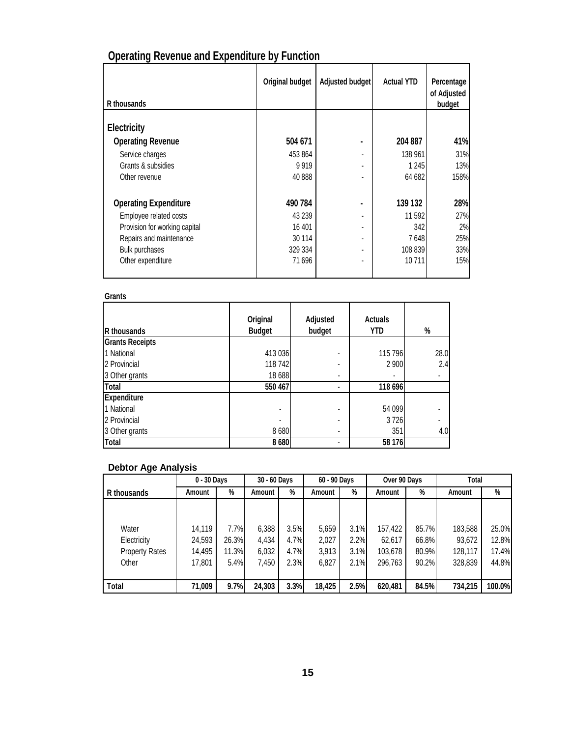| R thousands                   | Original budget | Adjusted budget | <b>Actual YTD</b> | Percentage<br>of Adjusted<br>budget |
|-------------------------------|-----------------|-----------------|-------------------|-------------------------------------|
|                               |                 |                 |                   |                                     |
| Electricity                   |                 |                 |                   |                                     |
| <b>Operating Revenue</b>      | 504 671         |                 | 204 887           | 41%                                 |
| Service charges               | 453 864         |                 | 138 961           | 31%                                 |
| Grants & subsidies            | 9919            |                 | 1 2 4 5           | 13%                                 |
| Other revenue                 | 40 888          |                 | 64 682            | 158%                                |
| <b>Operating Expenditure</b>  | 490 784         |                 | 139 132           | 28%                                 |
| Employee related costs        | 43 239          |                 | 11592             | 27%                                 |
| Provision for working capital | 16 401          | ٠               | 342               | 2%                                  |
| Repairs and maintenance       | 30 114          |                 | 7648              | 25%                                 |
| Bulk purchases                | 329 334         | ٠               | 108 839           | 33%                                 |
| Other expenditure             | 71696           |                 | 10711             | 15%                                 |

## **Operating Revenue and Expenditure by Function**

#### **Grants**

| R thousands            | Original<br><b>Budget</b> | Adjusted<br>budget | <b>Actuals</b><br><b>YTD</b> | %                        |
|------------------------|---------------------------|--------------------|------------------------------|--------------------------|
| <b>Grants Receipts</b> |                           |                    |                              |                          |
| 1 National             | 413 036                   | ٠                  | 115 796                      | 28.0                     |
| 2 Provincial           | 118 742                   | ۰                  | 2 900                        | 2.4                      |
| 3 Other grants         | 18 6 88                   |                    | ۰                            | $\overline{\phantom{a}}$ |
| Total                  | 550 467                   | ٠                  | 118 696                      |                          |
| Expenditure            |                           |                    |                              |                          |
| 1 National             | ۰                         | ٠                  | 54 099                       |                          |
| 2 Provincial           |                           | -                  | 3726                         |                          |
| 3 Other grants         | 8 6 8 0                   | ٠                  | 351                          | 4.0                      |
| <b>Total</b>           | 8680                      | -                  | 58 176                       |                          |

#### **Debtor Age Analysis**

|                       | 0 - 30 Days |       | 30 - 60 Days |      | 60 - 90 Days |      | Over 90 Days |       | Total   |        |
|-----------------------|-------------|-------|--------------|------|--------------|------|--------------|-------|---------|--------|
| R thousands           | Amount      | %     | Amount       | %    | Amount       | %    | Amount       | %     | Amount  | %      |
|                       |             |       |              |      |              |      |              |       |         |        |
|                       |             |       |              |      |              |      |              |       |         |        |
| Water                 | 14.119      | 7.7%  | 6,388        | 3.5% | 5.659        | 3.1% | 157,422      | 85.7% | 183,588 | 25.0%  |
| Electricity           | 24,593      | 26.3% | 4.434        | 4.7% | 2,027        | 2.2% | 62,617       | 66.8% | 93,672  | 12.8%  |
| <b>Property Rates</b> | 14,495      | 11.3% | 6,032        | 4.7% | 3.913        | 3.1% | 103,678      | 80.9% | 128,117 | 17.4%  |
| Other                 | 17,801      | 5.4%  | 7,450        | 2.3% | 6,827        | 2.1% | 296.763      | 90.2% | 328,839 | 44.8%  |
|                       |             |       |              |      |              |      |              |       |         |        |
| Total                 | 71,009      | 9.7%  | 24,303       | 3.3% | 18,425       | 2.5% | 620,481      | 84.5% | 734,215 | 100.0% |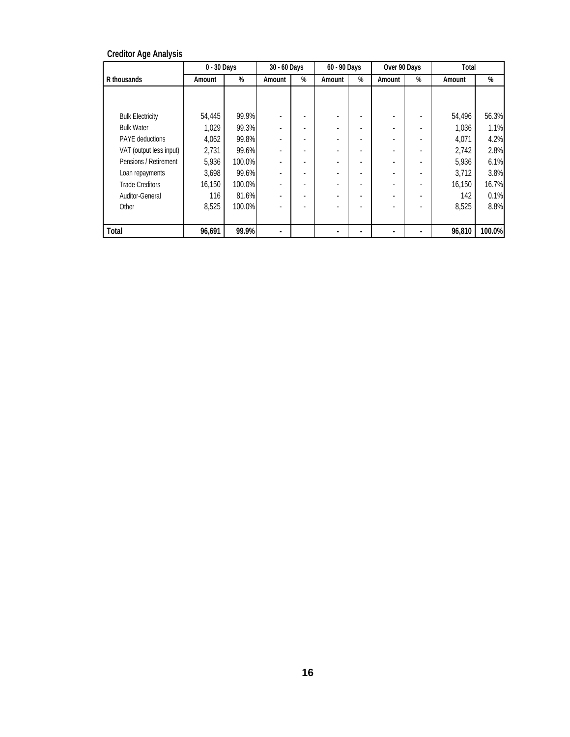#### **Creditor Age Analysis**

|                         | 0 - 30 Days |        | 30 - 60 Days |   | 60 - 90 Days             |   | Over 90 Days |   | Total  |        |
|-------------------------|-------------|--------|--------------|---|--------------------------|---|--------------|---|--------|--------|
| R thousands             | Amount      | %      | Amount       | % | Amount                   | % | Amount       | % | Amount | %      |
|                         |             |        |              |   |                          |   |              |   |        |        |
|                         |             |        |              |   |                          |   |              |   |        |        |
| <b>Bulk Electricity</b> | 54,445      | 99.9%  |              |   |                          |   |              |   | 54,496 | 56.3%  |
| <b>Bulk Water</b>       | 1,029       | 99.3%  |              |   |                          |   |              |   | 1,036  | 1.1%   |
| <b>PAYE</b> deductions  | 4,062       | 99.8%  |              |   |                          |   |              |   | 4,071  | 4.2%   |
| VAT (output less input) | 2,731       | 99.6%  |              |   | $\overline{\phantom{a}}$ |   |              |   | 2,742  | 2.8%   |
| Pensions / Retirement   | 5,936       | 100.0% |              |   | ٠                        |   |              |   | 5,936  | 6.1%   |
| Loan repayments         | 3,698       | 99.6%  |              |   |                          |   |              |   | 3,712  | 3.8%   |
| <b>Trade Creditors</b>  | 16,150      | 100.0% |              |   |                          |   |              |   | 16,150 | 16.7%  |
| Auditor-General         | 116         | 81.6%  |              |   |                          |   |              |   | 142    | 0.1%   |
| Other                   | 8,525       | 100.0% |              |   |                          |   |              |   | 8,525  | 8.8%   |
|                         |             |        |              |   |                          |   |              |   |        |        |
| Total                   | 96,691      | 99.9%  |              |   |                          |   |              |   | 96,810 | 100.0% |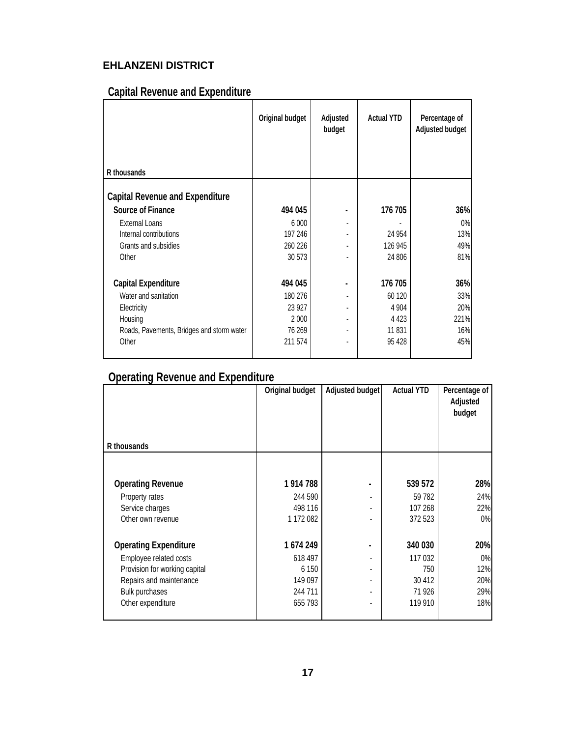### **EHLANZENI DISTRICT**

### **Capital Revenue and Expenditure**

|                                           | Original budget | Adjusted<br>budget       | <b>Actual YTD</b> | Percentage of<br>Adjusted budget |
|-------------------------------------------|-----------------|--------------------------|-------------------|----------------------------------|
|                                           |                 |                          |                   |                                  |
| R thousands                               |                 |                          |                   |                                  |
| <b>Capital Revenue and Expenditure</b>    |                 |                          |                   |                                  |
| Source of Finance                         | 494 045         |                          | 176 705           | 36%                              |
| <b>External Loans</b>                     | 6 0 0 0         | ÷.                       |                   | 0%                               |
| Internal contributions                    | 197 246         | $\overline{\phantom{a}}$ | 24 9 54           | 13%                              |
| Grants and subsidies                      | 260 226         |                          | 126 945           | 49%                              |
| Other                                     | 30 573          |                          | 24 806            | 81%                              |
| Capital Expenditure                       | 494 045         |                          | 176 705           | 36%                              |
| Water and sanitation                      | 180 276         |                          | 60 120            | 33%                              |
| Electricity                               | 23 927          |                          | 4 9 0 4           | 20%                              |
| Housing                                   | 2 0 0 0         | ÷.                       | 4 4 2 3           | 221%                             |
| Roads, Pavements, Bridges and storm water | 76 269          | ٠                        | 11 831            | 16%                              |
| Other                                     | 211 574         |                          | 95 428            | 45%                              |
|                                           |                 |                          |                   |                                  |

### **Operating Revenue and Expenditure**

|                               | Original budget | Adjusted budget | <b>Actual YTD</b> | Percentage of<br>Adjusted<br>budget |
|-------------------------------|-----------------|-----------------|-------------------|-------------------------------------|
| R thousands                   |                 |                 |                   |                                     |
|                               |                 |                 |                   |                                     |
| <b>Operating Revenue</b>      | 1 914 788       |                 | 539 572           | 28%                                 |
| Property rates                | 244 590         |                 | 59 782            | 24%                                 |
| Service charges               | 498 116         |                 | 107 268           | 22%                                 |
| Other own revenue             | 1 172 082       |                 | 372 523           | 0%                                  |
| <b>Operating Expenditure</b>  | 1674249         |                 | 340 030           | 20%                                 |
| Employee related costs        | 618 497         |                 | 117 032           | 0%                                  |
| Provision for working capital | 6 150           | ۰               | 750               | 12%                                 |
| Repairs and maintenance       | 149 097         | ٠               | 30 412            | 20%                                 |
| <b>Bulk purchases</b>         | 244 711         | ٠               | 71926             | 29%                                 |
| Other expenditure             | 655 793         |                 | 119 910           | 18%                                 |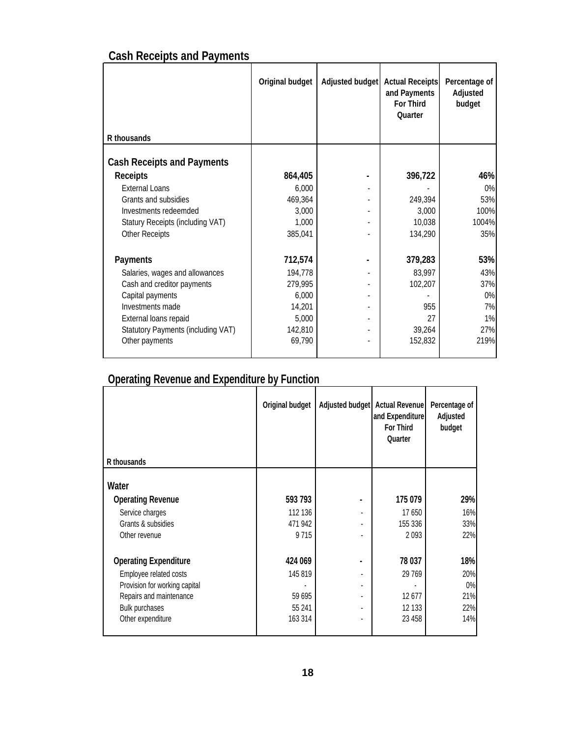## **Cash Receipts and Payments**

|                                    | Original budget | Adjusted budget | <b>Actual Receipts</b><br>and Payments<br>For Third<br>Quarter | Percentage of<br>Adjusted<br>budget |
|------------------------------------|-----------------|-----------------|----------------------------------------------------------------|-------------------------------------|
| R thousands                        |                 |                 |                                                                |                                     |
| <b>Cash Receipts and Payments</b>  |                 |                 |                                                                |                                     |
| <b>Receipts</b>                    | 864,405         |                 | 396,722                                                        | 46%                                 |
| <b>External Loans</b>              | 6,000           |                 |                                                                | 0%                                  |
| Grants and subsidies               | 469,364         |                 | 249,394                                                        | 53%                                 |
| Investments redeemded              | 3,000           |                 | 3,000                                                          | 100%                                |
| Statury Receipts (including VAT)   | 1,000           |                 | 10,038                                                         | 1004%                               |
| Other Receipts                     | 385,041         |                 | 134,290                                                        | 35%                                 |
| Payments                           | 712,574         |                 | 379,283                                                        | 53%                                 |
| Salaries, wages and allowances     | 194,778         |                 | 83,997                                                         | 43%                                 |
| Cash and creditor payments         | 279,995         |                 | 102,207                                                        | 37%                                 |
| Capital payments                   | 6,000           |                 |                                                                | 0%                                  |
| Investments made                   | 14,201          |                 | 955                                                            | 7%                                  |
| External loans repaid              | 5,000           |                 | 27                                                             | 1%                                  |
| Statutory Payments (including VAT) | 142,810         |                 | 39,264                                                         | 27%                                 |
| Other payments                     | 69,790          |                 | 152,832                                                        | 219%                                |
|                                    |                 |                 |                                                                |                                     |

## **Operating Revenue and Expenditure by Function**

| R thousands                   | Original budget | Adjusted budget Actual Revenue | and Expenditure<br>For Third<br>Quarter | Percentage of<br>Adjusted<br>budget |
|-------------------------------|-----------------|--------------------------------|-----------------------------------------|-------------------------------------|
|                               |                 |                                |                                         |                                     |
| Water                         |                 |                                |                                         |                                     |
| <b>Operating Revenue</b>      | 593 793         |                                | 175 079                                 | 29%                                 |
| Service charges               | 112 136         |                                | 17650                                   | 16%                                 |
| Grants & subsidies            | 471 942         | ٠                              | 155 336                                 | 33%                                 |
| Other revenue                 | 9715            |                                | 2093                                    | 22%                                 |
| <b>Operating Expenditure</b>  | 424 069         |                                | 78 037                                  | 18%                                 |
| Employee related costs        | 145 819         |                                | 29 769                                  | 20%                                 |
| Provision for working capital |                 | ٠                              |                                         | 0%                                  |
| Repairs and maintenance       | 59 695          | ٠                              | 12677                                   | 21%                                 |
| Bulk purchases                | 55 241          |                                | 12 133                                  | 22%                                 |
| Other expenditure             | 163 314         | ٠                              | 23 4 58                                 | 14%                                 |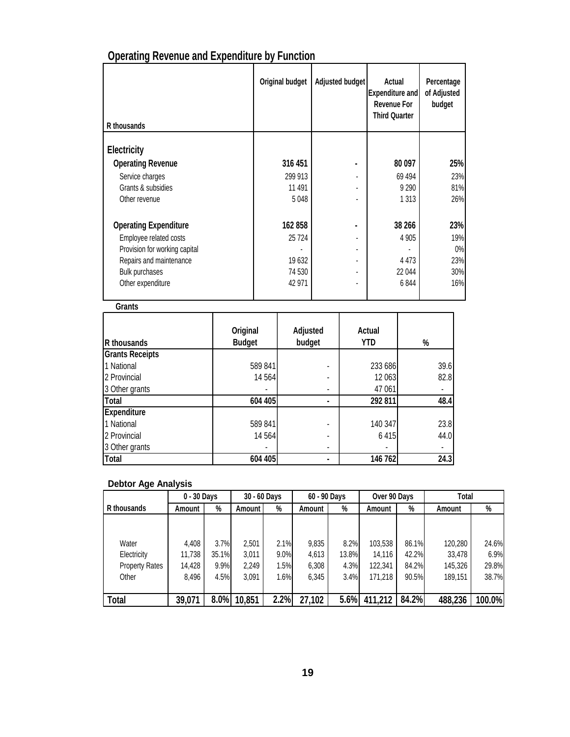| R thousands                   | Original budget | Adjusted budget | Actual<br><b>Expenditure and</b><br>Revenue For<br><b>Third Quarter</b> | Percentage<br>of Adjusted<br>budget |
|-------------------------------|-----------------|-----------------|-------------------------------------------------------------------------|-------------------------------------|
| Electricity                   |                 |                 |                                                                         |                                     |
| <b>Operating Revenue</b>      | 316 451         |                 | 80 097                                                                  | 25%                                 |
|                               |                 |                 |                                                                         |                                     |
| Service charges               | 299 913         |                 | 69 4 94                                                                 | 23%                                 |
| Grants & subsidies            | 11 491          |                 | 9 2 9 0                                                                 | 81%                                 |
| Other revenue                 | 5 0 4 8         |                 | 1 3 1 3                                                                 | 26%                                 |
| <b>Operating Expenditure</b>  | 162858          |                 | 38 266                                                                  | 23%                                 |
| Employee related costs        | 25 7 24         |                 | 4 9 0 5                                                                 | 19%                                 |
| Provision for working capital |                 | ٠               |                                                                         | 0%                                  |
| Repairs and maintenance       | 19 632          |                 | 4 4 7 3                                                                 | 23%                                 |
| Bulk purchases                | 74 530          |                 | 22 044                                                                  | 30%                                 |
| Other expenditure             | 42 971          |                 | 6844                                                                    | 16%                                 |

## **Operating Revenue and Expenditure by Function**

#### **Grants**

| R thousands            | Original<br><b>Budget</b> | Adjusted<br>budget | Actual<br>YTD | %    |
|------------------------|---------------------------|--------------------|---------------|------|
| <b>Grants Receipts</b> |                           |                    |               |      |
| 1 National             | 589 841                   |                    | 233 686       | 39.6 |
| 2 Provincial           | 14 5 64                   |                    | 12 063        | 82.8 |
| 3 Other grants         |                           | ٠                  | 47 061        |      |
| <b>Total</b>           | 604 405                   | $\blacksquare$     | 292 811       | 48.4 |
| Expenditure            |                           |                    |               |      |
| 1 National             | 589 841                   |                    | 140 347       | 23.8 |
| 2 Provincial           | 14 564                    |                    | 6 4 1 5       | 44.0 |
| 3 Other grants         |                           | ٠                  |               |      |
| <b>Total</b>           | 604 405                   |                    | 146 762       | 24.3 |

#### **Debtor Age Analysis**

|                       | 0 - 30 Days |       | 30 - 60 Days |      | 60 - 90 Days |       | Over 90 Days |       | Total   |        |
|-----------------------|-------------|-------|--------------|------|--------------|-------|--------------|-------|---------|--------|
| R thousands           | Amount      | %     | Amount       | %    | Amount       | %     | Amount       | %     | Amount  | %      |
|                       |             |       |              |      |              |       |              |       |         |        |
|                       |             |       |              |      |              |       |              |       |         |        |
| Water                 | 4.408       | 3.7%  | 2.501        | 2.1% | 9.835        | 8.2%  | 103,538      | 86.1% | 120,280 | 24.6%  |
| Electricity           | 11.738      | 35.1% | 3.011        | 9.0% | 4,613        | 13.8% | 14.116       | 42.2% | 33,478  | 6.9%   |
| <b>Property Rates</b> | 14.428      | 9.9%  | 2.249        | 1.5% | 6,308        | 4.3%  | 122,341      | 84.2% | 145,326 | 29.8%  |
| Other                 | 8.496       | 4.5%  | 3.091        | 1.6% | 6,345        | 3.4%  | 171,218      | 90.5% | 189.151 | 38.7%  |
|                       |             |       |              |      |              |       |              |       |         |        |
| Total                 | 39,071      | 8.0%  | 10,851       | 2.2% | 27,102       | 5.6%  | 411,212      | 84.2% | 488,236 | 100.0% |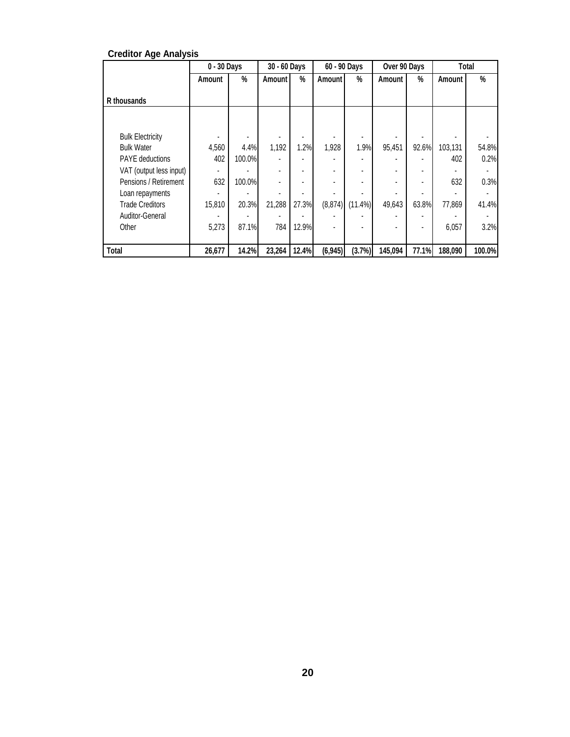|                         | 0 - 30 Days |        | 30 - 60 Days |       | 60 - 90 Days |            | Over 90 Days |                          |         | Total  |
|-------------------------|-------------|--------|--------------|-------|--------------|------------|--------------|--------------------------|---------|--------|
|                         | Amount      | %      | Amount I     | %     | Amount       | %          | Amount       | %                        | Amount  | %      |
| R thousands             |             |        |              |       |              |            |              |                          |         |        |
|                         |             |        |              |       |              |            |              |                          |         |        |
| <b>Bulk Electricity</b> |             |        |              |       |              |            |              |                          |         |        |
| <b>Bulk Water</b>       | 4,560       | 4.4%   | 1,192        | 1.2%  | 1,928        | 1.9%       | 95,451       | 92.6%                    | 103.131 | 54.8%  |
| <b>PAYE</b> deductions  | 402         | 100.0% |              |       |              |            |              |                          | 402     | 0.2%   |
| VAT (output less input) |             |        | ٠            |       |              |            |              | ٠                        |         |        |
| Pensions / Retirement   | 632         | 100.0% | ٠            |       |              |            |              | ٠                        | 632     | 0.3%   |
| Loan repayments         |             |        |              |       |              |            |              |                          |         |        |
| <b>Trade Creditors</b>  | 15,810      | 20.3%  | 21,288       | 27.3% | (8, 874)     | $(11.4\%)$ | 49,643       | 63.8%                    | 77,869  | 41.4%  |
| Auditor-General         |             |        |              |       |              |            |              | $\overline{\phantom{a}}$ |         |        |
| Other                   | 5.273       | 87.1%  | 784          | 12.9% |              |            |              | $\overline{a}$           | 6,057   | 3.2%   |
|                         |             |        |              |       |              |            |              |                          |         |        |
| Total                   | 26,677      | 14.2%  | 23,264       | 12.4% | (6, 945)     | (3.7%)     | 145,094      | 77.1%                    | 188,090 | 100.0% |

#### **Creditor Age Analysis**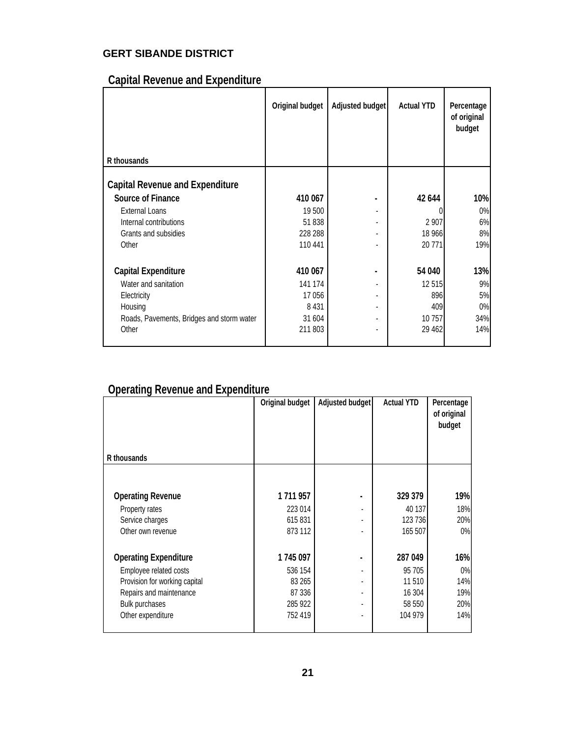### **GERT SIBANDE DISTRICT**

### **Capital Revenue and Expenditure**

|                                           | Original budget | Adjusted budget          | <b>Actual YTD</b> | Percentage<br>of original<br>budget |
|-------------------------------------------|-----------------|--------------------------|-------------------|-------------------------------------|
| R thousands                               |                 |                          |                   |                                     |
| <b>Capital Revenue and Expenditure</b>    |                 |                          |                   |                                     |
| <b>Source of Finance</b>                  | 410 067         |                          | 42 644            | 10%                                 |
| External Loans                            | 19 500          |                          |                   | 0%                                  |
| Internal contributions                    | 51838           |                          | 2 9 0 7           | 6%                                  |
| Grants and subsidies                      | 228 288         |                          | 18 966            | 8%                                  |
| Other                                     | 110 441         |                          | 20 771            | 19%                                 |
|                                           |                 |                          |                   |                                     |
| <b>Capital Expenditure</b>                | 410 067         |                          | 54 040            | 13%                                 |
| Water and sanitation                      | 141 174         |                          | 12 5 15           | 9%                                  |
| Electricity                               | 17 056          |                          | 896               | 5%                                  |
| Housing                                   | 8 4 3 1         | ٠                        | 409               | 0%                                  |
| Roads, Pavements, Bridges and storm water | 31 604          | $\overline{\phantom{a}}$ | 10 757            | 34%                                 |
| Other                                     | 211 803         |                          | 29 4 62           | 14%                                 |
|                                           |                 |                          |                   |                                     |

### **Operating Revenue and Expenditure**

|                               | Original budget | <b>Adjusted budget</b> | <b>Actual YTD</b> | Percentage<br>of original<br>budget |
|-------------------------------|-----------------|------------------------|-------------------|-------------------------------------|
| R thousands                   |                 |                        |                   |                                     |
|                               |                 |                        |                   |                                     |
| <b>Operating Revenue</b>      | 1711957         |                        | 329 379           | 19%                                 |
| Property rates                | 223 014         |                        | 40 137            | 18%                                 |
| Service charges               | 615831          |                        | 123 736           | 20%                                 |
| Other own revenue             | 873 112         |                        | 165 507           | $0\%$                               |
| <b>Operating Expenditure</b>  | 1745 097        |                        | 287 049           | 16%                                 |
| Employee related costs        | 536 154         |                        | 95 705            | 0%                                  |
| Provision for working capital | 83 265          |                        | 11510             | 14%                                 |
| Repairs and maintenance       | 87 336          |                        | 16 304            | 19%                                 |
| Bulk purchases                | 285 922         |                        | 58 550            | 20%                                 |
| Other expenditure             | 752 419         |                        | 104 979           | 14%                                 |
|                               |                 |                        |                   |                                     |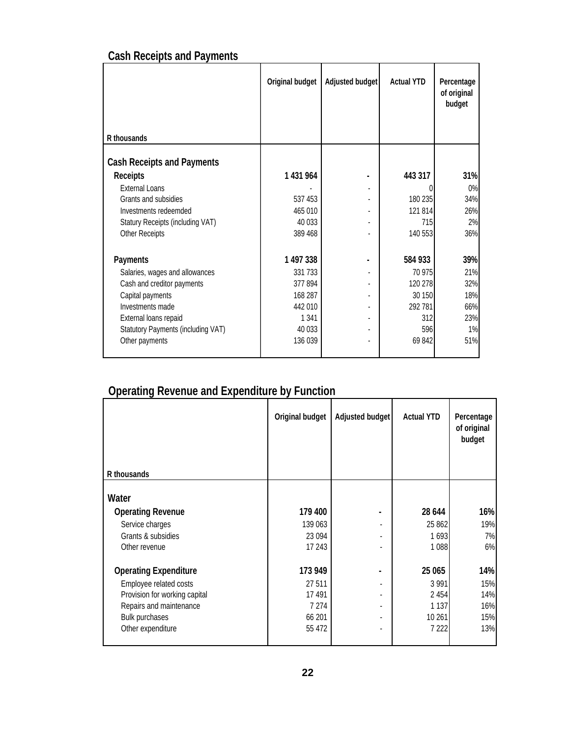## **Cash Receipts and Payments**

|                                    | Original budget | Adjusted budget | <b>Actual YTD</b> | Percentage<br>of original<br>budget |
|------------------------------------|-----------------|-----------------|-------------------|-------------------------------------|
| R thousands                        |                 |                 |                   |                                     |
| <b>Cash Receipts and Payments</b>  |                 |                 |                   |                                     |
| Receipts                           | 1431964         |                 | 443 317           | 31%                                 |
| External Loans                     |                 |                 |                   | $0\%$                               |
| Grants and subsidies               | 537 453         |                 | 180 235           | 34%                                 |
| Investments redeemded              | 465 010         |                 | 121 814           | 26%                                 |
| Statury Receipts (including VAT)   | 40 033          |                 | 715               | 2%                                  |
| <b>Other Receipts</b>              | 389 468         |                 | 140 553           | 36%                                 |
| Payments                           | 1497338         |                 | 584 933           | 39%                                 |
| Salaries, wages and allowances     | 331 733         |                 | 70 975            | 21%                                 |
| Cash and creditor payments         | 377894          |                 | 120 278           | 32%                                 |
| Capital payments                   | 168 287         |                 | 30 150            | 18%                                 |
| Investments made                   | 442 010         |                 | 292 781           | 66%                                 |
| External loans repaid              | 1 3 4 1         |                 | 312               | 23%                                 |
| Statutory Payments (including VAT) | 40 033          |                 | 596               | 1%                                  |
| Other payments                     | 136 039         |                 | 69842             | 51%                                 |
|                                    |                 |                 |                   |                                     |

### **Operating Revenue and Expenditure by Function**

|                               | Original budget | Adjusted budget          | <b>Actual YTD</b> | Percentage<br>of original<br>budget |
|-------------------------------|-----------------|--------------------------|-------------------|-------------------------------------|
| R thousands                   |                 |                          |                   |                                     |
| Water                         |                 |                          |                   |                                     |
| <b>Operating Revenue</b>      | 179 400         |                          | 28 644            | 16%                                 |
| Service charges               | 139 063         |                          | 25 862            | 19%                                 |
| Grants & subsidies            | 23 094          |                          | 1693              | 7%                                  |
| Other revenue                 | 17 243          |                          | 1 0 8 8           | 6%                                  |
| <b>Operating Expenditure</b>  | 173 949         | $\blacksquare$           | 25 065            | 14%                                 |
| Employee related costs        | 27 511          |                          | 3 9 9 1           | 15%                                 |
| Provision for working capital | 17 491          |                          | 2 4 5 4           | 14%                                 |
| Repairs and maintenance       | 7 2 7 4         | $\overline{\phantom{a}}$ | 1 1 3 7           | 16%                                 |
| <b>Bulk purchases</b>         | 66 201          |                          | 10 261            | 15%                                 |
| Other expenditure             | 55 472          |                          | 7 2 2 2           | 13%                                 |
|                               |                 |                          |                   |                                     |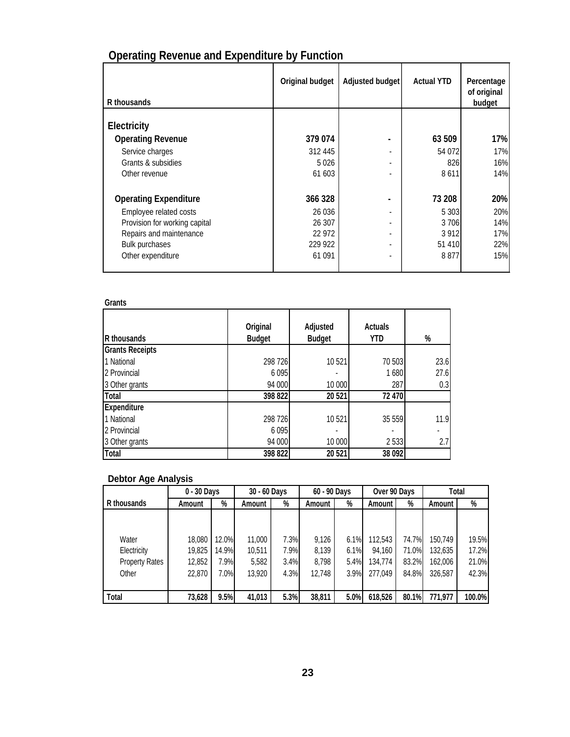| R thousands                   | Original budget | Adjusted budget | <b>Actual YTD</b> | Percentage<br>of original<br>budget |
|-------------------------------|-----------------|-----------------|-------------------|-------------------------------------|
|                               |                 |                 |                   |                                     |
| Electricity                   |                 |                 |                   |                                     |
| <b>Operating Revenue</b>      | 379 074         |                 | 63 509            | 17%                                 |
| Service charges               | 312 445         |                 | 54 072            | 17%                                 |
| Grants & subsidies            | 5026            |                 | 826               | 16%                                 |
| Other revenue                 | 61 603          |                 | 8611              | 14%                                 |
| <b>Operating Expenditure</b>  | 366 328         |                 | 73 208            | 20%                                 |
| Employee related costs        | 26 0 36         |                 | 5 3 0 3           | 20%                                 |
| Provision for working capital | 26 307          |                 | 3 7 0 6           | 14%                                 |
| Repairs and maintenance       | 22 972          |                 | 3 9 1 2           | 17%                                 |
| <b>Bulk purchases</b>         | 229 922         |                 | 51410             | 22%                                 |
| Other expenditure             | 61 091          |                 | 8877              | 15%                                 |

## **Operating Revenue and Expenditure by Function**

#### **Grants**

| R thousands            | Original<br><b>Budget</b> | Adjusted<br><b>Budget</b> | <b>Actuals</b><br>YTD | %    |
|------------------------|---------------------------|---------------------------|-----------------------|------|
| <b>Grants Receipts</b> |                           |                           |                       |      |
| 1 National             | 298 726                   | 10521                     | 70 503                | 23.6 |
| 2 Provincial           | 6095                      |                           | 1680                  | 27.6 |
| 3 Other grants         | 94 000                    | 10 000                    | 287                   | 0.3  |
| Total                  | 398 822                   | 20 521                    | 72 470                |      |
| Expenditure            |                           |                           |                       |      |
| 1 National             | 298 726                   | 10 521                    | 35 559                | 11.9 |
| 2 Provincial           | 6095                      |                           |                       |      |
| 3 Other grants         | 94 000                    | 10 000                    | 2533                  | 2.7  |
| Total                  | 398 822                   | 20 521                    | 38 092                |      |

#### **Debtor Age Analysis**

|                       | 0 - 30 Days |       | 30 - 60 Days |      | 60 - 90 Days |      | Over 90 Days |       | Total   |        |
|-----------------------|-------------|-------|--------------|------|--------------|------|--------------|-------|---------|--------|
| R thousands           | Amount      | %     | Amount       | %    | Amount       | %    | Amount !     | %     | Amount  | %      |
|                       |             |       |              |      |              |      |              |       |         |        |
|                       |             |       |              |      |              |      |              |       |         |        |
| Water                 | 18,080      | 12.0% | 11,000       | 7.3% | 9.126        | 6.1% | 112,543      | 74.7% | 150,749 | 19.5%  |
| Electricity           | 19,825      | 14.9% | 10,511       | 7.9% | 8,139        | 6.1% | 94,160       | 71.0% | 132,635 | 17.2%  |
| <b>Property Rates</b> | 12,852      | 7.9%  | 5,582        | 3.4% | 8.798        | 5.4% | 134,774      | 83.2% | 162,006 | 21.0%  |
| Other                 | 22,870      | 7.0%  | 13,920       | 4.3% | 12,748       | 3.9% | 277,049      | 84.8% | 326,587 | 42.3%  |
|                       |             |       |              |      |              |      |              |       |         |        |
| Total                 | 73,628      | 9.5%  | 41,013       | 5.3% | 38,811       | 5.0% | 618,526      | 80.1% | 771,977 | 100.0% |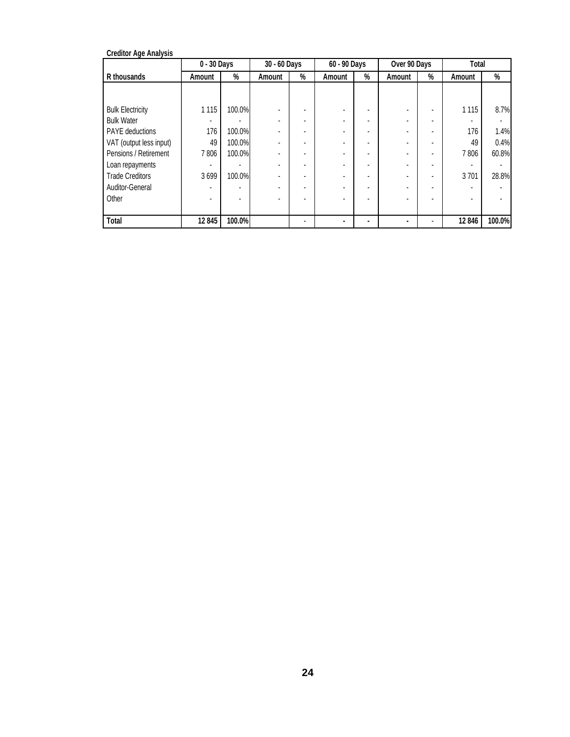| <b>Creditor Age Analysis</b> |             |        |                          |   |                          |   |              |                          |         |        |
|------------------------------|-------------|--------|--------------------------|---|--------------------------|---|--------------|--------------------------|---------|--------|
|                              | 0 - 30 Days |        | 30 - 60 Days             |   | 60 - 90 Days             |   | Over 90 Days |                          | Total   |        |
| R thousands                  | Amount      | %      | Amount                   | % | Amount                   | % | Amount       | %                        | Amount  | %      |
|                              |             |        |                          |   |                          |   |              |                          |         |        |
|                              |             |        |                          |   |                          |   |              |                          |         |        |
| <b>Bulk Electricity</b>      | 1 1 1 5     | 100.0% |                          |   |                          |   |              |                          | 1 1 1 5 | 8.7%   |
| <b>Bulk Water</b>            |             |        |                          |   | $\overline{\phantom{a}}$ |   |              | ٠                        |         |        |
| PAYE deductions              | 176         | 100.0% |                          |   | ٠                        |   |              | ٠                        | 176     | 1.4%   |
| VAT (output less input)      | 49          | 100.0% |                          |   |                          |   |              | $\overline{\phantom{a}}$ | 49      | 0.4%   |
| Pensions / Retirement        | 7806        | 100.0% |                          |   | ٠                        |   |              |                          | 7806    | 60.8%  |
| Loan repayments              |             |        |                          |   | ٠                        |   |              | ٠                        |         |        |
| <b>Trade Creditors</b>       | 3699        | 100.0% |                          |   |                          |   |              | ٠                        | 3 7 0 1 | 28.8%  |
| Auditor-General              |             |        | $\overline{\phantom{a}}$ |   |                          |   |              |                          |         |        |
| Other                        |             |        |                          |   |                          |   |              |                          |         |        |
|                              |             |        |                          |   |                          |   |              |                          |         |        |
| Total                        | 12 845      | 100.0% |                          |   |                          |   |              |                          | 12846   | 100.0% |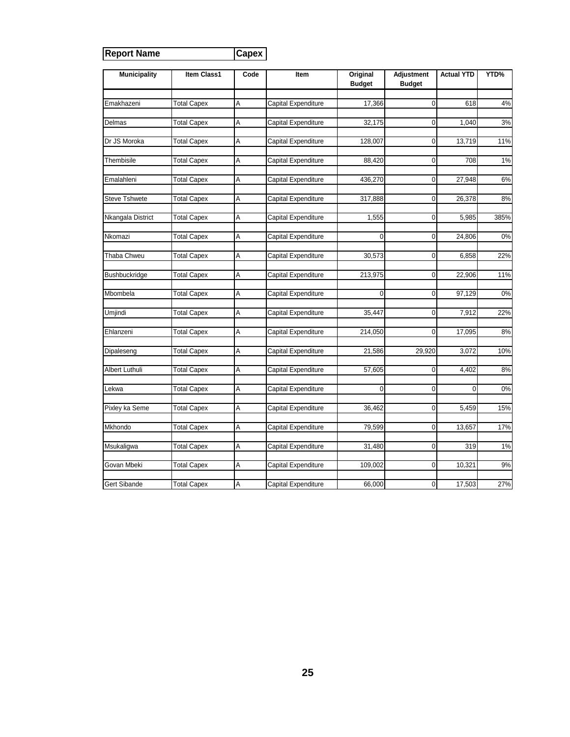| <b>Report Name</b>   |                    | Capex |                     |                           |                             |                   |       |
|----------------------|--------------------|-------|---------------------|---------------------------|-----------------------------|-------------------|-------|
| <b>Municipality</b>  | <b>Item Class1</b> | Code  | Item                | Original<br><b>Budget</b> | Adjustment<br><b>Budget</b> | <b>Actual YTD</b> | YTD%  |
| Emakhazeni           | <b>Total Capex</b> | Α     | Capital Expenditure | 17,366                    | $\mathbf 0$                 | 618               | 4%    |
|                      |                    |       |                     |                           |                             |                   |       |
| Delmas               | <b>Total Capex</b> | Α     | Capital Expenditure | 32,175                    | $\mathbf 0$                 | 1,040             | 3%    |
| Dr JS Moroka         | <b>Total Capex</b> | Α     | Capital Expenditure | 128,007                   | $\mathbf 0$                 | 13,719            | 11%   |
| Thembisile           | <b>Total Capex</b> | А     | Capital Expenditure | 88,420                    | $\mathbf 0$                 | 708               | 1%    |
| Emalahleni           | <b>Total Capex</b> | Α     | Capital Expenditure | 436,270                   | $\mathbf 0$                 | 27,948            | 6%    |
| <b>Steve Tshwete</b> | <b>Total Capex</b> | Α     | Capital Expenditure | 317,888                   | $\mathbf 0$                 | 26,378            | 8%    |
| Nkangala District    | <b>Total Capex</b> | Α     | Capital Expenditure | 1,555                     | $\mathbf 0$                 | 5,985             | 385%  |
| Nkomazi              | <b>Total Capex</b> | Α     | Capital Expenditure | 0                         | $\mathbf 0$                 | 24,806            | $0\%$ |
| Thaba Chweu          | <b>Total Capex</b> | Α     | Capital Expenditure | 30,573                    | $\mathbf 0$                 | 6,858             | 22%   |
| <b>Bushbuckridge</b> | <b>Total Capex</b> | Α     | Capital Expenditure | 213,975                   | $\mathbf 0$                 | 22,906            | 11%   |
| Mbombela             | <b>Total Capex</b> | Α     | Capital Expenditure | $\mathbf 0$               | $\mathbf 0$                 | 97,129            | 0%    |
| Umjindi              | <b>Total Capex</b> | Α     | Capital Expenditure | 35,447                    | $\mathbf 0$                 | 7,912             | 22%   |
| Ehlanzeni            | <b>Total Capex</b> | A     | Capital Expenditure | 214,050                   | $\mathbf 0$                 | 17,095            | 8%    |
| Dipaleseng           | <b>Total Capex</b> | A     | Capital Expenditure | 21,586                    | 29,920                      | 3,072             | 10%   |
| Albert Luthuli       | <b>Total Capex</b> | Α     | Capital Expenditure | 57,605                    | 0                           | 4,402             | 8%    |
| Lekwa                | <b>Total Capex</b> | A     | Capital Expenditure | 0                         | $\mathbf 0$                 | 0                 | 0%    |
| Pixley ka Seme       | <b>Total Capex</b> | Α     | Capital Expenditure | 36,462                    | $\pmb{0}$                   | 5,459             | 15%   |
| Mkhondo              | <b>Total Capex</b> | Α     | Capital Expenditure | 79,599                    | $\mathbf 0$                 | 13,657            | 17%   |
| Msukaligwa           | <b>Total Capex</b> | Α     | Capital Expenditure | 31,480                    | $\mathbf 0$                 | 319               | $1\%$ |
| Govan Mbeki          | <b>Total Capex</b> | Α     | Capital Expenditure | 109,002                   | $\mathbf 0$                 | 10,321            | 9%    |
| <b>Gert Sibande</b>  | <b>Total Capex</b> | A     | Capital Expenditure | 66,000                    | $\Omega$                    | 17,503            | 27%   |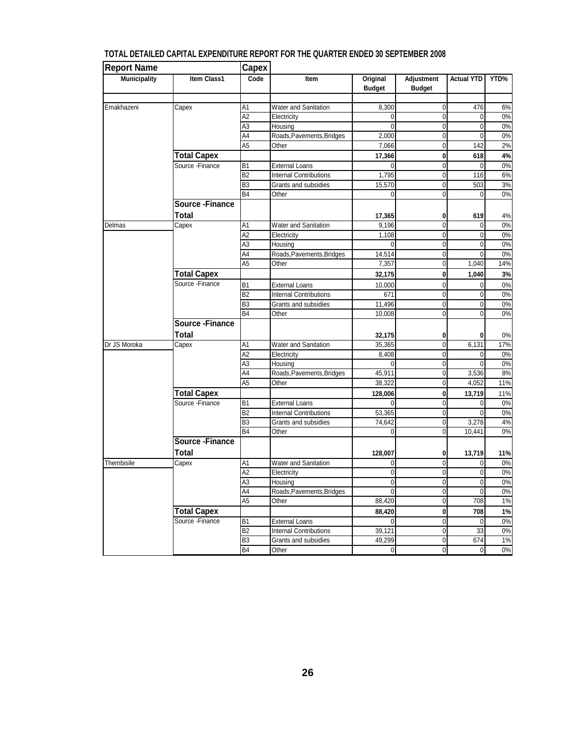| <b>Report Name</b>  |                                | Capex                            |                                      |                           |                               |                   |                |
|---------------------|--------------------------------|----------------------------------|--------------------------------------|---------------------------|-------------------------------|-------------------|----------------|
| <b>Municipality</b> | Item Class1                    | Code                             | Item                                 | Original<br><b>Budget</b> | Adjustment<br><b>Budget</b>   | <b>Actual YTD</b> | YTD%           |
| Emakhazeni          |                                |                                  |                                      |                           |                               |                   |                |
|                     | Capex                          | Α1                               | Water and Sanitation                 | 8,300                     | 0                             | 476               | 6%             |
|                     |                                | A <sub>2</sub>                   | Electricity                          | 0<br>$\Omega$             | $\mathbf 0$<br>$\overline{0}$ | 0                 | $0\%$<br>$0\%$ |
|                     |                                | A3<br>A4                         | Housing<br>Roads, Pavements, Bridges | 2,000                     | $\mathbf 0$                   | 0<br>0            | $0\%$          |
|                     |                                | A <sub>5</sub>                   | Other                                | 7,066                     | $\mathbf 0$                   | 142               | 2%             |
|                     | <b>Total Capex</b>             |                                  |                                      |                           |                               |                   |                |
|                     | Source - Finance               |                                  | <b>External Loans</b>                | 17,366<br>$\Omega$        | $\mathbf 0$<br>$\overline{0}$ | 618<br>0          | 4%<br>0%       |
|                     |                                | B <sub>1</sub><br>B <sub>2</sub> | <b>Internal Contributions</b>        | 1,795                     | $\mathbf 0$                   | 116               | 6%             |
|                     |                                | B <sub>3</sub>                   | Grants and subsidies                 | 15,570                    | $\mathbf 0$                   | 503               | $3%$           |
|                     |                                | B4                               | Other                                | 0                         | $\mathbf 0$                   | 0                 | 0%             |
|                     | <b>Source-Finance</b>          |                                  |                                      |                           |                               |                   |                |
|                     | Total                          |                                  |                                      | 17,365                    | 0                             | 619               | 4%             |
| Delmas              | $\overline{C}$ apex            | A1                               | Water and Sanitation                 | 9,196                     | $\mathbf 0$                   | $\Omega$          | 0%             |
|                     |                                | $\overline{A2}$                  | Electricity                          | 1,108                     | 0                             | 0                 | 0%             |
|                     |                                | A3                               | Housing                              | 0                         | $\mathbf 0$                   | 0                 | 0%             |
|                     |                                | A4                               | Roads, Pavements, Bridges            | 14,514                    | $\mathbf 0$                   | $\Omega$          | $0\%$          |
|                     |                                | A <sub>5</sub>                   | Other                                | 7,357                     | $\mathbf 0$                   | 1,040             | 14%            |
|                     | <b>Total Capex</b>             |                                  |                                      | 32,175                    | $\mathbf 0$                   | 1,040             | 3%             |
|                     | Source - Finance               | B <sub>1</sub>                   | <b>External Loans</b>                | 10,000                    | $\pmb{0}$                     | 0                 | $0\%$          |
|                     |                                | B <sub>2</sub>                   | <b>Internal Contributions</b>        | 671                       | $\pmb{0}$                     | 0                 | $0\%$          |
|                     |                                | B <sub>3</sub>                   | Grants and subsidies                 | 11,496                    | $\pmb{0}$                     | 0                 | $0\%$          |
|                     |                                | <b>B4</b>                        | Other                                | 10,008                    | $\overline{0}$                | $\overline{0}$    | 0%             |
|                     | <b>Source-Finance</b>          |                                  |                                      |                           |                               |                   |                |
|                     | <b>Total</b>                   |                                  |                                      | 32,175                    | 0                             | 0                 | 0%             |
| Dr JS Moroka        | Capex                          | A1                               | Water and Sanitation                 | 35,365                    | $\mathbf 0$                   | 6,131             | 17%            |
|                     |                                | A <sub>2</sub>                   | Electricity                          | 8,408                     | $\pmb{0}$                     | 0                 | $0\%$          |
|                     |                                | A3                               | Housing                              | $\Omega$                  | $\overline{0}$                | $\Omega$          | 0%             |
|                     |                                | A4                               | Roads, Pavements, Bridges            | 45,911                    | 0                             | 3,536             | 8%             |
|                     |                                | A <sub>5</sub>                   | Other                                | 38,322                    | $\mathbf 0$                   | 4,052             | 11%            |
|                     | <b>Total Capex</b>             |                                  |                                      | 128,006                   | 0                             | 13,719            | 11%            |
|                     | Source - Finance               | B <sub>1</sub>                   | <b>External Loans</b>                | $\Omega$                  | $\pmb{0}$                     | 0                 | 0%             |
|                     |                                | B <sub>2</sub>                   | <b>Internal Contributions</b>        | 53,365                    | $\mathbf 0$                   | 0                 | $0\%$          |
|                     |                                | B <sub>3</sub>                   | Grants and subsidies                 | 74,642                    | $\overline{0}$                | 3,278             | 4%             |
|                     |                                | <b>B4</b>                        | Other                                | 0                         | $\mathbf 0$                   | 10,441            | $0\%$          |
|                     | <b>Source-Finance</b><br>Total |                                  |                                      | 128,007                   | 0                             | 13,719            | 11%            |
| Thembisile          | Capex                          | A1                               | <b>Water and Sanitation</b>          | 0                         | $\mathbf 0$                   | 0                 | $0\%$          |
|                     |                                | A2                               | Electricity                          | $\boldsymbol{0}$          | $\overline{0}$                | 0                 | $0\%$          |
|                     |                                | A <sub>3</sub>                   | Housing                              | $\overline{0}$            | 0                             | 0                 | $0\%$          |
|                     |                                | A4                               | Roads, Pavements, Bridges            | $\mathbf 0$               | $\mathbf 0$                   | 0                 | $0\%$          |
|                     |                                | A5                               | Other                                | 88,420                    | $\overline{0}$                | 708               | 1%             |
|                     | <b>Total Capex</b>             |                                  |                                      | 88,420                    | $\mathbf{0}$                  | 708               | 1%             |
|                     | Source - Finance               | <b>B1</b>                        | <b>External Loans</b>                | $\mathbf 0$               | $\mathbf 0$                   | 0                 | 0%             |
|                     |                                | <b>B2</b>                        | <b>Internal Contributions</b>        | 39,121                    | $\overline{0}$                | 33                | $0\%$          |
|                     |                                | B <sub>3</sub>                   | Grants and subsidies                 | 49,299                    | $\overline{0}$                | 674               | 1%             |
|                     |                                | <b>B4</b>                        | Other                                | 0                         | $\pmb{0}$                     | 0                 | $0\%$          |

#### **TOTAL DETAILED CAPITAL EXPENDITURE REPORT FOR THE QUARTER ENDED 30 SEPTEMBER 2008**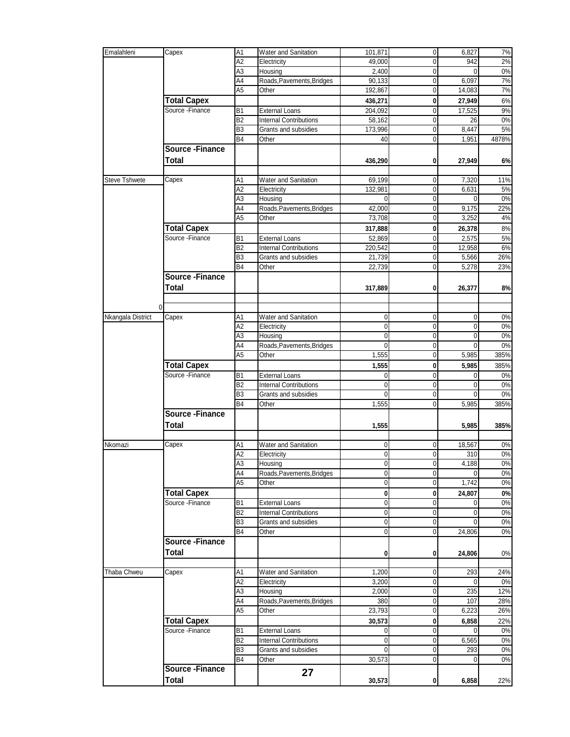| A2<br>49,000<br>0<br>942<br>Electricity<br>A <sub>3</sub><br>Housing<br>2,400<br>$\mathbf 0$<br>Roads, Pavements, Bridges<br>$\mathbf 0$<br>6,097<br>A4<br>90,133<br>7%<br>A <sub>5</sub><br>192,867<br>$\mathbf 0$<br>14,083<br>Other<br><b>Total Capex</b><br>436,271<br>0<br>27,949<br>Source - Finance<br>$\mathbf 0$<br>B1<br><b>External Loans</b><br>204,092<br>17,525<br><b>Internal Contributions</b><br>B <sub>2</sub><br>0<br>58,162<br>26<br>0<br>8,447<br>B <sub>3</sub><br>Grants and subsidies<br>173,996<br>B <sub>4</sub><br>$\mathbf 0$<br>1,951<br>4878%<br>Other<br>40<br><b>Source - Finance</b><br>Total<br>436,290<br>0<br>27,949<br><b>Steve Tshwete</b><br>Water and Sanitation<br>69,199<br>0<br>7,320<br>Capex<br>Α1<br>132,981<br>$\mathbf 0$<br>6,631<br>5%<br>Α2<br>Electricity<br>0%<br>A3<br>Housing<br>$\mathbf 0$<br>0<br>Roads, Pavements, Bridges<br>$\mathbf 0$<br>42,000<br>9,175<br>22%<br>A4<br>A5<br>$\pmb{0}$<br>3,252<br>4%<br>Other<br>73,708<br><b>Total Capex</b><br>317,888<br>$\pmb{0}$<br>26,378<br>8%<br>Source - Finance<br>52,869<br>2,575<br>$5\%$<br>B <sub>1</sub><br><b>External Loans</b><br>0<br>6%<br>B <sub>2</sub><br><b>Internal Contributions</b><br>220,542<br>$\mathbf 0$<br>12,958<br>26%<br>21,739<br>0<br>B <sub>3</sub><br>Grants and subsidies<br>5,566<br>B <sub>4</sub><br>$\mathbf 0$<br>5,278<br>23%<br>Other<br>22,739<br><b>Source - Finance</b><br>Total<br>317,889<br>0<br>26,377<br>8%<br>0<br>Nkangala District<br>Capex<br>A1<br>Water and Sanitation<br>0<br>0%<br>0<br>$\mathbf 0$<br>$\mathbf 0$<br>А2<br>Electricity<br>$0\%$<br>0<br>0<br>0%<br>0<br>A3<br>Housing<br>O<br>Roads, Pavements, Bridges<br>A4<br>0%<br>$\Omega$<br>0<br>0<br>A <sub>5</sub><br>Other<br>1,555<br>$\mathbf 0$<br>5,985<br>385%<br><b>Total Capex</b><br>0<br>1,555<br>5,985<br>385%<br>Source - Finance<br><b>External Loans</b><br>$\mathbf 0$<br>0%<br>B1<br>0<br><b>B2</b><br><b>Internal Contributions</b><br>$\mathbf 0$<br>0%<br>$\Omega$<br>0<br>B <sub>3</sub><br>Grants and subsidies<br>$\mathbf 0$<br>0%<br>$\Omega$<br>0<br><b>B4</b><br>1,555<br>$\mathbf 0$<br>5,985<br>385%<br>Other<br>Source - Finance<br><b>Total</b><br>1,555<br>5,985<br>385%<br><b>Water and Sanitation</b><br>18,567<br>Nkomazi<br>Capex<br>0<br>0%<br>A1<br>0<br>0<br>$\mathbf 0$<br>$0\%$<br>Α2<br>310<br>Electricity<br>A3<br>4,188<br>$0\%$<br>Housing<br>0<br>0<br>0<br>0<br>A4<br>Roads, Pavements, Bridges<br>0%<br>$\Omega$<br>1,742<br>A5<br>$0\%$<br>Other<br>0<br>$\overline{0}$<br><b>Total Capex</b><br>$\bf{0}$<br>$0\%$<br>0<br>24,807<br>Source - Finance<br>0%<br>B <sub>1</sub><br><b>External Loans</b><br>0<br>$\Omega$<br>$\mathbf 0$<br>B <sub>2</sub><br>0<br><b>Internal Contributions</b><br>0<br>Grants and subsidies<br>$\boldsymbol{0}$<br>B3<br>0<br>0<br>B4<br>0<br>0<br>24,806<br>Other<br><b>Source - Finance</b><br>Total<br>24,806<br>0<br>0<br>0%<br>Thaba Chweu<br>Capex<br>A1<br>Water and Sanitation<br>1,200<br>0<br>293<br>3,200<br>0<br>Α2<br>Electricity<br>0<br>2,000<br>$\mathbf 0$<br>235<br>А3<br>Housing<br>Roads, Pavements, Bridges<br>A4<br>380<br>$\mathbf 0$<br>107<br>$\mathbf 0$<br>A5<br>Other<br>23,793<br>6,223<br><b>Total Capex</b><br>30,573<br>0<br>6,858<br>Source - Finance<br>B1<br><b>External Loans</b><br>0<br>0<br>B <sub>2</sub><br><b>Internal Contributions</b><br>0<br>6,565<br>0<br>B <sub>3</sub><br>293<br>Grants and subsidies<br>$\mathbf 0$<br>0<br><b>B4</b><br>Other<br>30,573<br>$\mathbf 0$<br>0<br><b>Source-Finance</b><br>27<br>Total<br>30,573<br>$\bf{0}$<br>6,858 | Emalahleni | Capex | A <sub>1</sub> | Water and Sanitation | 101,871 | $\mathbf 0$ | 6,827 | 7%    |
|-------------------------------------------------------------------------------------------------------------------------------------------------------------------------------------------------------------------------------------------------------------------------------------------------------------------------------------------------------------------------------------------------------------------------------------------------------------------------------------------------------------------------------------------------------------------------------------------------------------------------------------------------------------------------------------------------------------------------------------------------------------------------------------------------------------------------------------------------------------------------------------------------------------------------------------------------------------------------------------------------------------------------------------------------------------------------------------------------------------------------------------------------------------------------------------------------------------------------------------------------------------------------------------------------------------------------------------------------------------------------------------------------------------------------------------------------------------------------------------------------------------------------------------------------------------------------------------------------------------------------------------------------------------------------------------------------------------------------------------------------------------------------------------------------------------------------------------------------------------------------------------------------------------------------------------------------------------------------------------------------------------------------------------------------------------------------------------------------------------------------------------------------------------------------------------------------------------------------------------------------------------------------------------------------------------------------------------------------------------------------------------------------------------------------------------------------------------------------------------------------------------------------------------------------------------------------------------------------------------------------------------------------------------------------------------------------------------------------------------------------------------------------------------------------------------------------------------------------------------------------------------------------------------------------------------------------------------------------------------------------------------------------------------------------------------------------------------------------------------------------------------------------------------------------------------------------------------------------------------------------------------------------------------------------------------------------------------------------------------------------------------------------------------------------------------------------------------------------------------------------------------------------------------------------------------------------------------------------------------------|------------|-------|----------------|----------------------|---------|-------------|-------|-------|
|                                                                                                                                                                                                                                                                                                                                                                                                                                                                                                                                                                                                                                                                                                                                                                                                                                                                                                                                                                                                                                                                                                                                                                                                                                                                                                                                                                                                                                                                                                                                                                                                                                                                                                                                                                                                                                                                                                                                                                                                                                                                                                                                                                                                                                                                                                                                                                                                                                                                                                                                                                                                                                                                                                                                                                                                                                                                                                                                                                                                                                                                                                                                                                                                                                                                                                                                                                                                                                                                                                                                                                                                                   |            |       |                |                      |         |             |       | 2%    |
|                                                                                                                                                                                                                                                                                                                                                                                                                                                                                                                                                                                                                                                                                                                                                                                                                                                                                                                                                                                                                                                                                                                                                                                                                                                                                                                                                                                                                                                                                                                                                                                                                                                                                                                                                                                                                                                                                                                                                                                                                                                                                                                                                                                                                                                                                                                                                                                                                                                                                                                                                                                                                                                                                                                                                                                                                                                                                                                                                                                                                                                                                                                                                                                                                                                                                                                                                                                                                                                                                                                                                                                                                   |            |       |                |                      |         |             |       | $0\%$ |
|                                                                                                                                                                                                                                                                                                                                                                                                                                                                                                                                                                                                                                                                                                                                                                                                                                                                                                                                                                                                                                                                                                                                                                                                                                                                                                                                                                                                                                                                                                                                                                                                                                                                                                                                                                                                                                                                                                                                                                                                                                                                                                                                                                                                                                                                                                                                                                                                                                                                                                                                                                                                                                                                                                                                                                                                                                                                                                                                                                                                                                                                                                                                                                                                                                                                                                                                                                                                                                                                                                                                                                                                                   |            |       |                |                      |         |             |       | $7\%$ |
|                                                                                                                                                                                                                                                                                                                                                                                                                                                                                                                                                                                                                                                                                                                                                                                                                                                                                                                                                                                                                                                                                                                                                                                                                                                                                                                                                                                                                                                                                                                                                                                                                                                                                                                                                                                                                                                                                                                                                                                                                                                                                                                                                                                                                                                                                                                                                                                                                                                                                                                                                                                                                                                                                                                                                                                                                                                                                                                                                                                                                                                                                                                                                                                                                                                                                                                                                                                                                                                                                                                                                                                                                   |            |       |                |                      |         |             |       |       |
|                                                                                                                                                                                                                                                                                                                                                                                                                                                                                                                                                                                                                                                                                                                                                                                                                                                                                                                                                                                                                                                                                                                                                                                                                                                                                                                                                                                                                                                                                                                                                                                                                                                                                                                                                                                                                                                                                                                                                                                                                                                                                                                                                                                                                                                                                                                                                                                                                                                                                                                                                                                                                                                                                                                                                                                                                                                                                                                                                                                                                                                                                                                                                                                                                                                                                                                                                                                                                                                                                                                                                                                                                   |            |       |                |                      |         |             |       | 6%    |
|                                                                                                                                                                                                                                                                                                                                                                                                                                                                                                                                                                                                                                                                                                                                                                                                                                                                                                                                                                                                                                                                                                                                                                                                                                                                                                                                                                                                                                                                                                                                                                                                                                                                                                                                                                                                                                                                                                                                                                                                                                                                                                                                                                                                                                                                                                                                                                                                                                                                                                                                                                                                                                                                                                                                                                                                                                                                                                                                                                                                                                                                                                                                                                                                                                                                                                                                                                                                                                                                                                                                                                                                                   |            |       |                |                      |         |             |       | 9%    |
|                                                                                                                                                                                                                                                                                                                                                                                                                                                                                                                                                                                                                                                                                                                                                                                                                                                                                                                                                                                                                                                                                                                                                                                                                                                                                                                                                                                                                                                                                                                                                                                                                                                                                                                                                                                                                                                                                                                                                                                                                                                                                                                                                                                                                                                                                                                                                                                                                                                                                                                                                                                                                                                                                                                                                                                                                                                                                                                                                                                                                                                                                                                                                                                                                                                                                                                                                                                                                                                                                                                                                                                                                   |            |       |                |                      |         |             |       | 0%    |
|                                                                                                                                                                                                                                                                                                                                                                                                                                                                                                                                                                                                                                                                                                                                                                                                                                                                                                                                                                                                                                                                                                                                                                                                                                                                                                                                                                                                                                                                                                                                                                                                                                                                                                                                                                                                                                                                                                                                                                                                                                                                                                                                                                                                                                                                                                                                                                                                                                                                                                                                                                                                                                                                                                                                                                                                                                                                                                                                                                                                                                                                                                                                                                                                                                                                                                                                                                                                                                                                                                                                                                                                                   |            |       |                |                      |         |             |       | 5%    |
|                                                                                                                                                                                                                                                                                                                                                                                                                                                                                                                                                                                                                                                                                                                                                                                                                                                                                                                                                                                                                                                                                                                                                                                                                                                                                                                                                                                                                                                                                                                                                                                                                                                                                                                                                                                                                                                                                                                                                                                                                                                                                                                                                                                                                                                                                                                                                                                                                                                                                                                                                                                                                                                                                                                                                                                                                                                                                                                                                                                                                                                                                                                                                                                                                                                                                                                                                                                                                                                                                                                                                                                                                   |            |       |                |                      |         |             |       |       |
|                                                                                                                                                                                                                                                                                                                                                                                                                                                                                                                                                                                                                                                                                                                                                                                                                                                                                                                                                                                                                                                                                                                                                                                                                                                                                                                                                                                                                                                                                                                                                                                                                                                                                                                                                                                                                                                                                                                                                                                                                                                                                                                                                                                                                                                                                                                                                                                                                                                                                                                                                                                                                                                                                                                                                                                                                                                                                                                                                                                                                                                                                                                                                                                                                                                                                                                                                                                                                                                                                                                                                                                                                   |            |       |                |                      |         |             |       |       |
|                                                                                                                                                                                                                                                                                                                                                                                                                                                                                                                                                                                                                                                                                                                                                                                                                                                                                                                                                                                                                                                                                                                                                                                                                                                                                                                                                                                                                                                                                                                                                                                                                                                                                                                                                                                                                                                                                                                                                                                                                                                                                                                                                                                                                                                                                                                                                                                                                                                                                                                                                                                                                                                                                                                                                                                                                                                                                                                                                                                                                                                                                                                                                                                                                                                                                                                                                                                                                                                                                                                                                                                                                   |            |       |                |                      |         |             |       | 6%    |
|                                                                                                                                                                                                                                                                                                                                                                                                                                                                                                                                                                                                                                                                                                                                                                                                                                                                                                                                                                                                                                                                                                                                                                                                                                                                                                                                                                                                                                                                                                                                                                                                                                                                                                                                                                                                                                                                                                                                                                                                                                                                                                                                                                                                                                                                                                                                                                                                                                                                                                                                                                                                                                                                                                                                                                                                                                                                                                                                                                                                                                                                                                                                                                                                                                                                                                                                                                                                                                                                                                                                                                                                                   |            |       |                |                      |         |             |       |       |
|                                                                                                                                                                                                                                                                                                                                                                                                                                                                                                                                                                                                                                                                                                                                                                                                                                                                                                                                                                                                                                                                                                                                                                                                                                                                                                                                                                                                                                                                                                                                                                                                                                                                                                                                                                                                                                                                                                                                                                                                                                                                                                                                                                                                                                                                                                                                                                                                                                                                                                                                                                                                                                                                                                                                                                                                                                                                                                                                                                                                                                                                                                                                                                                                                                                                                                                                                                                                                                                                                                                                                                                                                   |            |       |                |                      |         |             |       | 11%   |
|                                                                                                                                                                                                                                                                                                                                                                                                                                                                                                                                                                                                                                                                                                                                                                                                                                                                                                                                                                                                                                                                                                                                                                                                                                                                                                                                                                                                                                                                                                                                                                                                                                                                                                                                                                                                                                                                                                                                                                                                                                                                                                                                                                                                                                                                                                                                                                                                                                                                                                                                                                                                                                                                                                                                                                                                                                                                                                                                                                                                                                                                                                                                                                                                                                                                                                                                                                                                                                                                                                                                                                                                                   |            |       |                |                      |         |             |       |       |
|                                                                                                                                                                                                                                                                                                                                                                                                                                                                                                                                                                                                                                                                                                                                                                                                                                                                                                                                                                                                                                                                                                                                                                                                                                                                                                                                                                                                                                                                                                                                                                                                                                                                                                                                                                                                                                                                                                                                                                                                                                                                                                                                                                                                                                                                                                                                                                                                                                                                                                                                                                                                                                                                                                                                                                                                                                                                                                                                                                                                                                                                                                                                                                                                                                                                                                                                                                                                                                                                                                                                                                                                                   |            |       |                |                      |         |             |       |       |
|                                                                                                                                                                                                                                                                                                                                                                                                                                                                                                                                                                                                                                                                                                                                                                                                                                                                                                                                                                                                                                                                                                                                                                                                                                                                                                                                                                                                                                                                                                                                                                                                                                                                                                                                                                                                                                                                                                                                                                                                                                                                                                                                                                                                                                                                                                                                                                                                                                                                                                                                                                                                                                                                                                                                                                                                                                                                                                                                                                                                                                                                                                                                                                                                                                                                                                                                                                                                                                                                                                                                                                                                                   |            |       |                |                      |         |             |       |       |
|                                                                                                                                                                                                                                                                                                                                                                                                                                                                                                                                                                                                                                                                                                                                                                                                                                                                                                                                                                                                                                                                                                                                                                                                                                                                                                                                                                                                                                                                                                                                                                                                                                                                                                                                                                                                                                                                                                                                                                                                                                                                                                                                                                                                                                                                                                                                                                                                                                                                                                                                                                                                                                                                                                                                                                                                                                                                                                                                                                                                                                                                                                                                                                                                                                                                                                                                                                                                                                                                                                                                                                                                                   |            |       |                |                      |         |             |       |       |
|                                                                                                                                                                                                                                                                                                                                                                                                                                                                                                                                                                                                                                                                                                                                                                                                                                                                                                                                                                                                                                                                                                                                                                                                                                                                                                                                                                                                                                                                                                                                                                                                                                                                                                                                                                                                                                                                                                                                                                                                                                                                                                                                                                                                                                                                                                                                                                                                                                                                                                                                                                                                                                                                                                                                                                                                                                                                                                                                                                                                                                                                                                                                                                                                                                                                                                                                                                                                                                                                                                                                                                                                                   |            |       |                |                      |         |             |       |       |
|                                                                                                                                                                                                                                                                                                                                                                                                                                                                                                                                                                                                                                                                                                                                                                                                                                                                                                                                                                                                                                                                                                                                                                                                                                                                                                                                                                                                                                                                                                                                                                                                                                                                                                                                                                                                                                                                                                                                                                                                                                                                                                                                                                                                                                                                                                                                                                                                                                                                                                                                                                                                                                                                                                                                                                                                                                                                                                                                                                                                                                                                                                                                                                                                                                                                                                                                                                                                                                                                                                                                                                                                                   |            |       |                |                      |         |             |       |       |
|                                                                                                                                                                                                                                                                                                                                                                                                                                                                                                                                                                                                                                                                                                                                                                                                                                                                                                                                                                                                                                                                                                                                                                                                                                                                                                                                                                                                                                                                                                                                                                                                                                                                                                                                                                                                                                                                                                                                                                                                                                                                                                                                                                                                                                                                                                                                                                                                                                                                                                                                                                                                                                                                                                                                                                                                                                                                                                                                                                                                                                                                                                                                                                                                                                                                                                                                                                                                                                                                                                                                                                                                                   |            |       |                |                      |         |             |       |       |
|                                                                                                                                                                                                                                                                                                                                                                                                                                                                                                                                                                                                                                                                                                                                                                                                                                                                                                                                                                                                                                                                                                                                                                                                                                                                                                                                                                                                                                                                                                                                                                                                                                                                                                                                                                                                                                                                                                                                                                                                                                                                                                                                                                                                                                                                                                                                                                                                                                                                                                                                                                                                                                                                                                                                                                                                                                                                                                                                                                                                                                                                                                                                                                                                                                                                                                                                                                                                                                                                                                                                                                                                                   |            |       |                |                      |         |             |       |       |
|                                                                                                                                                                                                                                                                                                                                                                                                                                                                                                                                                                                                                                                                                                                                                                                                                                                                                                                                                                                                                                                                                                                                                                                                                                                                                                                                                                                                                                                                                                                                                                                                                                                                                                                                                                                                                                                                                                                                                                                                                                                                                                                                                                                                                                                                                                                                                                                                                                                                                                                                                                                                                                                                                                                                                                                                                                                                                                                                                                                                                                                                                                                                                                                                                                                                                                                                                                                                                                                                                                                                                                                                                   |            |       |                |                      |         |             |       |       |
|                                                                                                                                                                                                                                                                                                                                                                                                                                                                                                                                                                                                                                                                                                                                                                                                                                                                                                                                                                                                                                                                                                                                                                                                                                                                                                                                                                                                                                                                                                                                                                                                                                                                                                                                                                                                                                                                                                                                                                                                                                                                                                                                                                                                                                                                                                                                                                                                                                                                                                                                                                                                                                                                                                                                                                                                                                                                                                                                                                                                                                                                                                                                                                                                                                                                                                                                                                                                                                                                                                                                                                                                                   |            |       |                |                      |         |             |       |       |
|                                                                                                                                                                                                                                                                                                                                                                                                                                                                                                                                                                                                                                                                                                                                                                                                                                                                                                                                                                                                                                                                                                                                                                                                                                                                                                                                                                                                                                                                                                                                                                                                                                                                                                                                                                                                                                                                                                                                                                                                                                                                                                                                                                                                                                                                                                                                                                                                                                                                                                                                                                                                                                                                                                                                                                                                                                                                                                                                                                                                                                                                                                                                                                                                                                                                                                                                                                                                                                                                                                                                                                                                                   |            |       |                |                      |         |             |       |       |
|                                                                                                                                                                                                                                                                                                                                                                                                                                                                                                                                                                                                                                                                                                                                                                                                                                                                                                                                                                                                                                                                                                                                                                                                                                                                                                                                                                                                                                                                                                                                                                                                                                                                                                                                                                                                                                                                                                                                                                                                                                                                                                                                                                                                                                                                                                                                                                                                                                                                                                                                                                                                                                                                                                                                                                                                                                                                                                                                                                                                                                                                                                                                                                                                                                                                                                                                                                                                                                                                                                                                                                                                                   |            |       |                |                      |         |             |       |       |
|                                                                                                                                                                                                                                                                                                                                                                                                                                                                                                                                                                                                                                                                                                                                                                                                                                                                                                                                                                                                                                                                                                                                                                                                                                                                                                                                                                                                                                                                                                                                                                                                                                                                                                                                                                                                                                                                                                                                                                                                                                                                                                                                                                                                                                                                                                                                                                                                                                                                                                                                                                                                                                                                                                                                                                                                                                                                                                                                                                                                                                                                                                                                                                                                                                                                                                                                                                                                                                                                                                                                                                                                                   |            |       |                |                      |         |             |       |       |
|                                                                                                                                                                                                                                                                                                                                                                                                                                                                                                                                                                                                                                                                                                                                                                                                                                                                                                                                                                                                                                                                                                                                                                                                                                                                                                                                                                                                                                                                                                                                                                                                                                                                                                                                                                                                                                                                                                                                                                                                                                                                                                                                                                                                                                                                                                                                                                                                                                                                                                                                                                                                                                                                                                                                                                                                                                                                                                                                                                                                                                                                                                                                                                                                                                                                                                                                                                                                                                                                                                                                                                                                                   |            |       |                |                      |         |             |       |       |
|                                                                                                                                                                                                                                                                                                                                                                                                                                                                                                                                                                                                                                                                                                                                                                                                                                                                                                                                                                                                                                                                                                                                                                                                                                                                                                                                                                                                                                                                                                                                                                                                                                                                                                                                                                                                                                                                                                                                                                                                                                                                                                                                                                                                                                                                                                                                                                                                                                                                                                                                                                                                                                                                                                                                                                                                                                                                                                                                                                                                                                                                                                                                                                                                                                                                                                                                                                                                                                                                                                                                                                                                                   |            |       |                |                      |         |             |       |       |
|                                                                                                                                                                                                                                                                                                                                                                                                                                                                                                                                                                                                                                                                                                                                                                                                                                                                                                                                                                                                                                                                                                                                                                                                                                                                                                                                                                                                                                                                                                                                                                                                                                                                                                                                                                                                                                                                                                                                                                                                                                                                                                                                                                                                                                                                                                                                                                                                                                                                                                                                                                                                                                                                                                                                                                                                                                                                                                                                                                                                                                                                                                                                                                                                                                                                                                                                                                                                                                                                                                                                                                                                                   |            |       |                |                      |         |             |       |       |
|                                                                                                                                                                                                                                                                                                                                                                                                                                                                                                                                                                                                                                                                                                                                                                                                                                                                                                                                                                                                                                                                                                                                                                                                                                                                                                                                                                                                                                                                                                                                                                                                                                                                                                                                                                                                                                                                                                                                                                                                                                                                                                                                                                                                                                                                                                                                                                                                                                                                                                                                                                                                                                                                                                                                                                                                                                                                                                                                                                                                                                                                                                                                                                                                                                                                                                                                                                                                                                                                                                                                                                                                                   |            |       |                |                      |         |             |       |       |
|                                                                                                                                                                                                                                                                                                                                                                                                                                                                                                                                                                                                                                                                                                                                                                                                                                                                                                                                                                                                                                                                                                                                                                                                                                                                                                                                                                                                                                                                                                                                                                                                                                                                                                                                                                                                                                                                                                                                                                                                                                                                                                                                                                                                                                                                                                                                                                                                                                                                                                                                                                                                                                                                                                                                                                                                                                                                                                                                                                                                                                                                                                                                                                                                                                                                                                                                                                                                                                                                                                                                                                                                                   |            |       |                |                      |         |             |       |       |
|                                                                                                                                                                                                                                                                                                                                                                                                                                                                                                                                                                                                                                                                                                                                                                                                                                                                                                                                                                                                                                                                                                                                                                                                                                                                                                                                                                                                                                                                                                                                                                                                                                                                                                                                                                                                                                                                                                                                                                                                                                                                                                                                                                                                                                                                                                                                                                                                                                                                                                                                                                                                                                                                                                                                                                                                                                                                                                                                                                                                                                                                                                                                                                                                                                                                                                                                                                                                                                                                                                                                                                                                                   |            |       |                |                      |         |             |       |       |
|                                                                                                                                                                                                                                                                                                                                                                                                                                                                                                                                                                                                                                                                                                                                                                                                                                                                                                                                                                                                                                                                                                                                                                                                                                                                                                                                                                                                                                                                                                                                                                                                                                                                                                                                                                                                                                                                                                                                                                                                                                                                                                                                                                                                                                                                                                                                                                                                                                                                                                                                                                                                                                                                                                                                                                                                                                                                                                                                                                                                                                                                                                                                                                                                                                                                                                                                                                                                                                                                                                                                                                                                                   |            |       |                |                      |         |             |       |       |
|                                                                                                                                                                                                                                                                                                                                                                                                                                                                                                                                                                                                                                                                                                                                                                                                                                                                                                                                                                                                                                                                                                                                                                                                                                                                                                                                                                                                                                                                                                                                                                                                                                                                                                                                                                                                                                                                                                                                                                                                                                                                                                                                                                                                                                                                                                                                                                                                                                                                                                                                                                                                                                                                                                                                                                                                                                                                                                                                                                                                                                                                                                                                                                                                                                                                                                                                                                                                                                                                                                                                                                                                                   |            |       |                |                      |         |             |       |       |
|                                                                                                                                                                                                                                                                                                                                                                                                                                                                                                                                                                                                                                                                                                                                                                                                                                                                                                                                                                                                                                                                                                                                                                                                                                                                                                                                                                                                                                                                                                                                                                                                                                                                                                                                                                                                                                                                                                                                                                                                                                                                                                                                                                                                                                                                                                                                                                                                                                                                                                                                                                                                                                                                                                                                                                                                                                                                                                                                                                                                                                                                                                                                                                                                                                                                                                                                                                                                                                                                                                                                                                                                                   |            |       |                |                      |         |             |       |       |
|                                                                                                                                                                                                                                                                                                                                                                                                                                                                                                                                                                                                                                                                                                                                                                                                                                                                                                                                                                                                                                                                                                                                                                                                                                                                                                                                                                                                                                                                                                                                                                                                                                                                                                                                                                                                                                                                                                                                                                                                                                                                                                                                                                                                                                                                                                                                                                                                                                                                                                                                                                                                                                                                                                                                                                                                                                                                                                                                                                                                                                                                                                                                                                                                                                                                                                                                                                                                                                                                                                                                                                                                                   |            |       |                |                      |         |             |       |       |
|                                                                                                                                                                                                                                                                                                                                                                                                                                                                                                                                                                                                                                                                                                                                                                                                                                                                                                                                                                                                                                                                                                                                                                                                                                                                                                                                                                                                                                                                                                                                                                                                                                                                                                                                                                                                                                                                                                                                                                                                                                                                                                                                                                                                                                                                                                                                                                                                                                                                                                                                                                                                                                                                                                                                                                                                                                                                                                                                                                                                                                                                                                                                                                                                                                                                                                                                                                                                                                                                                                                                                                                                                   |            |       |                |                      |         |             |       |       |
|                                                                                                                                                                                                                                                                                                                                                                                                                                                                                                                                                                                                                                                                                                                                                                                                                                                                                                                                                                                                                                                                                                                                                                                                                                                                                                                                                                                                                                                                                                                                                                                                                                                                                                                                                                                                                                                                                                                                                                                                                                                                                                                                                                                                                                                                                                                                                                                                                                                                                                                                                                                                                                                                                                                                                                                                                                                                                                                                                                                                                                                                                                                                                                                                                                                                                                                                                                                                                                                                                                                                                                                                                   |            |       |                |                      |         |             |       |       |
|                                                                                                                                                                                                                                                                                                                                                                                                                                                                                                                                                                                                                                                                                                                                                                                                                                                                                                                                                                                                                                                                                                                                                                                                                                                                                                                                                                                                                                                                                                                                                                                                                                                                                                                                                                                                                                                                                                                                                                                                                                                                                                                                                                                                                                                                                                                                                                                                                                                                                                                                                                                                                                                                                                                                                                                                                                                                                                                                                                                                                                                                                                                                                                                                                                                                                                                                                                                                                                                                                                                                                                                                                   |            |       |                |                      |         |             |       |       |
|                                                                                                                                                                                                                                                                                                                                                                                                                                                                                                                                                                                                                                                                                                                                                                                                                                                                                                                                                                                                                                                                                                                                                                                                                                                                                                                                                                                                                                                                                                                                                                                                                                                                                                                                                                                                                                                                                                                                                                                                                                                                                                                                                                                                                                                                                                                                                                                                                                                                                                                                                                                                                                                                                                                                                                                                                                                                                                                                                                                                                                                                                                                                                                                                                                                                                                                                                                                                                                                                                                                                                                                                                   |            |       |                |                      |         |             |       |       |
|                                                                                                                                                                                                                                                                                                                                                                                                                                                                                                                                                                                                                                                                                                                                                                                                                                                                                                                                                                                                                                                                                                                                                                                                                                                                                                                                                                                                                                                                                                                                                                                                                                                                                                                                                                                                                                                                                                                                                                                                                                                                                                                                                                                                                                                                                                                                                                                                                                                                                                                                                                                                                                                                                                                                                                                                                                                                                                                                                                                                                                                                                                                                                                                                                                                                                                                                                                                                                                                                                                                                                                                                                   |            |       |                |                      |         |             |       |       |
|                                                                                                                                                                                                                                                                                                                                                                                                                                                                                                                                                                                                                                                                                                                                                                                                                                                                                                                                                                                                                                                                                                                                                                                                                                                                                                                                                                                                                                                                                                                                                                                                                                                                                                                                                                                                                                                                                                                                                                                                                                                                                                                                                                                                                                                                                                                                                                                                                                                                                                                                                                                                                                                                                                                                                                                                                                                                                                                                                                                                                                                                                                                                                                                                                                                                                                                                                                                                                                                                                                                                                                                                                   |            |       |                |                      |         |             |       |       |
|                                                                                                                                                                                                                                                                                                                                                                                                                                                                                                                                                                                                                                                                                                                                                                                                                                                                                                                                                                                                                                                                                                                                                                                                                                                                                                                                                                                                                                                                                                                                                                                                                                                                                                                                                                                                                                                                                                                                                                                                                                                                                                                                                                                                                                                                                                                                                                                                                                                                                                                                                                                                                                                                                                                                                                                                                                                                                                                                                                                                                                                                                                                                                                                                                                                                                                                                                                                                                                                                                                                                                                                                                   |            |       |                |                      |         |             |       |       |
|                                                                                                                                                                                                                                                                                                                                                                                                                                                                                                                                                                                                                                                                                                                                                                                                                                                                                                                                                                                                                                                                                                                                                                                                                                                                                                                                                                                                                                                                                                                                                                                                                                                                                                                                                                                                                                                                                                                                                                                                                                                                                                                                                                                                                                                                                                                                                                                                                                                                                                                                                                                                                                                                                                                                                                                                                                                                                                                                                                                                                                                                                                                                                                                                                                                                                                                                                                                                                                                                                                                                                                                                                   |            |       |                |                      |         |             |       |       |
|                                                                                                                                                                                                                                                                                                                                                                                                                                                                                                                                                                                                                                                                                                                                                                                                                                                                                                                                                                                                                                                                                                                                                                                                                                                                                                                                                                                                                                                                                                                                                                                                                                                                                                                                                                                                                                                                                                                                                                                                                                                                                                                                                                                                                                                                                                                                                                                                                                                                                                                                                                                                                                                                                                                                                                                                                                                                                                                                                                                                                                                                                                                                                                                                                                                                                                                                                                                                                                                                                                                                                                                                                   |            |       |                |                      |         |             |       |       |
|                                                                                                                                                                                                                                                                                                                                                                                                                                                                                                                                                                                                                                                                                                                                                                                                                                                                                                                                                                                                                                                                                                                                                                                                                                                                                                                                                                                                                                                                                                                                                                                                                                                                                                                                                                                                                                                                                                                                                                                                                                                                                                                                                                                                                                                                                                                                                                                                                                                                                                                                                                                                                                                                                                                                                                                                                                                                                                                                                                                                                                                                                                                                                                                                                                                                                                                                                                                                                                                                                                                                                                                                                   |            |       |                |                      |         |             |       | $0\%$ |
|                                                                                                                                                                                                                                                                                                                                                                                                                                                                                                                                                                                                                                                                                                                                                                                                                                                                                                                                                                                                                                                                                                                                                                                                                                                                                                                                                                                                                                                                                                                                                                                                                                                                                                                                                                                                                                                                                                                                                                                                                                                                                                                                                                                                                                                                                                                                                                                                                                                                                                                                                                                                                                                                                                                                                                                                                                                                                                                                                                                                                                                                                                                                                                                                                                                                                                                                                                                                                                                                                                                                                                                                                   |            |       |                |                      |         |             |       | 0%    |
|                                                                                                                                                                                                                                                                                                                                                                                                                                                                                                                                                                                                                                                                                                                                                                                                                                                                                                                                                                                                                                                                                                                                                                                                                                                                                                                                                                                                                                                                                                                                                                                                                                                                                                                                                                                                                                                                                                                                                                                                                                                                                                                                                                                                                                                                                                                                                                                                                                                                                                                                                                                                                                                                                                                                                                                                                                                                                                                                                                                                                                                                                                                                                                                                                                                                                                                                                                                                                                                                                                                                                                                                                   |            |       |                |                      |         |             |       | $0\%$ |
|                                                                                                                                                                                                                                                                                                                                                                                                                                                                                                                                                                                                                                                                                                                                                                                                                                                                                                                                                                                                                                                                                                                                                                                                                                                                                                                                                                                                                                                                                                                                                                                                                                                                                                                                                                                                                                                                                                                                                                                                                                                                                                                                                                                                                                                                                                                                                                                                                                                                                                                                                                                                                                                                                                                                                                                                                                                                                                                                                                                                                                                                                                                                                                                                                                                                                                                                                                                                                                                                                                                                                                                                                   |            |       |                |                      |         |             |       |       |
|                                                                                                                                                                                                                                                                                                                                                                                                                                                                                                                                                                                                                                                                                                                                                                                                                                                                                                                                                                                                                                                                                                                                                                                                                                                                                                                                                                                                                                                                                                                                                                                                                                                                                                                                                                                                                                                                                                                                                                                                                                                                                                                                                                                                                                                                                                                                                                                                                                                                                                                                                                                                                                                                                                                                                                                                                                                                                                                                                                                                                                                                                                                                                                                                                                                                                                                                                                                                                                                                                                                                                                                                                   |            |       |                |                      |         |             |       |       |
|                                                                                                                                                                                                                                                                                                                                                                                                                                                                                                                                                                                                                                                                                                                                                                                                                                                                                                                                                                                                                                                                                                                                                                                                                                                                                                                                                                                                                                                                                                                                                                                                                                                                                                                                                                                                                                                                                                                                                                                                                                                                                                                                                                                                                                                                                                                                                                                                                                                                                                                                                                                                                                                                                                                                                                                                                                                                                                                                                                                                                                                                                                                                                                                                                                                                                                                                                                                                                                                                                                                                                                                                                   |            |       |                |                      |         |             |       |       |
|                                                                                                                                                                                                                                                                                                                                                                                                                                                                                                                                                                                                                                                                                                                                                                                                                                                                                                                                                                                                                                                                                                                                                                                                                                                                                                                                                                                                                                                                                                                                                                                                                                                                                                                                                                                                                                                                                                                                                                                                                                                                                                                                                                                                                                                                                                                                                                                                                                                                                                                                                                                                                                                                                                                                                                                                                                                                                                                                                                                                                                                                                                                                                                                                                                                                                                                                                                                                                                                                                                                                                                                                                   |            |       |                |                      |         |             |       | 24%   |
|                                                                                                                                                                                                                                                                                                                                                                                                                                                                                                                                                                                                                                                                                                                                                                                                                                                                                                                                                                                                                                                                                                                                                                                                                                                                                                                                                                                                                                                                                                                                                                                                                                                                                                                                                                                                                                                                                                                                                                                                                                                                                                                                                                                                                                                                                                                                                                                                                                                                                                                                                                                                                                                                                                                                                                                                                                                                                                                                                                                                                                                                                                                                                                                                                                                                                                                                                                                                                                                                                                                                                                                                                   |            |       |                |                      |         |             |       | 0%    |
|                                                                                                                                                                                                                                                                                                                                                                                                                                                                                                                                                                                                                                                                                                                                                                                                                                                                                                                                                                                                                                                                                                                                                                                                                                                                                                                                                                                                                                                                                                                                                                                                                                                                                                                                                                                                                                                                                                                                                                                                                                                                                                                                                                                                                                                                                                                                                                                                                                                                                                                                                                                                                                                                                                                                                                                                                                                                                                                                                                                                                                                                                                                                                                                                                                                                                                                                                                                                                                                                                                                                                                                                                   |            |       |                |                      |         |             |       | 12%   |
|                                                                                                                                                                                                                                                                                                                                                                                                                                                                                                                                                                                                                                                                                                                                                                                                                                                                                                                                                                                                                                                                                                                                                                                                                                                                                                                                                                                                                                                                                                                                                                                                                                                                                                                                                                                                                                                                                                                                                                                                                                                                                                                                                                                                                                                                                                                                                                                                                                                                                                                                                                                                                                                                                                                                                                                                                                                                                                                                                                                                                                                                                                                                                                                                                                                                                                                                                                                                                                                                                                                                                                                                                   |            |       |                |                      |         |             |       | 28%   |
|                                                                                                                                                                                                                                                                                                                                                                                                                                                                                                                                                                                                                                                                                                                                                                                                                                                                                                                                                                                                                                                                                                                                                                                                                                                                                                                                                                                                                                                                                                                                                                                                                                                                                                                                                                                                                                                                                                                                                                                                                                                                                                                                                                                                                                                                                                                                                                                                                                                                                                                                                                                                                                                                                                                                                                                                                                                                                                                                                                                                                                                                                                                                                                                                                                                                                                                                                                                                                                                                                                                                                                                                                   |            |       |                |                      |         |             |       | 26%   |
|                                                                                                                                                                                                                                                                                                                                                                                                                                                                                                                                                                                                                                                                                                                                                                                                                                                                                                                                                                                                                                                                                                                                                                                                                                                                                                                                                                                                                                                                                                                                                                                                                                                                                                                                                                                                                                                                                                                                                                                                                                                                                                                                                                                                                                                                                                                                                                                                                                                                                                                                                                                                                                                                                                                                                                                                                                                                                                                                                                                                                                                                                                                                                                                                                                                                                                                                                                                                                                                                                                                                                                                                                   |            |       |                |                      |         |             |       | 22%   |
|                                                                                                                                                                                                                                                                                                                                                                                                                                                                                                                                                                                                                                                                                                                                                                                                                                                                                                                                                                                                                                                                                                                                                                                                                                                                                                                                                                                                                                                                                                                                                                                                                                                                                                                                                                                                                                                                                                                                                                                                                                                                                                                                                                                                                                                                                                                                                                                                                                                                                                                                                                                                                                                                                                                                                                                                                                                                                                                                                                                                                                                                                                                                                                                                                                                                                                                                                                                                                                                                                                                                                                                                                   |            |       |                |                      |         |             |       | 0%    |
|                                                                                                                                                                                                                                                                                                                                                                                                                                                                                                                                                                                                                                                                                                                                                                                                                                                                                                                                                                                                                                                                                                                                                                                                                                                                                                                                                                                                                                                                                                                                                                                                                                                                                                                                                                                                                                                                                                                                                                                                                                                                                                                                                                                                                                                                                                                                                                                                                                                                                                                                                                                                                                                                                                                                                                                                                                                                                                                                                                                                                                                                                                                                                                                                                                                                                                                                                                                                                                                                                                                                                                                                                   |            |       |                |                      |         |             |       | $0\%$ |
|                                                                                                                                                                                                                                                                                                                                                                                                                                                                                                                                                                                                                                                                                                                                                                                                                                                                                                                                                                                                                                                                                                                                                                                                                                                                                                                                                                                                                                                                                                                                                                                                                                                                                                                                                                                                                                                                                                                                                                                                                                                                                                                                                                                                                                                                                                                                                                                                                                                                                                                                                                                                                                                                                                                                                                                                                                                                                                                                                                                                                                                                                                                                                                                                                                                                                                                                                                                                                                                                                                                                                                                                                   |            |       |                |                      |         |             |       | $0\%$ |
|                                                                                                                                                                                                                                                                                                                                                                                                                                                                                                                                                                                                                                                                                                                                                                                                                                                                                                                                                                                                                                                                                                                                                                                                                                                                                                                                                                                                                                                                                                                                                                                                                                                                                                                                                                                                                                                                                                                                                                                                                                                                                                                                                                                                                                                                                                                                                                                                                                                                                                                                                                                                                                                                                                                                                                                                                                                                                                                                                                                                                                                                                                                                                                                                                                                                                                                                                                                                                                                                                                                                                                                                                   |            |       |                |                      |         |             |       | 0%    |
|                                                                                                                                                                                                                                                                                                                                                                                                                                                                                                                                                                                                                                                                                                                                                                                                                                                                                                                                                                                                                                                                                                                                                                                                                                                                                                                                                                                                                                                                                                                                                                                                                                                                                                                                                                                                                                                                                                                                                                                                                                                                                                                                                                                                                                                                                                                                                                                                                                                                                                                                                                                                                                                                                                                                                                                                                                                                                                                                                                                                                                                                                                                                                                                                                                                                                                                                                                                                                                                                                                                                                                                                                   |            |       |                |                      |         |             |       |       |
|                                                                                                                                                                                                                                                                                                                                                                                                                                                                                                                                                                                                                                                                                                                                                                                                                                                                                                                                                                                                                                                                                                                                                                                                                                                                                                                                                                                                                                                                                                                                                                                                                                                                                                                                                                                                                                                                                                                                                                                                                                                                                                                                                                                                                                                                                                                                                                                                                                                                                                                                                                                                                                                                                                                                                                                                                                                                                                                                                                                                                                                                                                                                                                                                                                                                                                                                                                                                                                                                                                                                                                                                                   |            |       |                |                      |         |             |       | 22%   |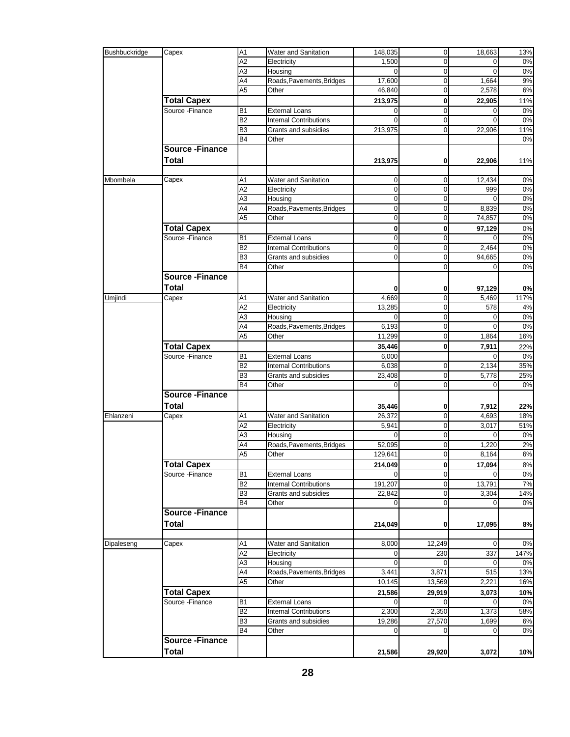| Bushbuckridge | Capex                 | A <sub>1</sub>  | Water and Sanitation          | 148,035     | $\mathbf 0$    | 18,663   | 13%   |
|---------------|-----------------------|-----------------|-------------------------------|-------------|----------------|----------|-------|
|               |                       |                 |                               |             |                |          |       |
|               |                       | $\overline{A2}$ | Electricity                   | 1,500       | $\Omega$       | $\Omega$ | 0%    |
|               |                       | A3              | Housing                       | $\Omega$    | $\mathbf 0$    | $\Omega$ | $0\%$ |
|               |                       | A4              | Roads, Pavements, Bridges     | 17,600      | $\mathbf 0$    | 1,664    | 9%    |
|               |                       | A <sub>5</sub>  | Other                         | 46,840      | $\mathbf 0$    | 2,578    | 6%    |
|               |                       |                 |                               |             |                |          |       |
|               | <b>Total Capex</b>    |                 |                               | 213,975     | $\bf{0}$       | 22,905   | 11%   |
|               | Source - Finance      | <b>B1</b>       | <b>External Loans</b>         | 0           | $\pmb{0}$      | 0        | $0\%$ |
|               |                       | <b>B2</b>       | <b>Internal Contributions</b> | 0           | $\mathbf 0$    | $\Omega$ | 0%    |
|               |                       | B <sub>3</sub>  | Grants and subsidies          | 213,975     | $\mathbf 0$    | 22,906   | 11%   |
|               |                       | <b>B4</b>       | Other                         |             |                |          | 0%    |
|               |                       |                 |                               |             |                |          |       |
|               | <b>Source-Finance</b> |                 |                               |             |                |          |       |
|               | <b>Total</b>          |                 |                               | 213,975     | 0              | 22,906   | 11%   |
|               |                       |                 |                               |             |                |          |       |
| Mbombela      | Capex                 | Α1              | Water and Sanitation          | 0           | 0              | 12,434   | 0%    |
|               |                       |                 |                               |             |                |          |       |
|               |                       | A <sub>2</sub>  | Electricity                   | $\mathbf 0$ | $\mathbf 0$    | 999      | 0%    |
|               |                       | A <sub>3</sub>  | Housing                       | 0           | 0              | 0        | 0%    |
|               |                       | A4              | Roads, Pavements, Bridges     | 0           | $\pmb{0}$      | 8,839    | $0\%$ |
|               |                       | $\overline{A5}$ | Other                         | $\mathbf 0$ | $\mathbf 0$    | 74,857   | $0\%$ |
|               | <b>Total Capex</b>    |                 |                               | 0           | $\bf{0}$       |          | 0%    |
|               |                       |                 |                               |             |                | 97,129   |       |
|               | Source - Finance      | <b>B1</b>       | <b>External Loans</b>         | 0           | 0              | $\Omega$ | 0%    |
|               |                       | B <sub>2</sub>  | <b>Internal Contributions</b> | 0           | $\mathbf 0$    | 2,464    | 0%    |
|               |                       | B <sub>3</sub>  | Grants and subsidies          | $\Omega$    | $\mathbf 0$    | 94,665   | $0\%$ |
|               |                       | <b>B4</b>       | Other                         |             | 0              | $\Omega$ | $0\%$ |
|               | <b>Source-Finance</b> |                 |                               |             |                |          |       |
|               |                       |                 |                               |             |                |          |       |
|               | <b>Total</b>          |                 |                               | 0           | 0              | 97.129   | 0%    |
| Umjindi       | Capex                 | A <sub>1</sub>  | Water and Sanitation          | 4,669       | $\pmb{0}$      | 5,469    | 117%  |
|               |                       | A <sub>2</sub>  | Electricity                   | 13,285      | 0              | 578      | 4%    |
|               |                       | A <sub>3</sub>  | Housing                       | $\Omega$    | $\mathbf 0$    | 0        | $0\%$ |
|               |                       |                 |                               |             |                |          |       |
|               |                       | A4              | Roads, Pavements, Bridges     | 6,193       | $\mathbf 0$    | $\Omega$ | 0%    |
|               |                       | A <sub>5</sub>  | Other                         | 11,299      | $\mathbf 0$    | 1,864    | 16%   |
|               | <b>Total Capex</b>    |                 |                               | 35,446      | $\mathbf{0}$   | 7,911    | 22%   |
|               | Source - Finance      | <b>B1</b>       | <b>External Loans</b>         | 6,000       |                | $\Omega$ | 0%    |
|               |                       | <b>B2</b>       | <b>Internal Contributions</b> | 6,038       | $\mathbf 0$    | 2,134    | 35%   |
|               |                       |                 |                               |             |                |          |       |
|               |                       | B <sub>3</sub>  | Grants and subsidies          | 23,408      | $\pmb{0}$      | 5,778    | 25%   |
|               |                       | <b>B4</b>       | Other                         | $\Omega$    | $\overline{0}$ | $\Omega$ | 0%    |
|               | <b>Source-Finance</b> |                 |                               |             |                |          |       |
|               | <b>Total</b>          |                 |                               | 35,446      | 0              | 7,912    | 22%   |
|               |                       |                 |                               |             |                |          |       |
| Ehlanzeni     | Capex                 | Α1              | Water and Sanitation          | 26,372      | $\mathbf 0$    | 4,693    | 18%   |
|               |                       | A <sub>2</sub>  | Electricity                   | 5,941       | $\mathbf 0$    | 3,017    | 51%   |
|               |                       | A <sub>3</sub>  | Housing                       | $\Omega$    | $\mathbf 0$    | $\Omega$ | 0%    |
|               |                       | A4              | Roads, Pavements, Bridges     | 52,095      | $\pmb{0}$      | 1,220    | 2%    |
|               |                       | A <sub>5</sub>  | Other                         | 129,641     | $\mathbf 0$    | 8,164    | 6%    |
|               |                       |                 |                               |             |                |          |       |
|               | <b>Total Capex</b>    |                 |                               | 214,049     | 0              | 17,094   | $8\%$ |
|               | Source - Finance      | B <sub>1</sub>  | <b>External Loans</b>         |             | $\mathbf 0$    |          | 0%    |
|               |                       | <b>B2</b>       | <b>Internal Contributions</b> | 191,207     | $\overline{0}$ | 13,791   | 7%    |
|               |                       | B <sub>3</sub>  | Grants and subsidies          | 22,842      | $\pmb{0}$      | 3,304    | 14%   |
|               |                       | <b>B4</b>       | Other                         |             | $\mathbf 0$    |          | $0\%$ |
|               | <b>Source-Finance</b> |                 |                               |             |                |          |       |
|               |                       |                 |                               |             |                |          |       |
|               | <b>Total</b>          |                 |                               | 214,049     | 0              | 17,095   | 8%    |
|               |                       |                 |                               |             |                |          |       |
| Dipaleseng    | Capex                 | A1              | <b>Water and Sanitation</b>   | 8,000       | 12,249         | 0        | 0%    |
|               |                       | A <sub>2</sub>  | Electricity                   |             | 230            | 337      | 147%  |
|               |                       |                 |                               | 0           | $\Omega$       | 0        |       |
|               |                       | A <sub>3</sub>  | Housing                       |             |                |          | 0%    |
|               |                       | A4              | Roads, Pavements, Bridges     | 3,441       | 3,871          | 515      | 13%   |
|               |                       | A <sub>5</sub>  | Other                         | 10,145      | 13,569         | 2,221    | 16%   |
|               | <b>Total Capex</b>    |                 |                               | 21,586      | 29,919         | 3,073    | 10%   |
|               | Source - Finance      | B <sub>1</sub>  | <b>External Loans</b>         | 0           | $\Omega$       | 0        | 0%    |
|               |                       |                 |                               |             |                |          |       |
|               |                       | <b>B2</b>       | <b>Internal Contributions</b> | 2,300       | 2,350          | 1,373    | 58%   |
|               |                       | B <sub>3</sub>  | Grants and subsidies          | 19,286      | 27,570         | 1,699    | 6%    |
|               |                       | <b>B4</b>       | Other                         | 0           | $\Omega$       | 0        | $0\%$ |
|               | <b>Source-Finance</b> |                 |                               |             |                |          |       |
|               | <b>Total</b>          |                 |                               |             |                |          |       |
|               |                       |                 |                               | 21,586      | 29,920         | 3,072    | 10%   |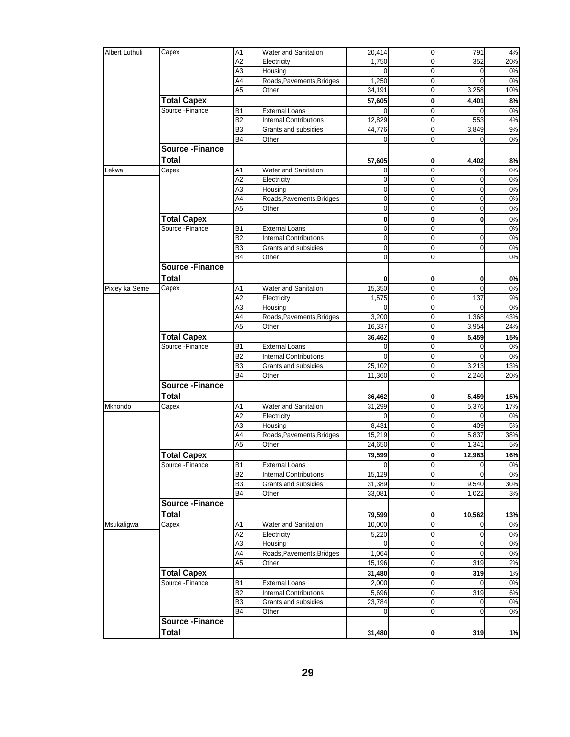| Albert Luthuli | Capex                   | A <sub>1</sub> | Water and Sanitation          | 20,414         | $\overline{0}$ | 791         | 4%    |
|----------------|-------------------------|----------------|-------------------------------|----------------|----------------|-------------|-------|
|                |                         | A2             | Electricity                   | 1,750          | $\mathbf 0$    | 352         | 20%   |
|                |                         | A <sub>3</sub> | Housing                       | $\Omega$       | $\mathbf 0$    | $\mathbf 0$ | 0%    |
|                |                         | A4             | Roads, Pavements, Bridges     | 1,250          | $\mathbf 0$    | 0           | 0%    |
|                |                         |                |                               |                |                |             |       |
|                |                         | A <sub>5</sub> | Other                         | 34,191         | $\overline{0}$ | 3,258       | 10%   |
|                | <b>Total Capex</b>      |                |                               | 57,605         | $\bf{0}$       | 4,401       | 8%    |
|                | Source - Finance        | B <sub>1</sub> | <b>External Loans</b>         | $\Omega$       | $\mathbf 0$    |             | 0%    |
|                |                         | B <sub>2</sub> | <b>Internal Contributions</b> | 12,829         | $\mathbf 0$    | 553         | $4\%$ |
|                |                         |                |                               |                |                |             |       |
|                |                         | B <sub>3</sub> | Grants and subsidies          | 44,776         | $\mathbf 0$    | 3,849       | 9%    |
|                |                         | B4             | Other                         | 0              | $\Omega$       | 0           | 0%    |
|                | <b>Source - Finance</b> |                |                               |                |                |             |       |
|                | <b>Total</b>            |                |                               |                |                |             |       |
|                |                         |                |                               | 57,605         | $\bf{0}$       | 4,402       | 8%    |
| Lekwa          | Capex                   | A <sub>1</sub> | Water and Sanitation          | $\Omega$       | $\mathbf 0$    | 0           | 0%    |
|                |                         | A2             | Electricity                   | $\overline{0}$ | $\mathbf{0}$   | 0           | 0%    |
|                |                         | A3             | Housing                       | $\overline{0}$ | $\mathbf 0$    | $\mathbf 0$ | 0%    |
|                |                         | A4             | Roads, Pavements, Bridges     | $\overline{0}$ | $\overline{0}$ | $\mathbf 0$ | 0%    |
|                |                         | A <sub>5</sub> |                               |                | $\overline{0}$ |             |       |
|                |                         |                | Other                         | $\overline{0}$ |                | 0           | $0\%$ |
|                | <b>Total Capex</b>      |                |                               | $\mathbf{0}$   | $\mathbf{0}$   | 0           | $0\%$ |
|                | Source - Finance        | B <sub>1</sub> | <b>External Loans</b>         | $\mathbf{0}$   | $\mathbf 0$    |             | 0%    |
|                |                         | B <sub>2</sub> | <b>Internal Contributions</b> | $\overline{0}$ | $\overline{0}$ | $\mathbf 0$ | 0%    |
|                |                         | B <sub>3</sub> | Grants and subsidies          | $\overline{0}$ | $\mathbf 0$    | $\mathbf 0$ |       |
|                |                         |                |                               |                |                |             | 0%    |
|                |                         | B4             | Other                         | $\overline{0}$ | $\overline{0}$ |             | 0%    |
|                | <b>Source - Finance</b> |                |                               |                |                |             |       |
|                | Total                   |                |                               | 0              | $\bf{0}$       | 0           | 0%    |
|                |                         |                |                               |                |                |             |       |
| Pixley ka Seme | Capex                   | A1             | Water and Sanitation          | 15,350         | $\overline{0}$ | $\Omega$    | 0%    |
|                |                         | A2             | Electricity                   | 1,575          | $\mathbf 0$    | 137         | 9%    |
|                |                         | A <sub>3</sub> | Housing                       | $\Omega$       | $\mathbf 0$    | $\Omega$    | 0%    |
|                |                         | A4             | Roads, Pavements, Bridges     | 3,200          | $\mathbf 0$    | 1,368       | 43%   |
|                |                         | A <sub>5</sub> |                               |                |                |             |       |
|                |                         |                | Other                         | 16,337         | $\mathbf 0$    | 3,954       | 24%   |
|                | <b>Total Capex</b>      |                |                               | 36,462         | $\mathbf{0}$   | 5,459       | 15%   |
|                | Source - Finance        | <b>B1</b>      | <b>External Loans</b>         | $\mathbf{0}$   | $\mathbf 0$    | 0           | 0%    |
|                |                         | B <sub>2</sub> | <b>Internal Contributions</b> | $\Omega$       | $\overline{0}$ | 0           | 0%    |
|                |                         | B3             |                               |                | $\mathbf 0$    | 3,213       | 13%   |
|                |                         |                | Grants and subsidies          | 25,102         |                |             |       |
|                |                         | B <sub>4</sub> | Other                         | 11,360         | $\mathbf 0$    | 2,246       | 20%   |
|                | <b>Source-Finance</b>   |                |                               |                |                |             |       |
|                | <b>Total</b>            |                |                               | 36,462         | $\mathbf{0}$   | 5,459       | 15%   |
|                |                         |                |                               |                |                |             |       |
| Mkhondo        | Capex                   | A <sub>1</sub> | Water and Sanitation          | 31,299         | $\mathbf 0$    | 5,376       | 17%   |
|                |                         | A2             | Electricity                   | $\Omega$       | $\overline{0}$ | $\Omega$    | 0%    |
|                |                         | A <sub>3</sub> | Housing                       | 8,431          | $\overline{0}$ | 409         | 5%    |
|                |                         | A4             | Roads, Pavements, Bridges     | 15,219         | $\mathbf 0$    | 5,837       | 38%   |
|                |                         | A <sub>5</sub> | Other                         | 24,650         | $\overline{0}$ | 1,341       | 5%    |
|                |                         |                |                               |                |                |             |       |
|                | <b>Total Capex</b>      |                |                               | 79,599         | $\mathbf 0$    | 12,963      | 16%   |
|                | Source -Finance         | B1             | External Loans                | $\overline{0}$ | $\mathbf{0}$   | 0           | $0\%$ |
|                |                         | B <sub>2</sub> | <b>Internal Contributions</b> | 15,129         | $\mathbf 0$    |             | 0%    |
|                |                         | B <sub>3</sub> | Grants and subsidies          | 31,389         | $\overline{0}$ | 9,540       | 30%   |
|                |                         | <b>B4</b>      | Other                         | 33,081         | $\overline{0}$ | 1,022       | 3%    |
|                |                         |                |                               |                |                |             |       |
|                | <b>Source-Finance</b>   |                |                               |                |                |             |       |
|                | <b>Total</b>            |                |                               | 79,599         | $\mathbf{0}$   | 10,562      | 13%   |
| Msukaligwa     | Capex                   | A <sub>1</sub> | Water and Sanitation          | 10,000         | $\mathbf 0$    | 0           | 0%    |
|                |                         |                |                               |                |                |             |       |
|                |                         | A <sub>2</sub> | Electricity                   | 5,220          | $\overline{0}$ | $\mathbf 0$ | 0%    |
|                |                         | A <sub>3</sub> | Housing                       | $\overline{0}$ | $\overline{0}$ | $\mathbf 0$ | 0%    |
|                |                         | A4             | Roads, Pavements, Bridges     | 1,064          | $\overline{0}$ | 0           | $0\%$ |
|                |                         | A <sub>5</sub> | Other                         | 15,196         | $\overline{0}$ | 319         | 2%    |
|                |                         |                |                               |                |                |             |       |
|                | <b>Total Capex</b>      |                |                               | 31,480         | $\mathbf{0}$   | 319         | 1%    |
|                | Source - Finance        | <b>B1</b>      | <b>External Loans</b>         | 2,000          | $\overline{0}$ | 0           | 0%    |
|                |                         | B2             | <b>Internal Contributions</b> | 5,696          | $\overline{0}$ | 319         | 6%    |
|                |                         | B <sub>3</sub> | Grants and subsidies          | 23,784         | $\overline{0}$ | 0           | 0%    |
|                |                         | <b>B4</b>      | Other                         | $\mathbf{0}$   | $\overline{0}$ | $\mathbf 0$ | 0%    |
|                |                         |                |                               |                |                |             |       |
|                | <b>Source-Finance</b>   |                |                               |                |                |             |       |
|                | <b>Total</b>            |                |                               | 31,480         | $\mathbf{0}$   | 319         | 1%    |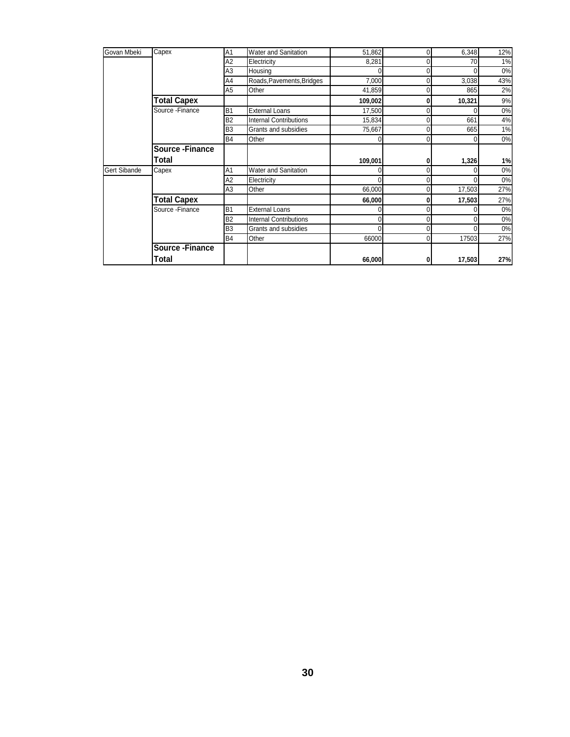| Govan Mbeki         | Capex                 | A <sub>1</sub> | <b>Water and Sanitation</b>   | 51,862  |   | 6,348  | 12%   |
|---------------------|-----------------------|----------------|-------------------------------|---------|---|--------|-------|
|                     |                       | A2             | Electricity                   | 8,281   |   | 70     | 1%    |
|                     |                       | A <sub>3</sub> | Housing                       | U       |   |        | 0%    |
|                     |                       | A4             | Roads, Pavements, Bridges     | 7,000   |   | 3,038  | 43%   |
|                     |                       | A5             | Other                         | 41,859  |   | 865    | 2%    |
|                     | <b>Total Capex</b>    |                |                               | 109,002 |   | 10,321 | 9%    |
|                     | Source - Finance      | <b>B1</b>      | <b>External Loans</b>         | 17,500  | 0 |        | 0%    |
|                     |                       | <b>B2</b>      | <b>Internal Contributions</b> | 15,834  |   | 661    | 4%    |
|                     |                       | B <sub>3</sub> | Grants and subsidies          | 75,667  |   | 665    | $1\%$ |
|                     |                       | <b>B4</b>      | Other                         | 0       |   |        | 0%    |
|                     | <b>Source-Finance</b> |                |                               |         |   |        |       |
|                     | Total                 |                |                               | 109,001 |   | 1,326  | 1%    |
| <b>Gert Sibande</b> | Capex                 | A <sub>1</sub> | Water and Sanitation          | U       |   |        | 0%    |
|                     |                       | A2             | Electricity                   | U       |   |        | 0%    |
|                     |                       | A3             | Other                         | 66,000  |   | 17,503 | 27%   |
|                     | <b>Total Capex</b>    |                |                               | 66,000  |   | 17,503 | 27%   |
|                     | Source - Finance      | B <sub>1</sub> | <b>External Loans</b>         | 0       |   |        | 0%    |
|                     |                       | <b>B2</b>      | <b>Internal Contributions</b> | 0       | 0 |        | 0%    |
|                     |                       | B <sub>3</sub> | Grants and subsidies          | 0       |   |        | 0%    |
|                     |                       | <b>B4</b>      | Other                         | 66000   | 0 | 17503  | 27%   |
|                     | <b>Source-Finance</b> |                |                               |         |   |        |       |
|                     | Total                 |                |                               | 66,000  |   | 17,503 | 27%   |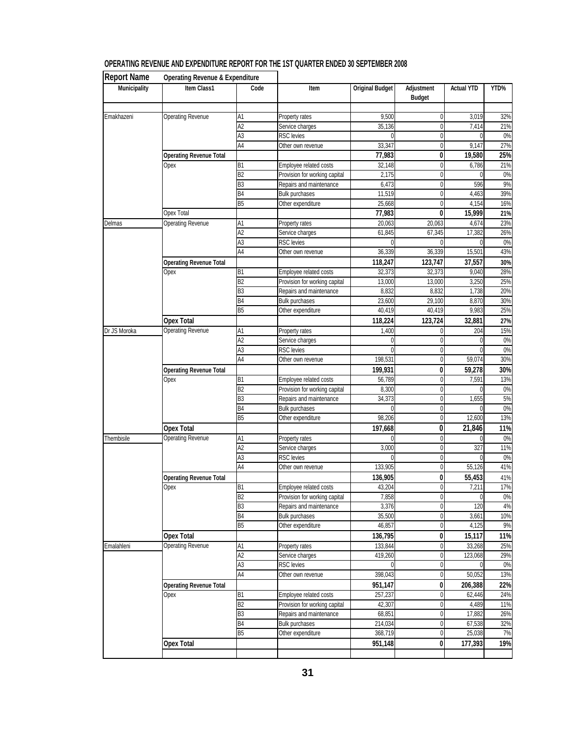| <b>Report Name</b>  | <b>Operating Revenue &amp; Expenditure</b> |                             |                                      |                        |                             |                   |           |
|---------------------|--------------------------------------------|-----------------------------|--------------------------------------|------------------------|-----------------------------|-------------------|-----------|
| <b>Municipality</b> | Item Class1                                | Code                        | Item                                 | <b>Original Budget</b> | Adjustment<br><b>Budget</b> | <b>Actual YTD</b> | YTD%      |
| Emakhazeni          | <b>Operating Revenue</b>                   | A <sub>1</sub>              | Property rates                       | 9,500                  | 0                           | 3,019             | 32%       |
|                     |                                            | A2                          | Service charges                      | 35,136                 | 0                           | 7,414             | 21%       |
|                     |                                            | A3                          | RSC levies                           |                        | 0                           |                   | $0\%$     |
|                     |                                            | A <sub>4</sub>              | Other own revenue                    | 33,347                 | 0                           | 9,147             | 27%       |
|                     | <b>Operating Revenue Total</b>             |                             |                                      | 77,983                 | 0                           | 19,580            | 25%       |
|                     | Opex                                       | B <sub>1</sub>              | Employee related costs               | 32,148                 | 0                           | 6,786             | 21%       |
|                     |                                            | B <sub>2</sub>              | Provision for working capital        | 2,175                  | 0                           |                   | 0%        |
|                     |                                            | B <sub>3</sub>              | Repairs and maintenance              | 6,473                  | 0                           | 596               | 9%        |
|                     |                                            | B <sub>4</sub>              | <b>Bulk purchases</b>                | 11,519                 | 0                           | 4,463             | 39%       |
|                     |                                            | B5                          | Other expenditure                    | 25,668                 | 0                           | 4,154             | 16%       |
|                     | <b>Opex Total</b>                          |                             |                                      | 77,983                 | 0                           | 15,999            | 21%       |
| Delmas              | <b>Operating Revenue</b>                   | A1                          | Property rates                       | 20,063                 | 20,063                      | 4,674             | 23%       |
|                     |                                            | A <sub>2</sub>              | Service charges                      | 61,845                 | 67,345                      | 17,382            | 26%       |
|                     |                                            | A3                          | <b>RSC</b> levies                    |                        |                             |                   | 0%        |
|                     |                                            | A4                          | Other own revenue                    | 36,339                 | 36,339                      | 15,501            | 43%       |
|                     | <b>Operating Revenue Total</b>             |                             |                                      | 118,247                | 123,747                     | 37,557            | 30%       |
|                     | Opex                                       | B1                          | Employee related costs               | 32,373                 | 32,373                      | 9,040             | 28%       |
|                     |                                            | B <sub>2</sub>              | Provision for working capital        | 13,000                 | 13,000                      | 3,250             | 25%       |
|                     |                                            | B <sub>3</sub>              | Repairs and maintenance              | 8,832                  | 8,832                       | 1,738             | 20%       |
|                     |                                            | B <sub>4</sub>              | <b>Bulk purchases</b>                | 23,600                 | 29,100                      | 8,870             | 30%       |
|                     |                                            | B <sub>5</sub>              | Other expenditure                    | 40,419                 | 40,419                      | 9,983             | 25%       |
|                     | <b>Opex Total</b>                          |                             |                                      | 118,224                | 123,724                     | 32,881            | 27%       |
| Dr JS Moroka        | <b>Operating Revenue</b>                   | A <sub>1</sub>              | Property rates                       | 1,400                  | 0                           | 204               | 15%       |
|                     |                                            | $\overline{A2}$             | Service charges                      | 0                      | 0                           |                   | 0%        |
|                     |                                            | A <sub>3</sub>              | <b>RSC</b> levies                    |                        | 0                           |                   | $0\%$     |
|                     |                                            | A4                          | Other own revenue                    | 198,531                | 0                           | 59,074            | 30%       |
|                     | <b>Operating Revenue Total</b>             |                             |                                      |                        | 0                           | 59,278            | 30%       |
|                     | Opex                                       | B1                          | Employee related costs               | 199,931<br>56,789      | 0                           | 7,591             | 13%       |
|                     |                                            | B <sub>2</sub>              | Provision for working capital        | 8,300                  | 0                           |                   | 0%        |
|                     |                                            | B3                          | Repairs and maintenance              | 34,373                 | 0                           | 1,655             | 5%        |
|                     |                                            | B <sub>4</sub>              | <b>Bulk purchases</b>                |                        | 0                           | 0                 | 0%        |
|                     |                                            | B <sub>5</sub>              | Other expenditure                    | 98,206                 | 0                           | 12,600            | 13%       |
|                     | <b>Opex Total</b>                          |                             |                                      |                        | 0                           | 21,846            |           |
| Thembisile          |                                            | A1                          |                                      | 197,668                | 0                           |                   | 11%<br>0% |
|                     | <b>Operating Revenue</b>                   | A <sub>2</sub>              | Property rates                       |                        | 0                           | 327               | 11%       |
|                     |                                            | A <sub>3</sub>              | Service charges<br><b>RSC</b> levies | 3,000                  | $\mathbf 0$                 |                   | 0%        |
|                     |                                            | A <sub>4</sub>              | Other own revenue                    |                        | 0                           | 55,126            | 41%       |
|                     |                                            |                             |                                      | 133,905                |                             |                   |           |
|                     | <b>Operating Revenue Total</b>             |                             |                                      | 136,905                | 0                           | 55,453            | 41%       |
|                     | Opex                                       | B <sub>1</sub>              | Employee related costs               | 43,204                 | 0                           | 7,211             | 17%       |
|                     |                                            | B2                          | Provision for working capital        | 7,858                  | 0                           | $\mathbf{0}$      | 0%        |
|                     |                                            | B <sub>3</sub>              | Repairs and maintenance              | 3,376                  | $\pmb{0}$                   | 120               | 4%        |
|                     |                                            | <b>B4</b><br>B <sub>5</sub> | <b>Bulk purchases</b>                | 35,500                 | 0                           | 3,661             | 10%       |
|                     |                                            |                             | Other expenditure                    | 46,857                 | $\pmb{0}$                   | 4,125             | 9%        |
|                     | <b>Opex Total</b>                          |                             |                                      | 136,795                | $\mathbf{0}$                | 15,117            | 11%       |
| Emalahleni          | <b>Operating Revenue</b>                   | A1                          | Property rates                       | 133,844                | 0                           | 33,268            | 25%       |
|                     |                                            | $\overline{A2}$             | Service charges                      | 419,260                | $\mathbf 0$                 | 123,068           | 29%       |
|                     |                                            | A <sub>3</sub>              | <b>RSC</b> levies                    |                        | 0                           | $\Omega$          | 0%        |
|                     |                                            | A4                          | Other own revenue                    | 398,043                | $\mathbf 0$                 | 50,052            | 13%       |
|                     | <b>Operating Revenue Total</b>             |                             |                                      | 951,147                | 0                           | 206,388           | 22%       |
|                     | Opex                                       | B1                          | Employee related costs               | 257,237                | $\mathbf 0$                 | 62,446            | 24%       |
|                     |                                            | B <sub>2</sub>              | Provision for working capital        | 42,307                 | $\pmb{0}$                   | 4,489             | 11%       |
|                     |                                            | B <sub>3</sub>              | Repairs and maintenance              | 68,851                 | $\mathbf 0$                 | 17,882            | 26%       |
|                     |                                            | <b>B4</b>                   | <b>Bulk purchases</b>                | 214,034                | $\pmb{0}$                   | 67,538            | 32%       |
|                     |                                            | B <sub>5</sub>              | Other expenditure                    | 368,719                | 0                           | 25,038            | 7%        |
|                     | <b>Opex Total</b>                          |                             |                                      | 951,148                | 0                           | 177,393           | 19%       |
|                     |                                            |                             |                                      |                        |                             |                   |           |

#### **OPERATING REVENUE AND EXPENDITURE REPORT FOR THE 1ST QUARTER ENDED 30 SEPTEMBER 2008**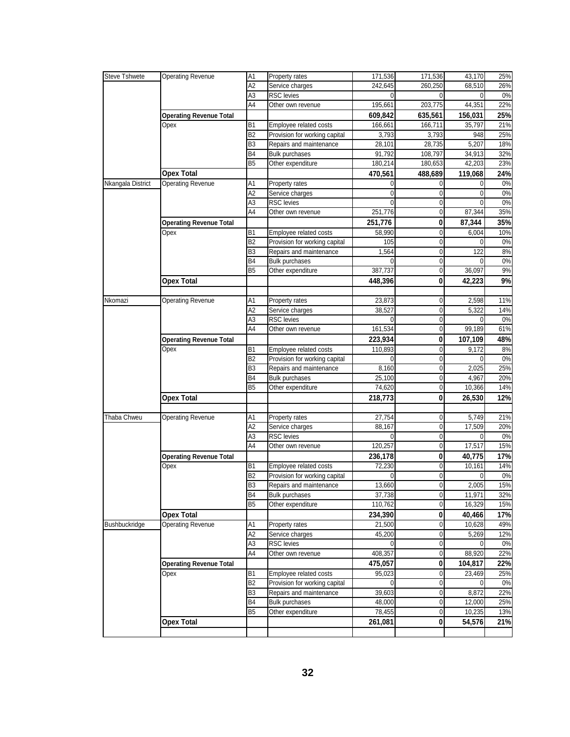| Steve Tshwete     | <b>Operating Revenue</b>       | A1             | Property rates                       | 171,536      | 171,536           | 43,170                | 25%       |
|-------------------|--------------------------------|----------------|--------------------------------------|--------------|-------------------|-----------------------|-----------|
|                   |                                | A2             | Service charges                      | 242,645      | 260,250           | 68,510                | 26%       |
|                   |                                | ΑЗ             | <b>RSC</b> levies                    | 0            | 0                 | 0                     | 0%        |
|                   |                                | A4             | Other own revenue                    | 195,661      | 203,775           | 44,351                | 22%       |
|                   | <b>Operating Revenue Total</b> |                |                                      | 609,842      | 635,561           | 156,031               | 25%       |
|                   | Opex                           | B1             | Employee related costs               | 166,661      | 166,711           | 35,797                | 21%       |
|                   |                                | B2             | Provision for working capital        | 3,793        | 3,793             | 948                   | 25%       |
|                   |                                | B3             | Repairs and maintenance              | 28,101       | 28,735            | 5,207                 | 18%       |
|                   |                                | B4             | <b>Bulk purchases</b>                | 91,792       | 108,797           | 34,913                | 32%       |
|                   |                                | B <sub>5</sub> | Other expenditure                    | 180,214      | 180,653           | 42,203                | 23%       |
|                   | <b>Opex Total</b>              |                |                                      | 470,561      | 488,689           | 119,068               | 24%       |
| Nkangala District | <b>Operating Revenue</b>       | Α1             | Property rates                       | 0            | 0                 | 0                     | 0%        |
|                   |                                | A <sub>2</sub> | Service charges                      | $\mathbf{0}$ | 0                 | 0                     | 0%        |
|                   |                                | A3             | RSC levies                           | 0            | 0                 |                       | 0%        |
|                   |                                | A4             | Other own revenue                    | 251,776      | $\Omega$          | 87,344                | 35%       |
|                   | <b>Operating Revenue Total</b> |                |                                      | 251,776      | 0                 | 87,344                | 35%       |
|                   | Opex                           | <b>B1</b>      | Employee related costs               | 58,990       | 0                 | 6,004                 | 10%       |
|                   |                                | B <sub>2</sub> | Provision for working capital        | 105          | 0                 | 0                     | 0%        |
|                   |                                | B <sub>3</sub> | Repairs and maintenance              | 1,564        | $\mathbf 0$       | 122                   | 8%        |
|                   |                                | B <sub>4</sub> | Bulk purchases                       | 0            | 0                 | 0                     | 0%        |
|                   |                                | B <sub>5</sub> | Other expenditure                    | 387,737      | 0                 | 36,097                | 9%        |
|                   | <b>Opex Total</b>              |                |                                      |              | 0                 |                       | 9%        |
|                   |                                |                |                                      | 448,396      |                   | 42,223                |           |
|                   |                                |                |                                      |              |                   |                       |           |
| Nkomazi           | <b>Operating Revenue</b>       | Α1             | Property rates                       | 23,873       | 0                 | 2,598                 | 11%       |
|                   |                                | Α2<br>A3       | Service charges<br><b>RSC</b> levies | 38,527<br>0  | 0<br>$\mathbf{0}$ | 5,322<br>$\mathbf{0}$ | 14%<br>0% |
|                   |                                | A4             |                                      |              |                   |                       | 61%       |
| Opex              |                                |                | Other own revenue                    | 161,534      | 0                 | 99,189                |           |
|                   | <b>Operating Revenue Total</b> |                |                                      | 223,934      | 0                 | 107,109               | 48%       |
|                   |                                | <b>B1</b>      | Employee related costs               | 110,893      | 0                 | 9,172                 | 8%        |
|                   |                                | B <sub>2</sub> | Provision for working capital        | 0            | 0                 | 0                     | 0%        |
|                   |                                | B <sub>3</sub> | Repairs and maintenance              | 8,160        | 0                 | 2,025                 | 25%       |
|                   |                                | B4             | <b>Bulk purchases</b>                | 25,100       | 0                 | 4,967                 | 20%       |
|                   |                                | B <sub>5</sub> | Other expenditure                    | 74,620       | 0                 | 10,366                | 14%       |
|                   | <b>Opex Total</b>              |                |                                      | 218,773      | 0                 | 26,530                | 12%       |
|                   |                                |                |                                      |              |                   |                       |           |
| Thaba Chweu       | <b>Operating Revenue</b>       | A1             | Property rates                       | 27,754       | 0                 | 5,749                 | 21%       |
|                   |                                | A2             | Service charges                      | 88,167       | 0                 | 17,509                | 20%       |
|                   |                                | A3             | <b>RSC</b> levies                    | 0            | $\mathbf{0}$      | $\mathbf{0}$          | 0%        |
|                   |                                | A4             | Other own revenue                    | 120,257      | 0                 | 17,517                | 15%       |
|                   | <b>Operating Revenue Total</b> |                |                                      | 236,178      | 0                 | 40,775                | 17%       |
|                   | Opex                           | B1             | Employee related costs               | 72,230       | 0                 | 10,161                | 14%       |
|                   |                                | B <sub>2</sub> | Provision for working capital        | 0            | 0                 | 0                     | 0%        |
|                   |                                | B <sub>3</sub> | Repairs and maintenance              | 13,660       | $\Omega$          | 2,005                 | 15%       |
|                   |                                | <b>B4</b>      | <b>Bulk purchases</b>                | 37,738       | $\overline{0}$    | 11,971                | 32%       |
|                   |                                | B <sub>5</sub> | Other expenditure                    | 110,762      | 0                 | 16,329                | 15%       |
|                   | <b>Opex Total</b>              |                |                                      | 234,390      | 0                 | 40,466                | 17%       |
| Bushbuckridge     | <b>Operating Revenue</b>       | A1             | Property rates                       | 21,500       | 0                 | 10,628                | 49%       |
|                   |                                | A2             | Service charges                      | 45,200       | 0                 | 5,269                 | 12%       |
|                   |                                | A3             | <b>RSC</b> levies                    |              | $\mathbf 0$       | 0                     | 0%        |
|                   |                                | A4             | Other own revenue                    | 408,357      | 0                 | 88,920                | 22%       |
|                   | Operating Revenue Total        |                |                                      | 475,057      | 0                 | 104,817               | 22%       |
|                   | Opex                           | B1             | Employee related costs               | 95,023       | 0                 | 23,469                | 25%       |
|                   |                                | B <sub>2</sub> | Provision for working capital        |              | 0                 | 0                     | 0%        |
|                   |                                | B <sub>3</sub> | Repairs and maintenance              | 39,603       | 0                 | 8,872                 | 22%       |
|                   |                                | B4             | Bulk purchases                       | 48,000       | 0                 | 12,000                | 25%       |
|                   |                                | B <sub>5</sub> | Other expenditure                    | 78,455       | $\mathbf 0$       | 10,235                | 13%       |
|                   | <b>Opex Total</b>              |                |                                      | 261,081      | 0                 | 54,576                | 21%       |
|                   |                                |                |                                      |              |                   |                       |           |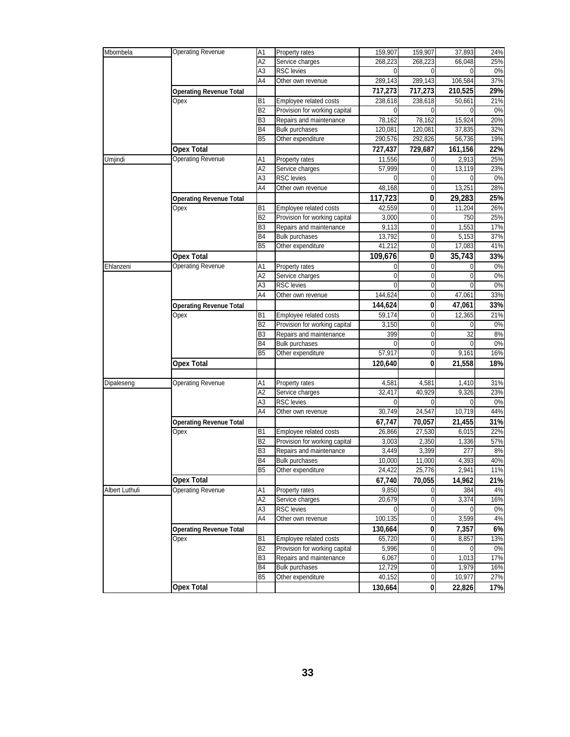| Mbombela       | Operating Revenue              | A1             | <b>Property rates</b>         | 159,907     | 159,907          | 37,893   | 24%   |
|----------------|--------------------------------|----------------|-------------------------------|-------------|------------------|----------|-------|
|                |                                | A2             | Service charges               | 268,223     | 268,223          | 66,048   | 25%   |
|                |                                | A3             | <b>RSC</b> levies             | $\mathbf 0$ | 0                | $\Omega$ | 0%    |
|                |                                | A4             | Other own revenue             | 289,143     | 289,143          | 106,584  | 37%   |
|                | <b>Operating Revenue Total</b> |                |                               | 717,273     | 717,273          | 210,525  | 29%   |
|                | Opex                           | <b>B1</b>      | Employee related costs        | 238,618     | 238,618          | 50,661   | 21%   |
|                |                                | <b>B2</b>      | Provision for working capital | $\Omega$    | 0                | 0        | 0%    |
|                |                                | B <sub>3</sub> | Repairs and maintenance       | 78,162      | 78,162           | 15,924   | 20%   |
|                |                                |                |                               |             |                  |          |       |
|                |                                | B4             | Bulk purchases                | 120,081     | 120,081          | 37,835   | 32%   |
|                |                                | <b>B5</b>      | Other expenditure             | 290,576     | 292,826          | 56,736   | 19%   |
|                | <b>Opex Total</b>              |                |                               | 727,437     | 729,687          | 161,156  | 22%   |
| Umjindi        | <b>Operating Revenue</b>       | Α1             | Property rates                | 11,556      | 0                | 2,913    | 25%   |
|                |                                | A2             | Service charges               | 57,999      | 0                | 13,119   | 23%   |
|                |                                | A <sub>3</sub> | <b>RSC</b> levies             | $\Omega$    | 0                | 0        | 0%    |
|                |                                | A4             | Other own revenue             | 48,168      | 0                | 13,251   | 28%   |
|                | <b>Operating Revenue Total</b> |                |                               | 117,723     | 0                | 29,283   | 25%   |
|                | Opex                           | <b>B1</b>      | Employee related costs        | 42,559      | 0                | 11,204   | 26%   |
|                |                                | <b>B2</b>      |                               |             | 0                |          |       |
|                |                                | B <sub>3</sub> | Provision for working capital | 3,000       |                  | 750      | 25%   |
|                |                                |                | Repairs and maintenance       | 9,113       | 0                | 1,553    | 17%   |
|                |                                | <b>B4</b>      | <b>Bulk purchases</b>         | 13,792      | 0                | 5,153    | 37%   |
|                |                                | B <sub>5</sub> | Other expenditure             | 41,212      | 0                | 17,083   | 41%   |
|                | <b>Opex Total</b>              |                |                               | 109,676     | 0                | 35,743   | 33%   |
| Ehlanzeni      | Operating Revenue              | A1             | Property rates                | 0           | 0                | 0        | 0%    |
|                |                                | A2             | Service charges               | 0           | 0                | 0        | 0%    |
|                |                                | A <sub>3</sub> | RSC levies                    | $\Omega$    | 0                | ſ        | 0%    |
|                |                                | A4             | Other own revenue             | 144,624     | 0                | 47,061   | 33%   |
|                | <b>Operating Revenue Total</b> |                |                               | 144,624     | 0                | 47,061   | 33%   |
|                | Opex                           | <b>B1</b>      | Employee related costs        | 59,174      | 0                | 12,365   | 21%   |
|                |                                | B <sub>2</sub> |                               |             | 0                | 0        | 0%    |
|                |                                |                | Provision for working capital | 3,150       |                  |          |       |
|                |                                | B <sub>3</sub> | Repairs and maintenance       | 399         | 0                | 32       | 8%    |
|                |                                | B4             | <b>Bulk purchases</b>         | 0           | 0                | 0        | 0%    |
|                |                                | B <sub>5</sub> | Other expenditure             | 57,917      | $\mathbf 0$      | 9,161    | 16%   |
|                | <b>Opex Total</b>              |                |                               | 120,640     | 0                | 21,558   | 18%   |
|                |                                |                |                               |             |                  |          |       |
| Dipaleseng     | <b>Operating Revenue</b>       | Α1             | Property rates                | 4,581       | 4,581            | 1,410    | 31%   |
|                |                                | A <sub>2</sub> | Service charges               | 32,417      | 40,929           | 9,326    | 23%   |
|                |                                | A3             | <b>RSC</b> levies             | $\mathbf 0$ | $\Omega$         | 0        | 0%    |
|                |                                | A4             | Other own revenue             | 30,749      | 24,547           | 10,719   | 44%   |
|                | <b>Operating Revenue Total</b> |                |                               | 67,747      | 70,057           | 21,455   | 31%   |
|                | Opex                           | <b>B1</b>      | Employee related costs        | 26,866      | 27,530           | 6,015    | 22%   |
|                |                                |                |                               |             |                  |          |       |
|                |                                | B <sub>2</sub> | Provision for working capital | 3,003       | 2,350            | 1,336    | 57%   |
|                |                                | B <sub>3</sub> | Repairs and maintenance       | 3,449       | 3,399            | 277      | 8%    |
|                |                                | <b>B4</b>      | <b>Bulk purchases</b>         | 10,000      | 11,000           | 4,393    | 40%   |
|                |                                | <b>B5</b>      | Other expenditure             | 24,422      | 25,776           | 2,941    | 11%   |
|                | <b>Opex Total</b>              |                |                               | 67,740      | 70,055           | 14,962   | 21%   |
| Albert Luthuli | <b>Operating Revenue</b>       | A1             | Property rates                | 9,850       | $\mathbf{0}$     | 384      | 4%    |
|                |                                | A <sub>2</sub> | Service charges               | 20,679      | 0                | 3,374    | 16%   |
|                |                                | A3             | RSC levies                    | 0           | $\mathbf 0$      | 0        | 0%    |
|                |                                | A <sub>4</sub> | Other own revenue             | 100,135     | 0                | 3,599    | $4\%$ |
|                | <b>Operating Revenue Total</b> |                |                               | 130,664     | 0                | 7,357    | 6%    |
|                | Opex                           | <b>B1</b>      | Employee related costs        | 65,720      |                  |          | 13%   |
|                |                                |                |                               |             | 0                | 8,857    |       |
|                |                                | B <sub>2</sub> | Provision for working capital | 5,996       | 0                | 0        | 0%    |
|                |                                | B <sub>3</sub> | Repairs and maintenance       | 6,067       | 0                | 1,013    | 17%   |
|                |                                | B4             | <b>Bulk purchases</b>         | 12,729      | 0                | 1,979    | 16%   |
|                |                                | B <sub>5</sub> | Other expenditure             | 40,152      | $\boldsymbol{0}$ | 10,977   | 27%   |
|                | <b>Opex Total</b>              |                |                               | 130,664     | 0                | 22,826   | 17%   |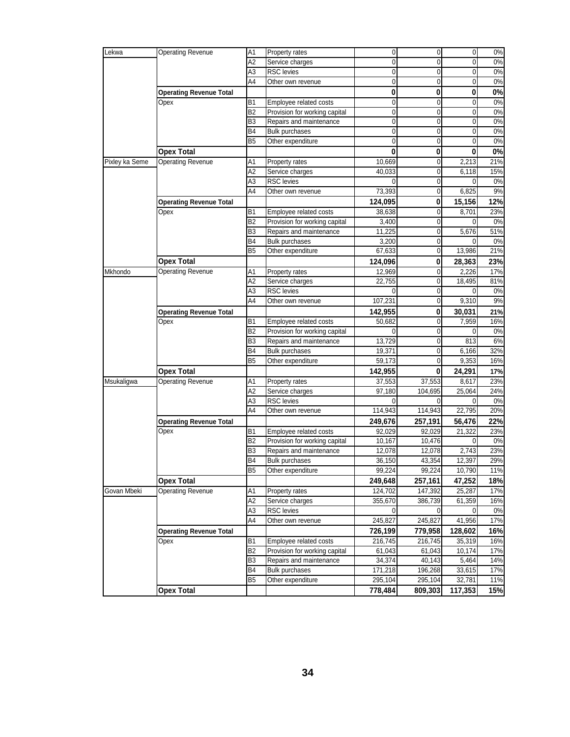| Lekwa          |                                | A <sub>1</sub> | Property rates                | $\overline{0}$ | $\overline{0}$ | $\mathbf 0$    | 0%    |
|----------------|--------------------------------|----------------|-------------------------------|----------------|----------------|----------------|-------|
|                | <b>Operating Revenue</b>       |                |                               |                |                |                |       |
|                |                                | A2             | Service charges               | $\mathbf 0$    | $\mathbf 0$    | $\mathbf 0$    | 0%    |
|                |                                | A3             | <b>RSC</b> levies             | $\mathbf 0$    | $\mathbf 0$    | $\overline{0}$ | 0%    |
|                |                                | A4             | Other own revenue             | $\mathbf 0$    | $\mathbf 0$    | 0              | 0%    |
|                | <b>Operating Revenue Total</b> |                |                               | $\pmb{0}$      | 0              | 0              | 0%    |
|                | Opex                           | <b>B1</b>      | Employee related costs        | $\mathbf 0$    | $\mathbf 0$    | 0              | 0%    |
|                |                                | B <sub>2</sub> | Provision for working capital | $\mathbf 0$    | $\mathbf 0$    | 0              | 0%    |
|                |                                | B <sub>3</sub> | Repairs and maintenance       | $\mathbf 0$    | $\mathbf 0$    | 0              | 0%    |
|                |                                | B4             | <b>Bulk purchases</b>         | $\mathbf{0}$   | $\mathbf 0$    | 0              | 0%    |
|                |                                | B <sub>5</sub> | Other expenditure             | $\mathbf 0$    | $\mathbf 0$    | $\mathbf 0$    | 0%    |
|                |                                |                |                               | 0              |                | 0              |       |
|                | <b>Opex Total</b>              |                |                               |                | 0              |                | $0\%$ |
| Pixley ka Seme | <b>Operating Revenue</b>       | Α1             | Property rates                | 10,669         | 0              | 2,213          | 21%   |
|                |                                | A <sub>2</sub> | Service charges               | 40.033         | $\mathbf 0$    | 6,118          | 15%   |
|                |                                | ΑЗ             | <b>RSC</b> levies             | $\mathbf 0$    | $\mathbf 0$    | 0              | 0%    |
|                |                                | A4             | Other own revenue             | 73,393         | $\mathbf 0$    | 6,825          | 9%    |
|                | <b>Operating Revenue Total</b> |                |                               | 124,095        | 0              | 15,156         | 12%   |
|                | Opex                           | B1             | Employee related costs        | 38,638         | 0              | 8,701          | 23%   |
|                |                                | B <sub>2</sub> | Provision for working capital | 3,400          | $\mathbf 0$    | 0              | 0%    |
|                |                                | B3             | Repairs and maintenance       | 11,225         | $\pmb{0}$      | 5,676          | 51%   |
|                |                                | B <sub>4</sub> | <b>Bulk purchases</b>         | 3,200          | $\mathbf 0$    |                | 0%    |
|                |                                | B <sub>5</sub> | Other expenditure             | 67,633         | $\mathbf 0$    | 13,986         | 21%   |
|                | <b>Opex Total</b>              |                |                               | 124,096        | 0              | 28,363         | 23%   |
| Mkhondo        | <b>Operating Revenue</b>       |                |                               | 12,969         | $\mathbf 0$    | 2,226          | 17%   |
|                |                                | Α1             | Property rates                |                |                |                |       |
|                |                                | A2             | Service charges               | 22,755         | 0              | 18,495         | 81%   |
|                |                                | ΑЗ             | <b>RSC</b> levies             | $\Omega$       | $\mathbf{0}$   | 0              | 0%    |
|                |                                | A4             | Other own revenue             | 107,231        | $\mathbf 0$    | 9,310          | 9%    |
|                | <b>Operating Revenue Total</b> |                |                               | 142,955        | 0              | 30,031         | 21%   |
|                | Opex                           | <b>B1</b>      | Employee related costs        | 50,682         | $\mathbf 0$    | 7,959          | 16%   |
|                |                                | B <sub>2</sub> | Provision for working capital | $\Omega$       | $\mathbf 0$    | $\mathbf 0$    | 0%    |
|                |                                | B <sub>3</sub> | Repairs and maintenance       | 13,729         | $\mathbf 0$    | 813            | 6%    |
|                |                                | <b>B4</b>      | <b>Bulk purchases</b>         | 19,371         | $\mathbf 0$    | 6,166          | 32%   |
|                |                                | B <sub>5</sub> | Other expenditure             | 59,173         | $\mathbf{0}$   | 9,353          | 16%   |
|                | <b>Opex Total</b>              |                |                               | 142,955        | 0              | 24,291         | 17%   |
| Msukaligwa     | <b>Operating Revenue</b>       | A1             | Property rates                | 37,553         | 37,553         | 8,617          | 23%   |
|                |                                | A2             | Service charges               | 97,180         | 104,695        | 25,064         | 24%   |
|                |                                | A3             | <b>RSC</b> levies             | $\Omega$       | $\mathbf{0}$   | $\mathbf 0$    | 0%    |
|                |                                | A4             | Other own revenue             | 114,943        | 114,943        | 22,795         | 20%   |
|                |                                |                |                               |                |                |                |       |
|                | <b>Operating Revenue Total</b> |                |                               | 249,676        | 257,191        | 56,476         | 22%   |
|                | Opex                           | <b>B1</b>      | Employee related costs        | 92,029         | 92,029         | 21,322         | 23%   |
|                |                                | B <sub>2</sub> | Provision for working capital | 10,167         | 10,476         | $\Omega$       | 0%    |
|                |                                | B3             | Repairs and maintenance       | 12,078         | 12,078         | 2,743          | 23%   |
|                |                                | B4             | <b>Bulk purchases</b>         | 36,150         | 43,354         | 12,397         | 29%   |
|                |                                | B <sub>5</sub> | Other expenditure             | 99,224         | 99,224         | 10,790         | 11%   |
|                | <b>Opex Total</b>              |                |                               | 249,648        | 257,161        | 47,252         | 18%   |
| Govan Mbeki    | <b>Operating Revenue</b>       | A1             | Property rates                | 124,702        | 147,392        | 25,287         | 17%   |
|                |                                | A2             | Service charges               | 355,670        | 386,739        | 61,359         | 16%   |
|                |                                | A3             | <b>RSC</b> levies             | $\overline{0}$ | $\mathbf 0$    | $\mathbf 0$    | 0%    |
|                |                                | A4             | Other own revenue             | 245,827        | 245,827        | 41,956         | 17%   |
|                | <b>Operating Revenue Total</b> |                |                               | 726,199        | 779,958        | 128,602        | 16%   |
|                | Opex                           | B <sub>1</sub> | Employee related costs        | 216,745        | 216,745        | 35,319         | 16%   |
|                |                                | B <sub>2</sub> | Provision for working capital | 61,043         | 61,043         | 10,174         | 17%   |
|                |                                | B <sub>3</sub> |                               | 34,374         |                |                |       |
|                |                                |                | Repairs and maintenance       |                | 40,143         | 5,464          | 14%   |
|                |                                | B4             | <b>Bulk purchases</b>         | 171,218        | 196,268        | 33,615         | 17%   |
|                |                                | B <sub>5</sub> | Other expenditure             | 295,104        | 295,104        | 32,781         | 11%   |
|                | <b>Opex Total</b>              |                |                               | 778,484        | 809,303        | 117,353        | 15%   |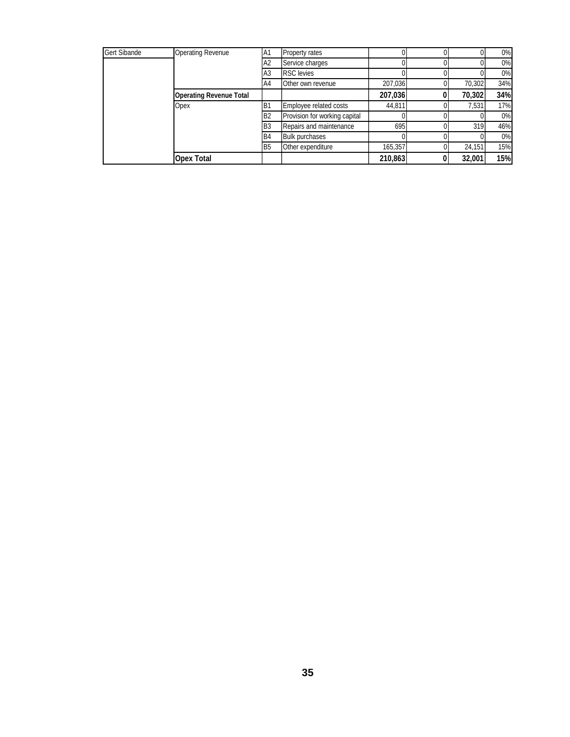| Gert Sibande | <b>Operating Revenue</b>       | A <sub>1</sub> | Property rates                |         |        | 0%  |
|--------------|--------------------------------|----------------|-------------------------------|---------|--------|-----|
|              |                                | A <sub>2</sub> | Service charges               |         |        | 0%  |
|              |                                | A3             | <b>RSC</b> levies             |         |        | 0%  |
|              |                                | A4             | Other own revenue             | 207,036 | 70,302 | 34% |
|              | <b>Operating Revenue Total</b> |                |                               | 207,036 | 70,302 | 34% |
|              | Opex                           | B <sub>1</sub> | Employee related costs        | 44,811  | 7,531  | 17% |
|              |                                | B <sub>2</sub> | Provision for working capital |         |        | 0%  |
|              |                                | B <sub>3</sub> | Repairs and maintenance       | 695     | 319    | 46% |
|              |                                | <b>B4</b>      | <b>Bulk purchases</b>         |         |        | 0%  |
|              |                                | B <sub>5</sub> | Other expenditure             | 165,357 | 24,151 | 15% |
|              | <b>Opex Total</b>              |                |                               | 210,863 | 32,001 | 15% |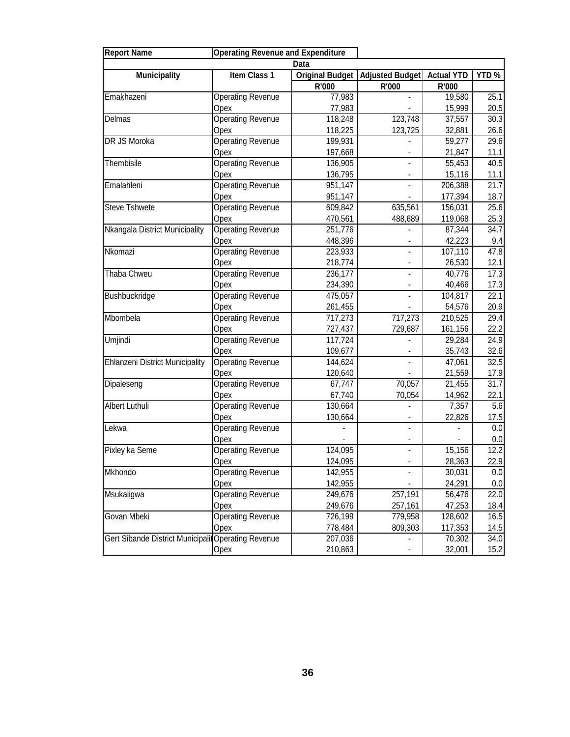| <b>Report Name</b>                                  | <b>Operating Revenue and Expenditure</b> |         |                                                |         |       |
|-----------------------------------------------------|------------------------------------------|---------|------------------------------------------------|---------|-------|
|                                                     |                                          | Data    |                                                |         |       |
| <b>Municipality</b>                                 | Item Class 1                             |         | Original Budget   Adjusted Budget   Actual YTD |         | YTD % |
|                                                     |                                          | R'000   | R'000                                          | R'000   |       |
| Emakhazeni                                          | <b>Operating Revenue</b>                 | 77,983  |                                                | 19,580  | 25.1  |
|                                                     | Opex                                     | 77,983  |                                                | 15,999  | 20.5  |
| Delmas                                              | <b>Operating Revenue</b>                 | 118,248 | 123,748                                        | 37,557  | 30.3  |
|                                                     | Opex                                     | 118,225 | 123,725                                        | 32,881  | 26.6  |
| DR JS Moroka                                        | <b>Operating Revenue</b>                 | 199,931 |                                                | 59,277  | 29.6  |
|                                                     | Opex                                     | 197,668 |                                                | 21,847  | 11.1  |
| Thembisile                                          | <b>Operating Revenue</b>                 | 136,905 | L.                                             | 55,453  | 40.5  |
|                                                     | Opex                                     | 136,795 |                                                | 15,116  | 11.1  |
| Emalahleni                                          | <b>Operating Revenue</b>                 | 951,147 | $\overline{a}$                                 | 206,388 | 21.7  |
|                                                     | Opex                                     | 951,147 |                                                | 177,394 | 18.7  |
| <b>Steve Tshwete</b>                                | <b>Operating Revenue</b>                 | 609,842 | 635,561                                        | 156,031 | 25.6  |
|                                                     | Opex                                     | 470,561 | 488,689                                        | 119,068 | 25.3  |
| Nkangala District Municipality                      | <b>Operating Revenue</b>                 | 251,776 | $\overline{a}$                                 | 87,344  | 34.7  |
|                                                     | Opex                                     | 448,396 |                                                | 42,223  | 9.4   |
| Nkomazi                                             | Operating Revenue                        | 223,933 | $\overline{a}$                                 | 107,110 | 47.8  |
|                                                     | Opex                                     | 218,774 | $\blacksquare$                                 | 26,530  | 12.1  |
| Thaba Chweu                                         | Operating Revenue                        | 236,177 | $\overline{\phantom{a}}$                       | 40,776  | 17.3  |
|                                                     | Opex                                     | 234,390 | $\qquad \qquad \blacksquare$                   | 40,466  | 17.3  |
| Bushbuckridge                                       | <b>Operating Revenue</b>                 | 475,057 | $\overline{\phantom{a}}$                       | 104,817 | 22.1  |
|                                                     | Opex                                     | 261,455 |                                                | 54,576  | 20.9  |
| Mbombela                                            | <b>Operating Revenue</b>                 | 717,273 | 717,273                                        | 210,525 | 29.4  |
|                                                     | Opex                                     | 727,437 | 729,687                                        | 161,156 | 22.2  |
| Umjindi                                             | <b>Operating Revenue</b>                 | 117,724 |                                                | 29,284  | 24.9  |
|                                                     | Opex                                     | 109,677 | ۰                                              | 35,743  | 32.6  |
| Ehlanzeni District Municipality                     | <b>Operating Revenue</b>                 | 144,624 | $\overline{a}$                                 | 47,061  | 32.5  |
|                                                     | Opex                                     | 120,640 |                                                | 21,559  | 17.9  |
| Dipaleseng                                          | <b>Operating Revenue</b>                 | 67,747  | 70,057                                         | 21,455  | 31.7  |
|                                                     | Opex                                     | 67,740  | 70,054                                         | 14,962  | 22.1  |
| Albert Luthuli                                      | <b>Operating Revenue</b>                 | 130,664 | $\overline{\phantom{0}}$                       | 7,357   | 5.6   |
|                                                     | Opex                                     | 130,664 |                                                | 22,826  | 17.5  |
| Lekwa                                               | <b>Operating Revenue</b>                 |         |                                                |         | 0.0   |
|                                                     | Opex                                     |         |                                                |         | 0.0   |
| Pixley ka Seme                                      | <b>Operating Revenue</b>                 | 124,095 |                                                | 15,156  | 12.2  |
|                                                     | Opex                                     | 124,095 |                                                | 28,363  | 22.9  |
| Mkhondo                                             | <b>Operating Revenue</b>                 | 142,955 |                                                | 30,031  | 0.0   |
|                                                     | Opex                                     | 142,955 |                                                | 24,291  | 0.0   |
| Msukaligwa                                          | <b>Operating Revenue</b>                 | 249,676 | 257,191                                        | 56,476  | 22.0  |
|                                                     | Opex                                     | 249,676 | 257,161                                        | 47,253  | 18.4  |
| Govan Mbeki                                         | <b>Operating Revenue</b>                 | 726,199 | 779,958                                        | 128,602 | 16.5  |
|                                                     | Opex                                     | 778,484 | 809,303                                        | 117,353 | 14.5  |
| Gert Sibande District Municipalit Operating Revenue |                                          | 207,036 |                                                | 70,302  | 34.0  |
|                                                     | Opex                                     | 210,863 |                                                | 32,001  | 15.2  |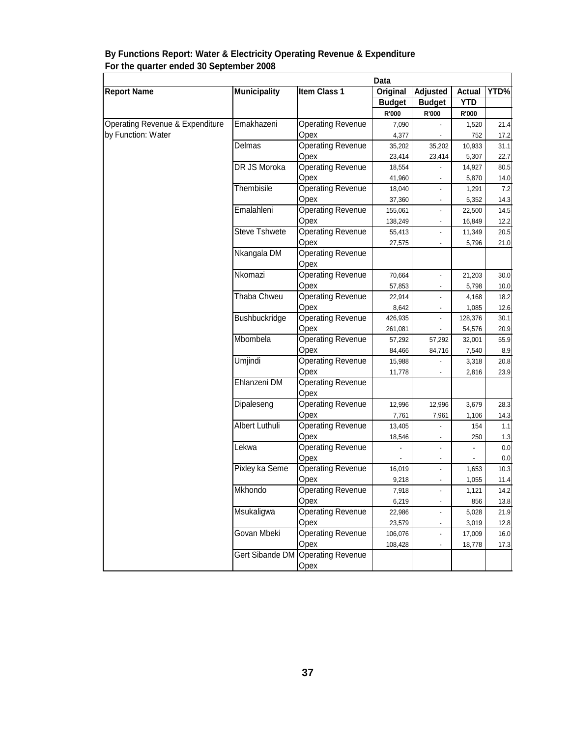|                                 |                      | Data                              |               |                          |               |         |  |  |
|---------------------------------|----------------------|-----------------------------------|---------------|--------------------------|---------------|---------|--|--|
| <b>Report Name</b>              | <b>Municipality</b>  | Item Class 1                      | Original      | <b>Adjusted</b>          | <b>Actual</b> | YTD%    |  |  |
|                                 |                      |                                   | <b>Budget</b> | <b>Budget</b>            | <b>YTD</b>    |         |  |  |
|                                 |                      |                                   | R'000         | R'000                    | <b>R'000</b>  |         |  |  |
| Operating Revenue & Expenditure | Emakhazeni           | <b>Operating Revenue</b>          | 7,090         |                          | 1,520         | 21.4    |  |  |
| by Function: Water              |                      | Opex                              | 4,377         |                          | 752           | 17.2    |  |  |
|                                 | Delmas               | <b>Operating Revenue</b>          | 35,202        | 35,202                   | 10,933        | 31.1    |  |  |
|                                 |                      | Opex                              | 23,414        | 23,414                   | 5,307         | 22.7    |  |  |
|                                 | DR JS Moroka         | <b>Operating Revenue</b>          | 18,554        |                          | 14,927        | 80.5    |  |  |
|                                 |                      | Opex                              | 41,960        |                          | 5,870         | 14.0    |  |  |
|                                 | Thembisile           | <b>Operating Revenue</b>          | 18,040        | L,                       | 1,291         | 7.2     |  |  |
|                                 |                      | Opex                              | 37,360        |                          | 5,352         | 14.3    |  |  |
|                                 | Emalahleni           | <b>Operating Revenue</b>          | 155,061       |                          | 22,500        | 14.5    |  |  |
|                                 |                      | Opex                              | 138,249       |                          | 16,849        | 12.2    |  |  |
|                                 | <b>Steve Tshwete</b> | <b>Operating Revenue</b>          | 55,413        |                          | 11,349        | 20.5    |  |  |
|                                 |                      | Opex                              | 27,575        |                          | 5,796         | 21.0    |  |  |
|                                 | Nkangala DM          | <b>Operating Revenue</b>          |               |                          |               |         |  |  |
|                                 |                      | Opex                              |               |                          |               |         |  |  |
|                                 | Nkomazi              | <b>Operating Revenue</b>          | 70,664        | ä,                       | 21,203        | 30.0    |  |  |
|                                 |                      | Opex                              | 57,853        |                          | 5,798         | 10.0    |  |  |
|                                 | Thaba Chweu          | <b>Operating Revenue</b>          | 22,914        | ä,                       | 4,168         | 18.2    |  |  |
|                                 |                      | Opex                              | 8,642         | $\frac{1}{2}$            | 1,085         | 12.6    |  |  |
|                                 | Bushbuckridge        | <b>Operating Revenue</b>          | 426,935       |                          | 128,376       | 30.1    |  |  |
|                                 |                      | Opex                              | 261,081       |                          | 54,576        | 20.9    |  |  |
|                                 | Mbombela             | <b>Operating Revenue</b>          | 57,292        | 57,292                   | 32,001        | 55.9    |  |  |
|                                 |                      | Opex                              | 84,466        | 84,716                   | 7,540         | 8.9     |  |  |
|                                 | Umjindi              | <b>Operating Revenue</b>          | 15,988        |                          | 3,318         | 20.8    |  |  |
|                                 |                      | Opex                              | 11,778        |                          | 2,816         | 23.9    |  |  |
|                                 | Ehlanzeni DM         | <b>Operating Revenue</b>          |               |                          |               |         |  |  |
|                                 |                      | Opex                              |               |                          |               |         |  |  |
|                                 | Dipaleseng           | <b>Operating Revenue</b>          | 12,996        | 12,996                   | 3,679         | 28.3    |  |  |
|                                 |                      | Opex                              | 7,761         | 7,961                    | 1,106         | 14.3    |  |  |
|                                 | Albert Luthuli       | <b>Operating Revenue</b>          | 13,405        |                          | 154           | 1.1     |  |  |
|                                 |                      | Opex                              | 18,546        |                          | 250           | 1.3     |  |  |
|                                 | Lekwa                | <b>Operating Revenue</b>          |               |                          |               | 0.0     |  |  |
|                                 |                      | Opex                              |               |                          |               | $0.0\,$ |  |  |
|                                 | Pixley ka Seme       | <b>Operating Revenue</b>          | 16,019        | $\overline{\phantom{a}}$ | 1,653         | 10.3    |  |  |
|                                 |                      | Opex                              | 9,218         | ۰                        | 1,055         | 11.4    |  |  |
|                                 | Mkhondo              | <b>Operating Revenue</b>          | 7,918         |                          | 1,121         | 14.2    |  |  |
|                                 |                      | Opex                              | 6,219         | $\overline{\phantom{0}}$ | 856           | 13.8    |  |  |
|                                 | Msukaligwa           | <b>Operating Revenue</b>          | 22,986        |                          | 5,028         | 21.9    |  |  |
|                                 |                      | Opex                              | 23,579        |                          | 3,019         | 12.8    |  |  |
|                                 | Govan Mbeki          | Operating Revenue                 | 106,076       |                          | 17,009        | 16.0    |  |  |
|                                 |                      | Opex                              | 108,428       |                          | 18,778        | 17.3    |  |  |
|                                 |                      | Gert Sibande DM Operating Revenue |               |                          |               |         |  |  |
|                                 |                      | Opex                              |               |                          |               |         |  |  |

#### **By Functions Report: Water & Electricity Operating Revenue & Expenditure For the quarter ended 30 September 2008**